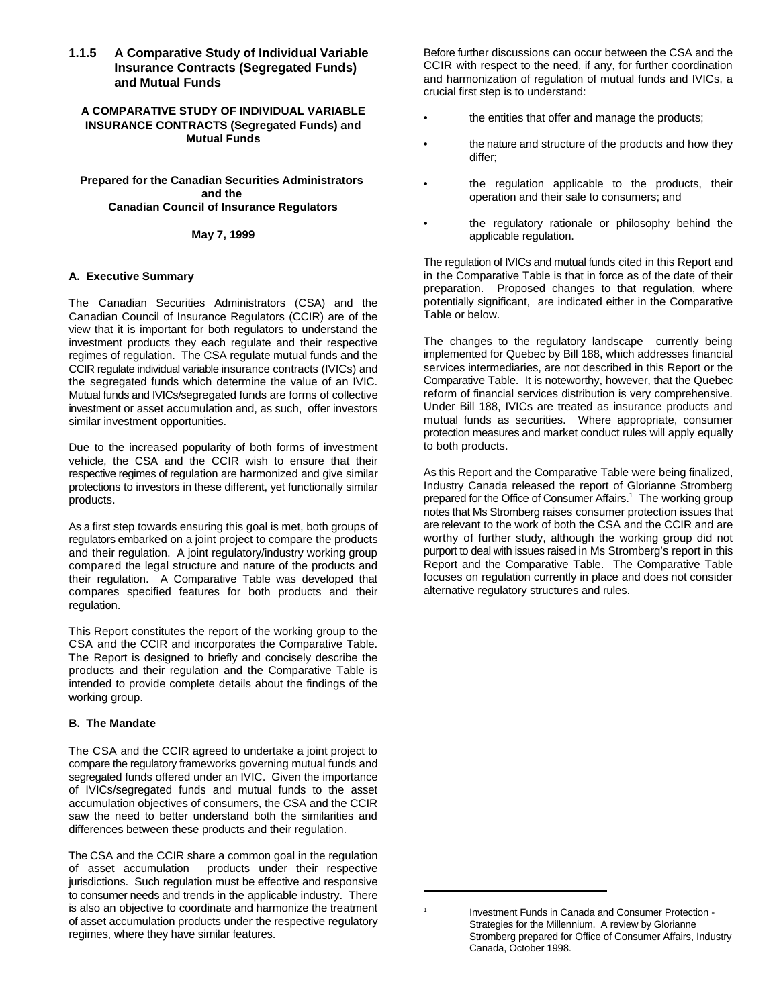## **1.1.5 A Comparative Study of Individual Variable Insurance Contracts (Segregated Funds) and Mutual Funds**

## **A COMPARATIVE STUDY OF INDIVIDUAL VARIABLE INSURANCE CONTRACTS (Segregated Funds) and Mutual Funds**

## **Prepared for the Canadian Securities Administrators and the Canadian Council of Insurance Regulators**

## **May 7, 1999**

## **A. Executive Summary**

The Canadian Securities Administrators (CSA) and the Canadian Council of Insurance Regulators (CCIR) are of the view that it is important for both regulators to understand the investment products they each regulate and their respective regimes of regulation. The CSA regulate mutual funds and the CCIR regulate individual variable insurance contracts (IVICs) and the segregated funds which determine the value of an IVIC. Mutual funds and IVICs/segregated funds are forms of collective investment or asset accumulation and, as such, offer investors similar investment opportunities.

Due to the increased popularity of both forms of investment vehicle, the CSA and the CCIR wish to ensure that their respective regimes of regulation are harmonized and give similar protections to investors in these different, yet functionally similar products.

As a first step towards ensuring this goal is met, both groups of regulators embarked on a joint project to compare the products and their regulation. A joint regulatory/industry working group compared the legal structure and nature of the products and their regulation. A Comparative Table was developed that compares specified features for both products and their regulation.

This Report constitutes the report of the working group to the CSA and the CCIR and incorporates the Comparative Table. The Report is designed to briefly and concisely describe the products and their regulation and the Comparative Table is intended to provide complete details about the findings of the working group.

## **B. The Mandate**

The CSA and the CCIR agreed to undertake a joint project to compare the regulatory frameworks governing mutual funds and segregated funds offered under an IVIC. Given the importance of IVICs/segregated funds and mutual funds to the asset accumulation objectives of consumers, the CSA and the CCIR saw the need to better understand both the similarities and differences between these products and their regulation.

The CSA and the CCIR share a common goal in the regulation of asset accumulation products under their respective jurisdictions. Such regulation must be effective and responsive to consumer needs and trends in the applicable industry. There is also an objective to coordinate and harmonize the treatment of asset accumulation products under the respective regulatory regimes, where they have similar features.

Before further discussions can occur between the CSA and the CCIR with respect to the need, if any, for further coordination and harmonization of regulation of mutual funds and IVICs, a crucial first step is to understand:

- the entities that offer and manage the products;
- the nature and structure of the products and how they differ;
- the regulation applicable to the products, their operation and their sale to consumers; and
- the regulatory rationale or philosophy behind the applicable regulation.

The regulation of IVICs and mutual funds cited in this Report and in the Comparative Table is that in force as of the date of their preparation. Proposed changes to that regulation, where potentially significant, are indicated either in the Comparative Table or below.

The changes to the regulatory landscape currently being implemented for Quebec by Bill 188, which addresses financial services intermediaries, are not described in this Report or the Comparative Table. It is noteworthy, however, that the Quebec reform of financial services distribution is very comprehensive. Under Bill 188, IVICs are treated as insurance products and mutual funds as securities. Where appropriate, consumer protection measures and market conduct rules will apply equally to both products.

As this Report and the Comparative Table were being finalized, Industry Canada released the report of Glorianne Stromberg prepared for the Office of Consumer Affairs.<sup>1</sup> The working group notes that Ms Stromberg raises consumer protection issues that are relevant to the work of both the CSA and the CCIR and are worthy of further study, although the working group did not purport to deal with issues raised in Ms Stromberg's report in this Report and the Comparative Table. The Comparative Table focuses on regulation currently in place and does not consider alternative regulatory structures and rules.

Investment Funds in Canada and Consumer Protection -Strategies for the Millennium. A review by Glorianne Stromberg prepared for Office of Consumer Affairs, Industry Canada, October 1998.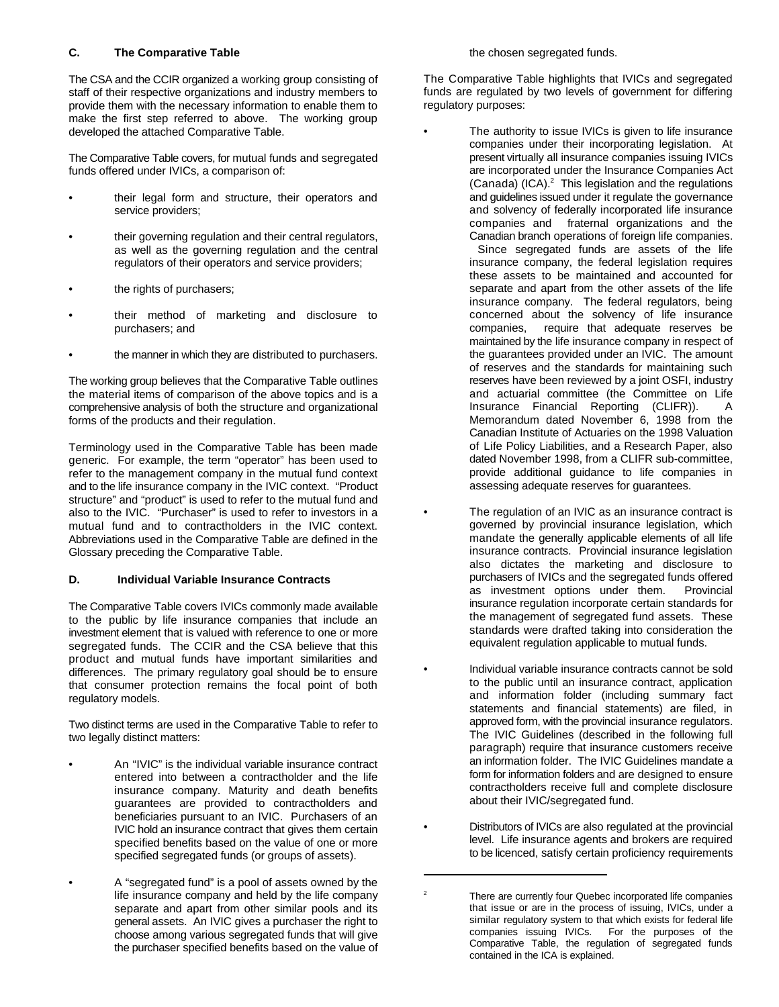## **C. The Comparative Table**

The CSA and the CCIR organized a working group consisting of staff of their respective organizations and industry members to provide them with the necessary information to enable them to make the first step referred to above. The working group developed the attached Comparative Table.

The Comparative Table covers, for mutual funds and segregated funds offered under IVICs, a comparison of:

- their legal form and structure, their operators and service providers;
- their governing regulation and their central regulators, as well as the governing regulation and the central regulators of their operators and service providers;
- the rights of purchasers;
- their method of marketing and disclosure to purchasers; and
- the manner in which they are distributed to purchasers.

The working group believes that the Comparative Table outlines the material items of comparison of the above topics and is a comprehensive analysis of both the structure and organizational forms of the products and their regulation.

Terminology used in the Comparative Table has been made generic. For example, the term "operator" has been used to refer to the management company in the mutual fund context and to the life insurance company in the IVIC context. "Product structure" and "product" is used to refer to the mutual fund and also to the IVIC. "Purchaser" is used to refer to investors in a mutual fund and to contractholders in the IVIC context. Abbreviations used in the Comparative Table are defined in the Glossary preceding the Comparative Table.

## **D. Individual Variable Insurance Contracts**

The Comparative Table covers IVICs commonly made available to the public by life insurance companies that include an investment element that is valued with reference to one or more segregated funds. The CCIR and the CSA believe that this product and mutual funds have important similarities and differences. The primary regulatory goal should be to ensure that consumer protection remains the focal point of both regulatory models.

Two distinct terms are used in the Comparative Table to refer to two legally distinct matters:

- An "IVIC" is the individual variable insurance contract entered into between a contractholder and the life insurance company. Maturity and death benefits guarantees are provided to contractholders and beneficiaries pursuant to an IVIC. Purchasers of an IVIC hold an insurance contract that gives them certain specified benefits based on the value of one or more specified segregated funds (or groups of assets).
- A "segregated fund" is a pool of assets owned by the life insurance company and held by the life company separate and apart from other similar pools and its general assets. An IVIC gives a purchaser the right to choose among various segregated funds that will give the purchaser specified benefits based on the value of

the chosen segregated funds.

The Comparative Table highlights that IVICs and segregated funds are regulated by two levels of government for differing regulatory purposes:

- The authority to issue IVICs is given to life insurance companies under their incorporating legislation. At present virtually all insurance companies issuing IVICs are incorporated under the Insurance Companies Act (Canada) (ICA). $^2$  This legislation and the regulations and guidelines issued under it regulate the governance and solvency of federally incorporated life insurance companies and fraternal organizations and the Canadian branch operations of foreign life companies. Since segregated funds are assets of the life insurance company, the federal legislation requires these assets to be maintained and accounted for separate and apart from the other assets of the life insurance company. The federal regulators, being concerned about the solvency of life insurance companies, require that adequate reserves be maintained by the life insurance company in respect of the guarantees provided under an IVIC. The amount of reserves and the standards for maintaining such reserves have been reviewed by a joint OSFI, industry and actuarial committee (the Committee on Life Insurance Financial Reporting (CLIFR)). A
	- Memorandum dated November 6, 1998 from the Canadian Institute of Actuaries on the 1998 Valuation of Life Policy Liabilities, and a Research Paper, also dated November 1998, from a CLIFR sub-committee, provide additional guidance to life companies in assessing adequate reserves for guarantees.
- The regulation of an IVIC as an insurance contract is governed by provincial insurance legislation, which mandate the generally applicable elements of all life insurance contracts. Provincial insurance legislation also dictates the marketing and disclosure to purchasers of IVICs and the segregated funds offered as investment options under them. Provincial insurance regulation incorporate certain standards for the management of segregated fund assets. These standards were drafted taking into consideration the equivalent regulation applicable to mutual funds.
- Individual variable insurance contracts cannot be sold to the public until an insurance contract, application and information folder (including summary fact statements and financial statements) are filed, in approved form, with the provincial insurance regulators. The IVIC Guidelines (described in the following full paragraph) require that insurance customers receive an information folder. The IVIC Guidelines mandate a form for information folders and are designed to ensure contractholders receive full and complete disclosure about their IVIC/segregated fund.
- Distributors of IVICs are also regulated at the provincial level. Life insurance agents and brokers are required to be licenced, satisfy certain proficiency requirements

There are currently four Quebec incorporated life companies that issue or are in the process of issuing, IVICs, under a similar regulatory system to that which exists for federal life companies issuing IVICs. For the purposes of the Comparative Table, the regulation of segregated funds contained in the ICA is explained.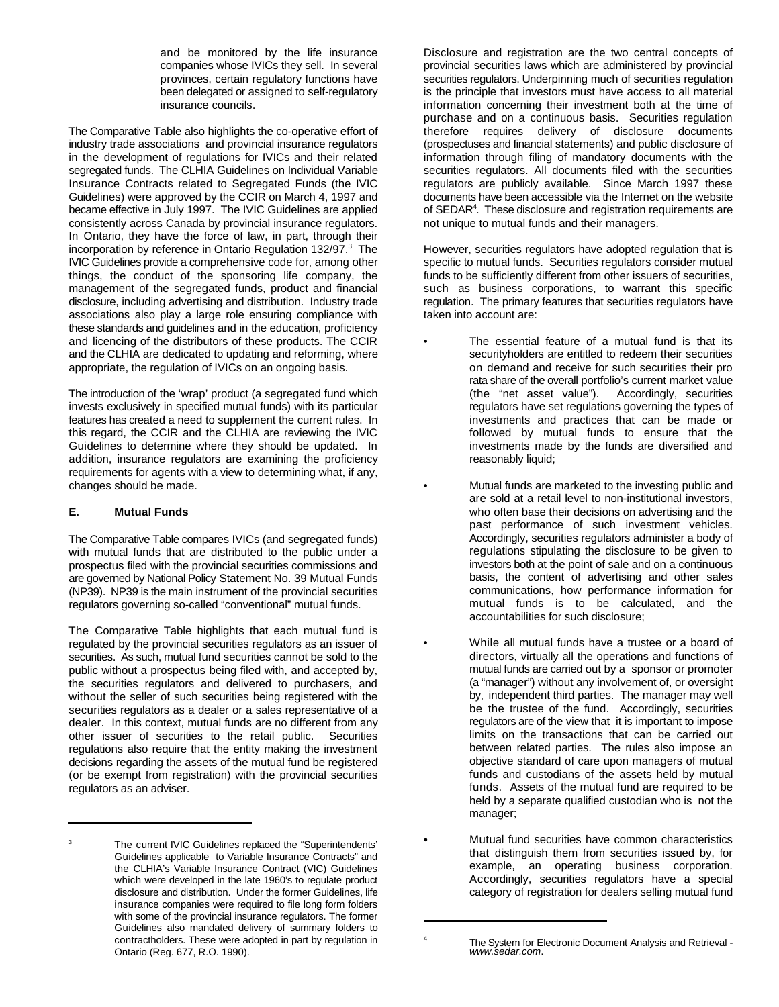and be monitored by the life insurance companies whose IVICs they sell. In several provinces, certain regulatory functions have been delegated or assigned to self-regulatory insurance councils.

The Comparative Table also highlights the co-operative effort of industry trade associations and provincial insurance regulators in the development of regulations for IVICs and their related segregated funds. The CLHIA Guidelines on Individual Variable Insurance Contracts related to Segregated Funds (the IVIC Guidelines) were approved by the CCIR on March 4, 1997 and became effective in July 1997. The IVIC Guidelines are applied consistently across Canada by provincial insurance regulators. In Ontario, they have the force of law, in part, through their incorporation by reference in Ontario Regulation 132/97.<sup>3</sup> The IVIC Guidelines provide a comprehensive code for, among other things, the conduct of the sponsoring life company, the management of the segregated funds, product and financial disclosure, including advertising and distribution. Industry trade associations also play a large role ensuring compliance with these standards and guidelines and in the education, proficiency and licencing of the distributors of these products. The CCIR and the CLHIA are dedicated to updating and reforming, where appropriate, the regulation of IVICs on an ongoing basis.

The introduction of the 'wrap' product (a segregated fund which invests exclusively in specified mutual funds) with its particular features has created a need to supplement the current rules. In this regard, the CCIR and the CLHIA are reviewing the IVIC Guidelines to determine where they should be updated. In addition, insurance regulators are examining the proficiency requirements for agents with a view to determining what, if any, changes should be made.

## **E. Mutual Funds**

3

The Comparative Table compares IVICs (and segregated funds) with mutual funds that are distributed to the public under a prospectus filed with the provincial securities commissions and are governed by National Policy Statement No. 39 Mutual Funds (NP39). NP39 is the main instrument of the provincial securities regulators governing so-called "conventional" mutual funds.

The Comparative Table highlights that each mutual fund is regulated by the provincial securities regulators as an issuer of securities. As such, mutual fund securities cannot be sold to the public without a prospectus being filed with, and accepted by, the securities regulators and delivered to purchasers, and without the seller of such securities being registered with the securities regulators as a dealer or a sales representative of a dealer. In this context, mutual funds are no different from any other issuer of securities to the retail public. Securities regulations also require that the entity making the investment decisions regarding the assets of the mutual fund be registered (or be exempt from registration) with the provincial securities regulators as an adviser.

Disclosure and registration are the two central concepts of provincial securities laws which are administered by provincial securities regulators. Underpinning much of securities regulation is the principle that investors must have access to all material information concerning their investment both at the time of purchase and on a continuous basis. Securities regulation therefore requires delivery of disclosure documents (prospectuses and financial statements) and public disclosure of information through filing of mandatory documents with the securities regulators. All documents filed with the securities regulators are publicly available. Since March 1997 these documents have been accessible via the Internet on the website of SEDAR<sup>4</sup>. These disclosure and registration requirements are not unique to mutual funds and their managers.

However, securities regulators have adopted regulation that is specific to mutual funds. Securities regulators consider mutual funds to be sufficiently different from other issuers of securities, such as business corporations, to warrant this specific regulation. The primary features that securities regulators have taken into account are:

- The essential feature of a mutual fund is that its securityholders are entitled to redeem their securities on demand and receive for such securities their pro rata share of the overall portfolio's current market value (the "net asset value"). Accordingly, securities regulators have set regulations governing the types of investments and practices that can be made or followed by mutual funds to ensure that the investments made by the funds are diversified and reasonably liquid;
- Mutual funds are marketed to the investing public and are sold at a retail level to non-institutional investors, who often base their decisions on advertising and the past performance of such investment vehicles. Accordingly, securities regulators administer a body of regulations stipulating the disclosure to be given to investors both at the point of sale and on a continuous basis, the content of advertising and other sales communications, how performance information for mutual funds is to be calculated, and the accountabilities for such disclosure;
	- While all mutual funds have a trustee or a board of directors, virtually all the operations and functions of mutual funds are carried out by a sponsor or promoter (a "manager") without any involvement of, or oversight by, independent third parties. The manager may well be the trustee of the fund. Accordingly, securities regulators are of the view that it is important to impose limits on the transactions that can be carried out between related parties. The rules also impose an objective standard of care upon managers of mutual funds and custodians of the assets held by mutual funds. Assets of the mutual fund are required to be held by a separate qualified custodian who is not the manager;
	- Mutual fund securities have common characteristics that distinguish them from securities issued by, for example, an operating business corporation. Accordingly, securities regulators have a special category of registration for dealers selling mutual fund

The current IVIC Guidelines replaced the "Superintendents' Guidelines applicable to Variable Insurance Contracts" and the CLHIA's Variable Insurance Contract (VIC) Guidelines which were developed in the late 1960's to regulate product disclosure and distribution. Under the former Guidelines, life insurance companies were required to file long form folders with some of the provincial insurance regulators. The former Guidelines also mandated delivery of summary folders to contractholders. These were adopted in part by regulation in Ontario (Reg. 677, R.O. 1990).

<sup>4</sup> The System for Electronic Document Analysis and Retrieval *www.sedar.com*.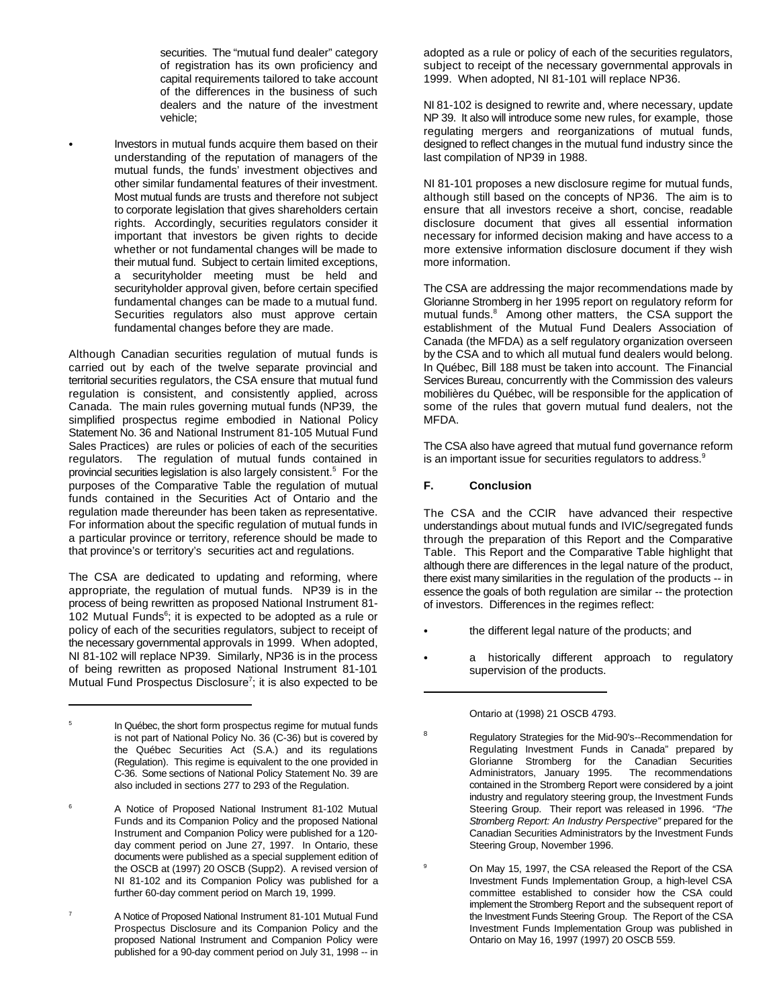securities. The "mutual fund dealer" category of registration has its own proficiency and capital requirements tailored to take account of the differences in the business of such dealers and the nature of the investment vehicle;

 $\bullet$ Investors in mutual funds acquire them based on their understanding of the reputation of managers of the mutual funds, the funds' investment objectives and other similar fundamental features of their investment. Most mutual funds are trusts and therefore not subject to corporate legislation that gives shareholders certain rights. Accordingly, securities regulators consider it important that investors be given rights to decide whether or not fundamental changes will be made to their mutual fund. Subject to certain limited exceptions, a securityholder meeting must be held and securityholder approval given, before certain specified fundamental changes can be made to a mutual fund. Securities regulators also must approve certain fundamental changes before they are made.

Although Canadian securities regulation of mutual funds is carried out by each of the twelve separate provincial and territorial securities regulators, the CSA ensure that mutual fund regulation is consistent, and consistently applied, across Canada. The main rules governing mutual funds (NP39, the simplified prospectus regime embodied in National Policy Statement No. 36 and National Instrument 81-105 Mutual Fund Sales Practices) are rules or policies of each of the securities regulators. The regulation of mutual funds contained in provincial securities legislation is also largely consistent.5 For the purposes of the Comparative Table the regulation of mutual funds contained in the Securities Act of Ontario and the regulation made thereunder has been taken as representative. For information about the specific regulation of mutual funds in a particular province or territory, reference should be made to that province's or territory's securities act and regulations.

The CSA are dedicated to updating and reforming, where appropriate, the regulation of mutual funds. NP39 is in the process of being rewritten as proposed National Instrument 81 102 Mutual Funds $<sup>6</sup>$ ; it is expected to be adopted as a rule or</sup> policy of each of the securities regulators, subject to receipt of the necessary governmental approvals in 1999. When adopted, NI 81-102 will replace NP39. Similarly, NP36 is in the process of being rewritten as proposed National Instrument 81-101 Mutual Fund Prospectus Disclosure<sup>7</sup>; it is also expected to be adopted as a rule or policy of each of the securities regulators, subject to receipt of the necessary governmental approvals in 1999. When adopted, NI 81-101 will replace NP36.

NI 81-102 is designed to rewrite and, where necessary, update NP 39. It also will introduce some new rules, for example, those regulating mergers and reorganizations of mutual funds, designed to reflect changes in the mutual fund industry since the last compilation of NP39 in 1988.

NI 81-101 proposes a new disclosure regime for mutual funds, although still based on the concepts of NP36. The aim is to ensure that all investors receive a short, concise, readable disclosure document that gives all essential information necessary for informed decision making and have access to a more extensive information disclosure document if they wish more information.

The CSA are addressing the major recommendations made by Glorianne Stromberg in her 1995 report on regulatory reform for mutual funds.<sup>8</sup> Among other matters, the CSA support the establishment of the Mutual Fund Dealers Association of Canada (the MFDA) as a self regulatory organization overseen by the CSA and to which all mutual fund dealers would belong. In Québec, Bill 188 must be taken into account. The Financial Services Bureau, concurrently with the Commission des valeurs mobilières du Québec, will be responsible for the application of some of the rules that govern mutual fund dealers, not the MFDA.

The CSA also have agreed that mutual fund governance reform is an important issue for securities regulators to address.<sup>9</sup>

## **F. Conclusion**

The CSA and the CCIR have advanced their respective understandings about mutual funds and IVIC/segregated funds through the preparation of this Report and the Comparative Table. This Report and the Comparative Table highlight that although there are differences in the legal nature of the product, there exist many similarities in the regulation of the products -- in essence the goals of both regulation are similar -- the protection of investors. Differences in the regimes reflect:

- the different legal nature of the products; and
- a historically different approach to regulatory supervision of the products.

In Québec, the short form prospectus regime for mutual funds is not part of National Policy No. 36 (C-36) but is covered by the Québec Securities Act (S.A.) and its regulations (Regulation). This regime is equivalent to the one provided in C-36. Some sections of National Policy Statement No. 39 are also included in sections 277 to 293 of the Regulation.

<sup>&</sup>lt;sup>6</sup> A Notice of Proposed National Instrument 81-102 Mutual Funds and its Companion Policy and the proposed National Instrument and Companion Policy were published for a 120 day comment period on June 27, 1997. In Ontario, these documents were published as a special supplement edition of the OSCB at (1997) 20 OSCB (Supp2). A revised version of NI 81-102 and its Companion Policy was published for a further 60-day comment period on March 19, 1999.

A Notice of Proposed National Instrument 81-101 Mutual Fund Prospectus Disclosure and its Companion Policy and the proposed National Instrument and Companion Policy were published for a 90-day comment period on July 31, 1998 -- in 7

Ontario at (1998) 21 OSCB 4793.

<sup>8</sup> Regulatory Strategies for the Mid-90's--Recommendation for Regulating Investment Funds in Canada" prepared by Glorianne Stromberg for the Canadian Securities Administrators, January 1995. The recommendations contained in the Stromberg Report were considered by a joint industry and regulatory steering group, the Investment Funds Steering Group. Their report was released in 1996. *"The Stromberg Report: An Industry Perspective"* prepared for the Canadian Securities Administrators by the Investment Funds Steering Group, November 1996.

<sup>9</sup> On May 15, 1997, the CSA released the Report of the CSA Investment Funds Implementation Group, a high-level CSA committee established to consider how the CSA could implement the Stromberg Report and the subsequent report of the Investment Funds Steering Group. The Report of the CSA Investment Funds Implementation Group was published in Ontario on May 16, 1997 (1997) 20 OSCB 559.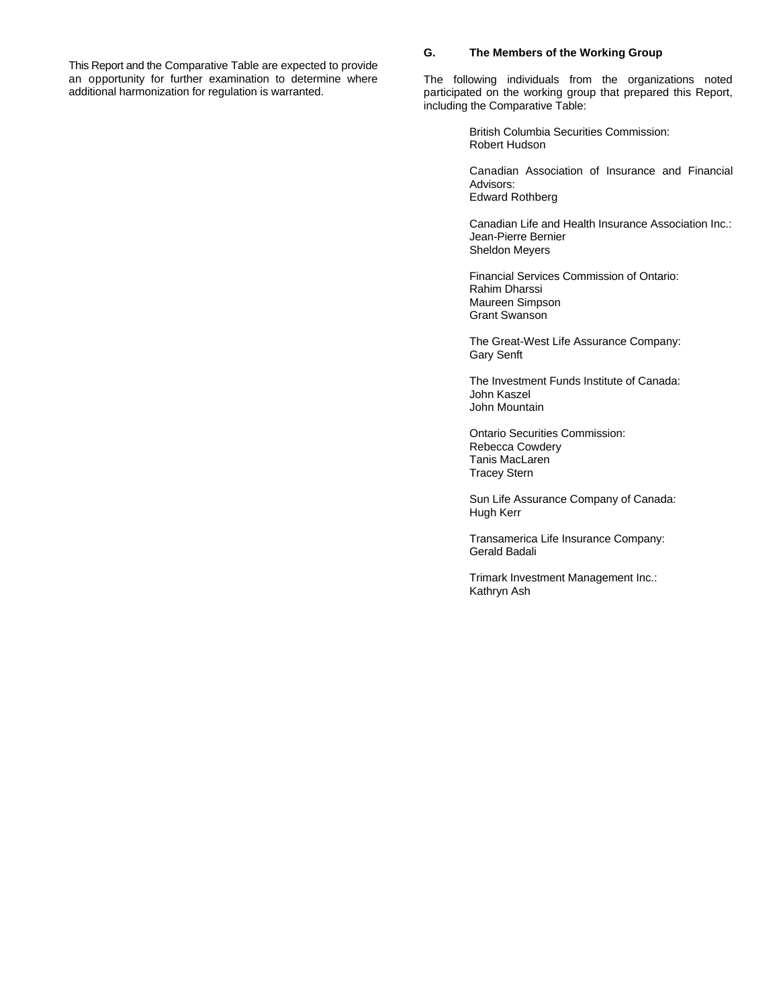This Report and the Comparative Table are expected to provide<br>an opportunity for further examination to determine where an opportunity for further examination to determine where The following individuals from the organizations noted additional harmonization for regulation is warranted.

## **G. The Members of the Working Group**

participated on the working group that prepared this Report, including the Comparative Table:

> British Columbia Securities Commission: Robert Hudson

Canadian Association of Insurance and Financial Advisors: Edward Rothberg

Canadian Life and Health Insurance Association Inc.: Jean-Pierre Bernier Sheldon Meyers

Financial Services Commission of Ontario: Rahim Dharssi Maureen Simpson Grant Swanson

The Great-West Life Assurance Company: Gary Senft

The Investment Funds Institute of Canada: John Kaszel John Mountain

Ontario Securities Commission: Rebecca Cowdery Tanis MacLaren Tracey Stern

Sun Life Assurance Company of Canada: Hugh Kerr

Transamerica Life Insurance Company: Gerald Badali

Trimark Investment Management Inc.: Kathryn Ash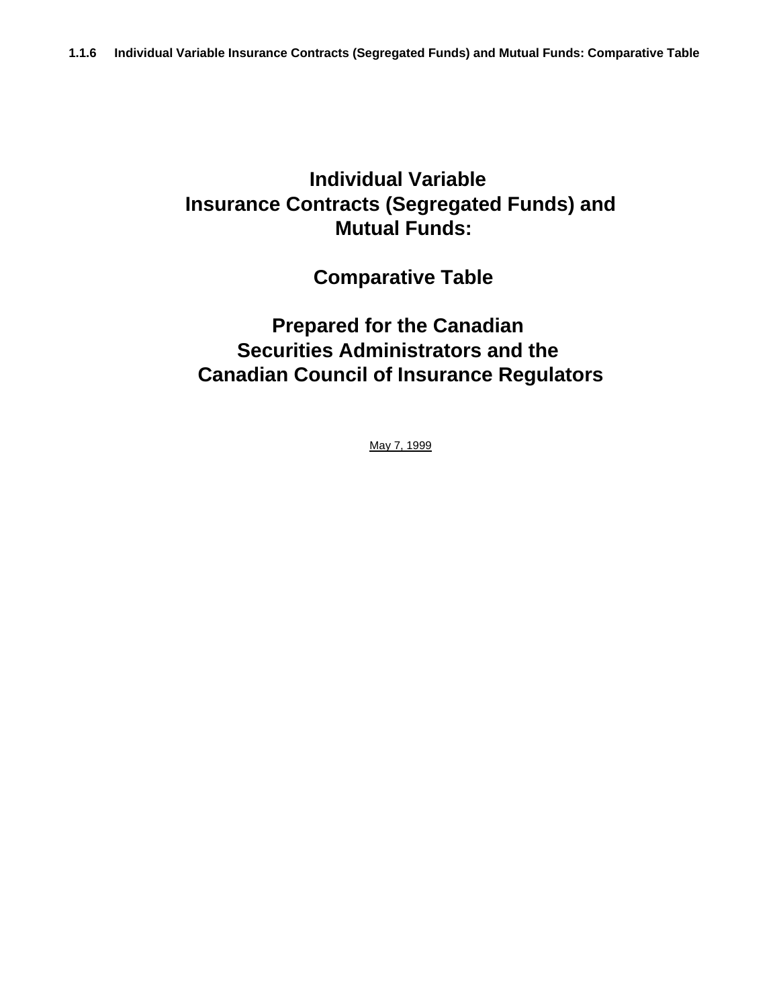## **Individual Variable Insurance Contracts (Segregated Funds) and Mutual Funds:**

# **Comparative Table**

# **Prepared for the Canadian Securities Administrators and the Canadian Council of Insurance Regulators**

May 7, 1999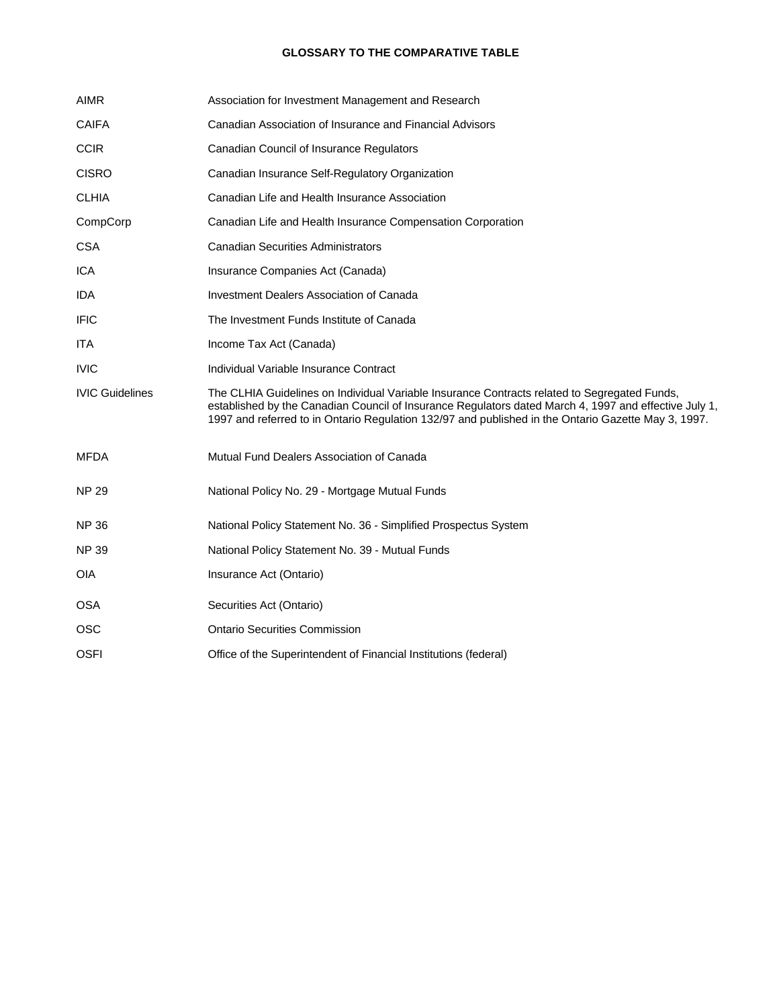## **GLOSSARY TO THE COMPARATIVE TABLE**

| <b>AIMR</b>            | Association for Investment Management and Research                                                                                                                                                    |
|------------------------|-------------------------------------------------------------------------------------------------------------------------------------------------------------------------------------------------------|
| <b>CAIFA</b>           | Canadian Association of Insurance and Financial Advisors                                                                                                                                              |
| <b>CCIR</b>            | Canadian Council of Insurance Regulators                                                                                                                                                              |
| <b>CISRO</b>           | Canadian Insurance Self-Regulatory Organization                                                                                                                                                       |
| <b>CLHIA</b>           | Canadian Life and Health Insurance Association                                                                                                                                                        |
| CompCorp               | Canadian Life and Health Insurance Compensation Corporation                                                                                                                                           |
| <b>CSA</b>             | <b>Canadian Securities Administrators</b>                                                                                                                                                             |
| ICA                    | Insurance Companies Act (Canada)                                                                                                                                                                      |
| IDA.                   | <b>Investment Dealers Association of Canada</b>                                                                                                                                                       |
| <b>IFIC</b>            | The Investment Funds Institute of Canada                                                                                                                                                              |
| <b>ITA</b>             | Income Tax Act (Canada)                                                                                                                                                                               |
| <b>IVIC</b>            | Individual Variable Insurance Contract                                                                                                                                                                |
| <b>IVIC Guidelines</b> | The CLHIA Guidelines on Individual Variable Insurance Contracts related to Segregated Funds,<br>established by the Canadian Council of Insurance Regulators dated March 4, 1997 and effective July 1, |
|                        | 1997 and referred to in Ontario Regulation 132/97 and published in the Ontario Gazette May 3, 1997.                                                                                                   |
| MFDA                   | Mutual Fund Dealers Association of Canada                                                                                                                                                             |
| <b>NP 29</b>           | National Policy No. 29 - Mortgage Mutual Funds                                                                                                                                                        |
| <b>NP 36</b>           | National Policy Statement No. 36 - Simplified Prospectus System                                                                                                                                       |
| <b>NP 39</b>           | National Policy Statement No. 39 - Mutual Funds                                                                                                                                                       |
| <b>OIA</b>             | Insurance Act (Ontario)                                                                                                                                                                               |
| <b>OSA</b>             | Securities Act (Ontario)                                                                                                                                                                              |
| <b>OSC</b>             | <b>Ontario Securities Commission</b>                                                                                                                                                                  |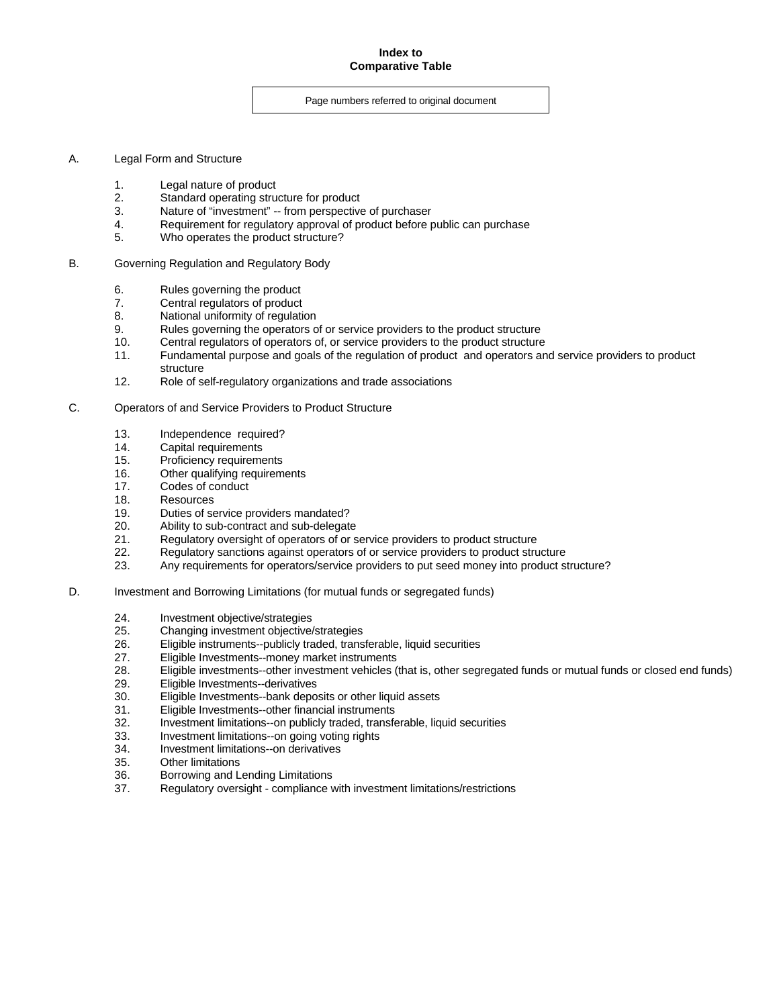### **Index to Comparative Table**

### Page numbers referred to original document

- A. Legal Form and Structure
	- 1. Legal nature of product
	- 2. Standard operating structure for product
	- 3. Nature of "investment" -- from perspective of purchaser
	- 4. Requirement for regulatory approval of product before public can purchase<br>5. Who operates the product structure?
	- Who operates the product structure?
- B. Governing Regulation and Regulatory Body
	- 6. Rules governing the product
	- 7. Central regulators of product
	- 8. National uniformity of regulation
	- 9. Rules governing the operators of or service providers to the product structure
	- 10. Central regulators of operators of, or service providers to the product structure
	- 11. Fundamental purpose and goals of the regulation of product and operators and service providers to product structure
	- 12. Role of self-regulatory organizations and trade associations
- C. Operators of and Service Providers to Product Structure
	- 13. Independence required?
	- 14. Capital requirements
	- 15. Proficiency requirements
	- 16. Other qualifying requirements
	- 17. Codes of conduct
	- 18. Resources
	- 19. Duties of service providers mandated?
	- 20. Ability to sub-contract and sub-delegate
	- 21. Regulatory oversight of operators of or service providers to product structure<br>22. Regulatory sanctions against operators of or service providers to product stru
	- 22. Regulatory sanctions against operators of or service providers to product structure<br>23. Any requirements for operators/service providers to put seed money into product st
	- Any requirements for operators/service providers to put seed money into product structure?
- D. Investment and Borrowing Limitations (for mutual funds or segregated funds)
	- 24. Investment objective/strategies
	- 25. Changing investment objective/strategies
	- 26. Eligible instruments--publicly traded, transferable, liquid securities
	- 27. Eligible Investments--money market instruments
	- 28. Eligible investments--other investment vehicles (that is, other segregated funds or mutual funds or closed end funds)
	- 29. Eligible Investments--derivatives
	- 30. Eligible Investments--bank deposits or other liquid assets
	- 31. Eligible Investments--other financial instruments
	- 32. Investment limitations--on publicly traded, transferable, liquid securities
	- 33. Investment limitations--on going voting rights
	- 34. Investment limitations--on derivatives
	- 35. Other limitations
	- 36. Borrowing and Lending Limitations
	- 37. Regulatory oversight compliance with investment limitations/restrictions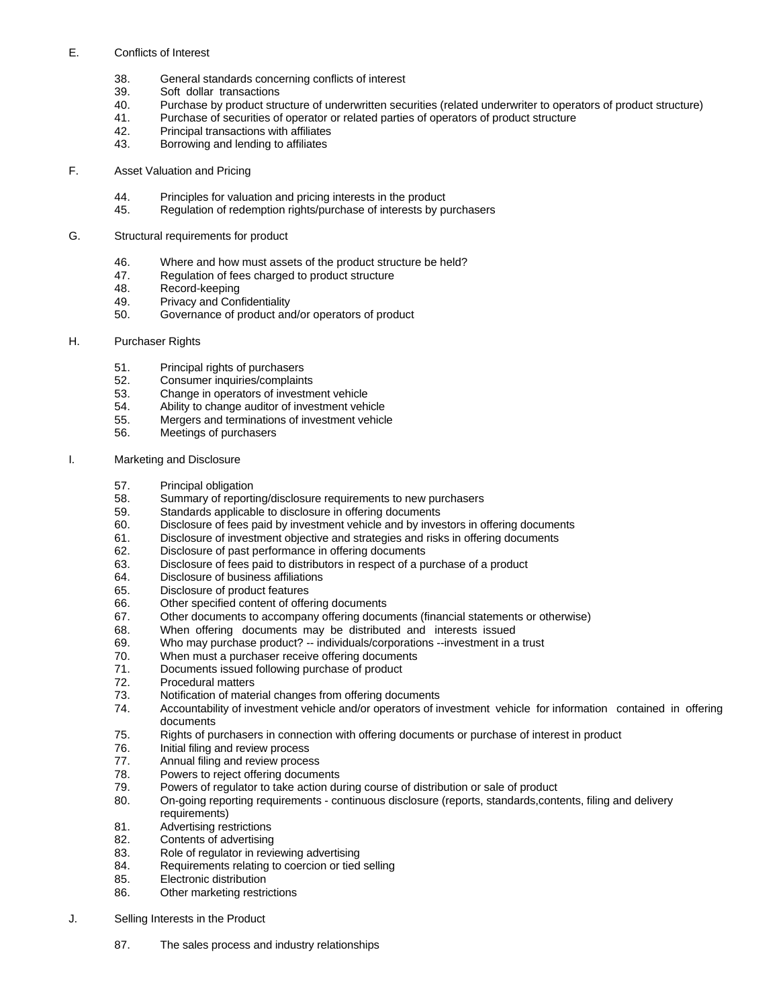### E. Conflicts of Interest

- 38. General standards concerning conflicts of interest
- 39. Soft dollar transactions
- 40. Purchase by product structure of underwritten securities (related underwriter to operators of product structure)
- 41. Purchase of securities of operator or related parties of operators of product structure
- 42. Principal transactions with affiliates
- 43. Borrowing and lending to affiliates

### F. Asset Valuation and Pricing

- 44. Principles for valuation and pricing interests in the product<br>45. Regulation of redemption rights/purchase of interests by p
- Regulation of redemption rights/purchase of interests by purchasers

#### G. Structural requirements for product

- 46. Where and how must assets of the product structure be held?
- 47. Regulation of fees charged to product structure
- 48. Record-keeping
- 49. Privacy and Confidentiality
- 50. Governance of product and/or operators of product

#### H. Purchaser Rights

- 51. Principal rights of purchasers
- 52. Consumer inquiries/complaints
- 53. Change in operators of investment vehicle
- 54. Ability to change auditor of investment vehicle
- 55. Mergers and terminations of investment vehicle
- 56. Meetings of purchasers

#### I. Marketing and Disclosure

- 57. Principal obligation
- 58. Summary of reporting/disclosure requirements to new purchasers
- 59. Standards applicable to disclosure in offering documents
- 60. Disclosure of fees paid by investment vehicle and by investors in offering documents
- 61. Disclosure of investment objective and strategies and risks in offering documents
- 62. Disclosure of past performance in offering documents
- 63. Disclosure of fees paid to distributors in respect of a purchase of a product
- 64. Disclosure of business affiliations
- 65. Disclosure of product features
- 66. Other specified content of offering documents
- 67. Other documents to accompany offering documents (financial statements or otherwise)
- 68. When offering documents may be distributed and interests issued
- 69. Who may purchase product? -- individuals/corporations --investment in a trust
- 70. When must a purchaser receive offering documents
- 71. Documents issued following purchase of product
- 72. Procedural matters
- 73. Notification of material changes from offering documents
- 74. Accountability of investment vehicle and/or operators of investment vehicle for information contained in offering documents
- 75. Rights of purchasers in connection with offering documents or purchase of interest in product
- 76. Initial filing and review process
- 77. Annual filing and review process
- 78. Powers to reject offering documents
- 79. Powers of regulator to take action during course of distribution or sale of product
- 80. On-going reporting requirements continuous disclosure (reports, standards,contents, filing and delivery requirements)
- 81. Advertising restrictions
- 82. Contents of advertising
- 83. Role of regulator in reviewing advertising
- 84. Requirements relating to coercion or tied selling
- 85. Electronic distribution
	- 86. Other marketing restrictions
- J. Selling Interests in the Product
	- 87. The sales process and industry relationships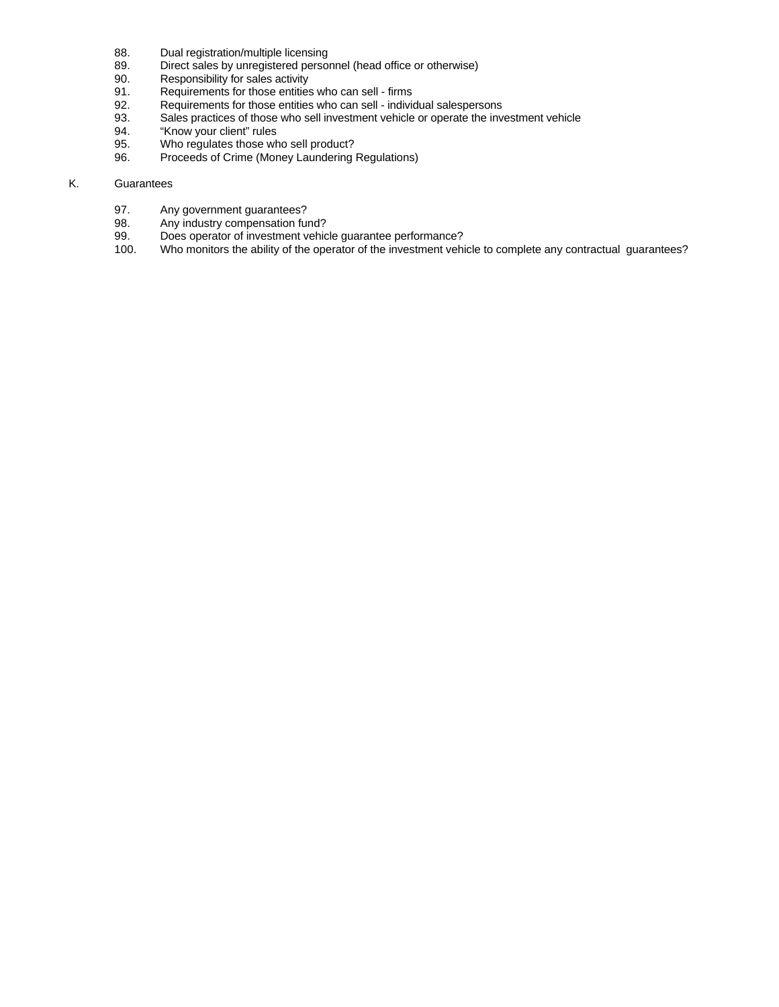- 88. Dual registration/multiple licensing<br>89. Direct sales by unregistered persor
- 89. Direct sales by unregistered personnel (head office or otherwise)<br>90. Responsibility for sales activity
- 90. Responsibility for sales activity<br>91. Requirements for those entities
- 91. Requirements for those entities who can sell firms<br>92. Requirements for those entities who can sell individent
- 92. Requirements for those entities who can sell individual salespersons<br>93. Sales practices of those who sell investment vehicle or operate the investment
- Sales practices of those who sell investment vehicle or operate the investment vehicle
- 94. "Know your client" rules
- 95. Who regulates those who sell product?
- 96. Proceeds of Crime (Money Laundering Regulations)

## K. Guarantees

- 97. Any government guarantees?<br>98. Any industry compensation fur
- 98. Any industry compensation fund?<br>99. Does operator of investment vehic
- 99. Does operator of investment vehicle guarantee performance?<br>100. Who monitors the ability of the operator of the investment vehi
- Who monitors the ability of the operator of the investment vehicle to complete any contractual guarantees?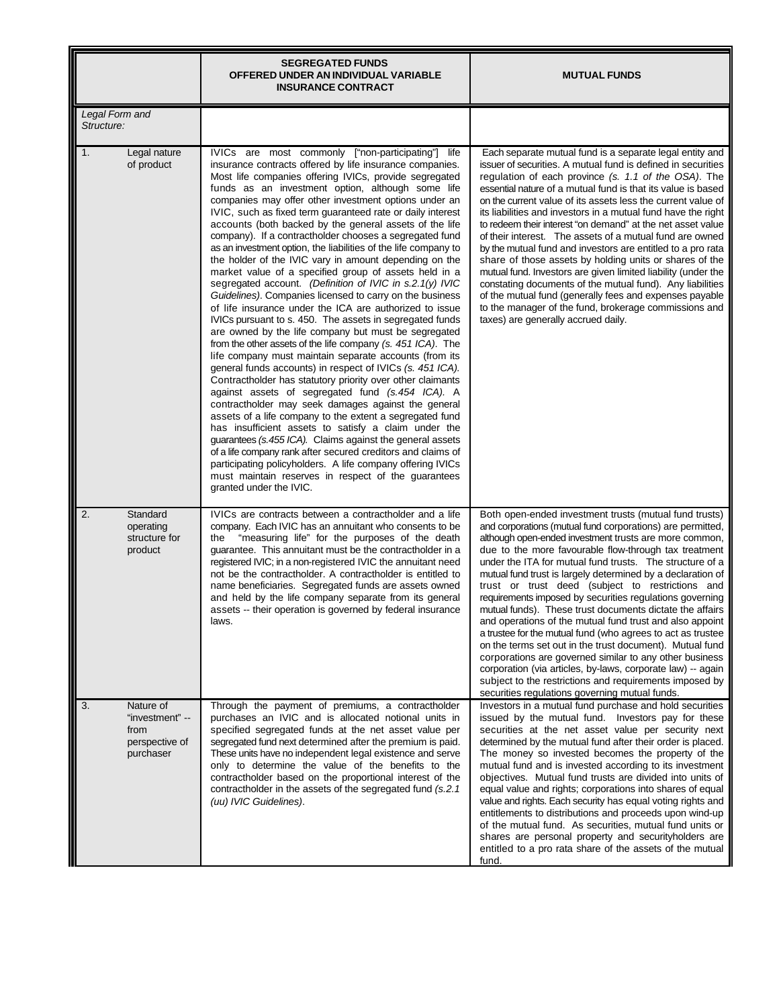|                                                                           | <b>SEGREGATED FUNDS</b><br>OFFERED UNDER AN INDIVIDUAL VARIABLE<br><b>INSURANCE CONTRACT</b>                                                                                                                                                                                                                                                                                                                                                                                                                                                                                                                                                                                                                                                                                                                                                                                                                                                                                                                                                                                                                                                                                                                                                                                                                                                                                                                                                                                                                                                                                                                                                                                                                                               | <b>MUTUAL FUNDS</b>                                                                                                                                                                                                                                                                                                                                                                                                                                                                                                                                                                                                                                                                                                                                                                                                                                                                                                                                                          |
|---------------------------------------------------------------------------|--------------------------------------------------------------------------------------------------------------------------------------------------------------------------------------------------------------------------------------------------------------------------------------------------------------------------------------------------------------------------------------------------------------------------------------------------------------------------------------------------------------------------------------------------------------------------------------------------------------------------------------------------------------------------------------------------------------------------------------------------------------------------------------------------------------------------------------------------------------------------------------------------------------------------------------------------------------------------------------------------------------------------------------------------------------------------------------------------------------------------------------------------------------------------------------------------------------------------------------------------------------------------------------------------------------------------------------------------------------------------------------------------------------------------------------------------------------------------------------------------------------------------------------------------------------------------------------------------------------------------------------------------------------------------------------------------------------------------------------------|------------------------------------------------------------------------------------------------------------------------------------------------------------------------------------------------------------------------------------------------------------------------------------------------------------------------------------------------------------------------------------------------------------------------------------------------------------------------------------------------------------------------------------------------------------------------------------------------------------------------------------------------------------------------------------------------------------------------------------------------------------------------------------------------------------------------------------------------------------------------------------------------------------------------------------------------------------------------------|
| <b>Legal Form and</b><br>Structure:                                       |                                                                                                                                                                                                                                                                                                                                                                                                                                                                                                                                                                                                                                                                                                                                                                                                                                                                                                                                                                                                                                                                                                                                                                                                                                                                                                                                                                                                                                                                                                                                                                                                                                                                                                                                            |                                                                                                                                                                                                                                                                                                                                                                                                                                                                                                                                                                                                                                                                                                                                                                                                                                                                                                                                                                              |
| 1.<br>Legal nature<br>of product                                          | IVICs are most commonly ["non-participating"]<br>life<br>insurance contracts offered by life insurance companies.<br>Most life companies offering IVICs, provide segregated<br>funds as an investment option, although some life<br>companies may offer other investment options under an<br>IVIC, such as fixed term guaranteed rate or daily interest<br>accounts (both backed by the general assets of the life<br>company). If a contractholder chooses a segregated fund<br>as an investment option, the liabilities of the life company to<br>the holder of the IVIC vary in amount depending on the<br>market value of a specified group of assets held in a<br>segregated account. (Definition of IVIC in s.2.1(y) IVIC<br>Guidelines). Companies licensed to carry on the business<br>of life insurance under the ICA are authorized to issue<br>IVICs pursuant to s. 450. The assets in segregated funds<br>are owned by the life company but must be segregated<br>from the other assets of the life company (s. 451 ICA). The<br>life company must maintain separate accounts (from its<br>general funds accounts) in respect of IVICs (s. 451 ICA).<br>Contractholder has statutory priority over other claimants<br>against assets of segregated fund (s.454 ICA). A<br>contractholder may seek damages against the general<br>assets of a life company to the extent a segregated fund<br>has insufficient assets to satisfy a claim under the<br>guarantees (s.455 ICA). Claims against the general assets<br>of a life company rank after secured creditors and claims of<br>participating policyholders. A life company offering IVICs<br>must maintain reserves in respect of the guarantees<br>granted under the IVIC. | Each separate mutual fund is a separate legal entity and<br>issuer of securities. A mutual fund is defined in securities<br>regulation of each province (s. 1.1 of the OSA). The<br>essential nature of a mutual fund is that its value is based<br>on the current value of its assets less the current value of<br>its liabilities and investors in a mutual fund have the right<br>to redeem their interest "on demand" at the net asset value<br>of their interest. The assets of a mutual fund are owned<br>by the mutual fund and investors are entitled to a pro rata<br>share of those assets by holding units or shares of the<br>mutual fund. Investors are given limited liability (under the<br>constating documents of the mutual fund). Any liabilities<br>of the mutual fund (generally fees and expenses payable<br>to the manager of the fund, brokerage commissions and<br>taxes) are generally accrued daily.                                              |
| 2.<br>Standard<br>operating<br>structure for<br>product                   | IVICs are contracts between a contractholder and a life<br>company. Each IVIC has an annuitant who consents to be<br>"measuring life" for the purposes of the death<br>the<br>guarantee. This annuitant must be the contractholder in a<br>registered IVIC; in a non-registered IVIC the annuitant need<br>not be the contractholder. A contractholder is entitled to<br>name beneficiaries. Segregated funds are assets owned<br>and held by the life company separate from its general<br>assets -- their operation is governed by federal insurance<br>laws.                                                                                                                                                                                                                                                                                                                                                                                                                                                                                                                                                                                                                                                                                                                                                                                                                                                                                                                                                                                                                                                                                                                                                                            | Both open-ended investment trusts (mutual fund trusts)<br>and corporations (mutual fund corporations) are permitted,<br>although open-ended investment trusts are more common,<br>due to the more favourable flow-through tax treatment<br>under the ITA for mutual fund trusts. The structure of a<br>mutual fund trust is largely determined by a declaration of<br>trust or trust deed (subject to restrictions and<br>requirements imposed by securities regulations governing<br>mutual funds). These trust documents dictate the affairs<br>and operations of the mutual fund trust and also appoint<br>a trustee for the mutual fund (who agrees to act as trustee<br>on the terms set out in the trust document). Mutual fund<br>corporations are governed similar to any other business<br>corporation (via articles, by-laws, corporate law) -- again<br>subject to the restrictions and requirements imposed by<br>securities regulations governing mutual funds. |
| 3.<br>Nature of<br>"investment" --<br>from<br>perspective of<br>purchaser | Through the payment of premiums, a contractholder<br>purchases an IVIC and is allocated notional units in<br>specified segregated funds at the net asset value per<br>segregated fund next determined after the premium is paid.<br>These units have no independent legal existence and serve<br>only to determine the value of the benefits to the<br>contractholder based on the proportional interest of the<br>contractholder in the assets of the segregated fund (s.2.1)<br>(uu) IVIC Guidelines).                                                                                                                                                                                                                                                                                                                                                                                                                                                                                                                                                                                                                                                                                                                                                                                                                                                                                                                                                                                                                                                                                                                                                                                                                                   | Investors in a mutual fund purchase and hold securities<br>issued by the mutual fund. Investors pay for these<br>securities at the net asset value per security next<br>determined by the mutual fund after their order is placed.<br>The money so invested becomes the property of the<br>mutual fund and is invested according to its investment<br>objectives. Mutual fund trusts are divided into units of<br>equal value and rights; corporations into shares of equal<br>value and rights. Each security has equal voting rights and<br>entitlements to distributions and proceeds upon wind-up<br>of the mutual fund. As securities, mutual fund units or<br>shares are personal property and securityholders are<br>entitled to a pro rata share of the assets of the mutual<br>fund.                                                                                                                                                                                |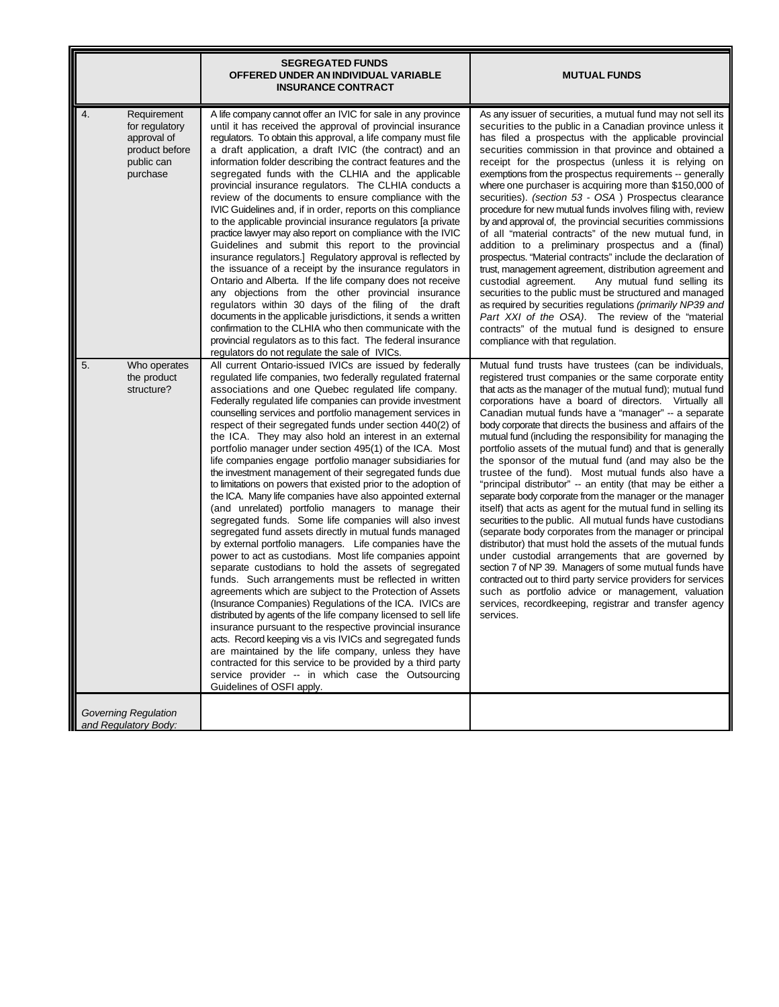|                                                                                                | <b>SEGREGATED FUNDS</b><br>OFFERED UNDER AN INDIVIDUAL VARIABLE<br><b>INSURANCE CONTRACT</b>                                                                                                                                                                                                                                                                                                                                                                                                                                                                                                                                                                                                                                                                                                                                                                                                                                                                                                                                                                                                                                                                                                                                                                                                                                                                                                                                                                                                                                                                                                                                                                                                    | <b>MUTUAL FUNDS</b>                                                                                                                                                                                                                                                                                                                                                                                                                                                                                                                                                                                                                                                                                                                                                                                                                                                                                                                                                                                                                                                                                                                                                                                                                                                                                 |
|------------------------------------------------------------------------------------------------|-------------------------------------------------------------------------------------------------------------------------------------------------------------------------------------------------------------------------------------------------------------------------------------------------------------------------------------------------------------------------------------------------------------------------------------------------------------------------------------------------------------------------------------------------------------------------------------------------------------------------------------------------------------------------------------------------------------------------------------------------------------------------------------------------------------------------------------------------------------------------------------------------------------------------------------------------------------------------------------------------------------------------------------------------------------------------------------------------------------------------------------------------------------------------------------------------------------------------------------------------------------------------------------------------------------------------------------------------------------------------------------------------------------------------------------------------------------------------------------------------------------------------------------------------------------------------------------------------------------------------------------------------------------------------------------------------|-----------------------------------------------------------------------------------------------------------------------------------------------------------------------------------------------------------------------------------------------------------------------------------------------------------------------------------------------------------------------------------------------------------------------------------------------------------------------------------------------------------------------------------------------------------------------------------------------------------------------------------------------------------------------------------------------------------------------------------------------------------------------------------------------------------------------------------------------------------------------------------------------------------------------------------------------------------------------------------------------------------------------------------------------------------------------------------------------------------------------------------------------------------------------------------------------------------------------------------------------------------------------------------------------------|
| 4.<br>Requirement<br>for regulatory<br>approval of<br>product before<br>public can<br>purchase | A life company cannot offer an IVIC for sale in any province<br>until it has received the approval of provincial insurance<br>regulators. To obtain this approval, a life company must file<br>a draft application, a draft IVIC (the contract) and an<br>information folder describing the contract features and the<br>segregated funds with the CLHIA and the applicable<br>provincial insurance regulators. The CLHIA conducts a<br>review of the documents to ensure compliance with the<br>IVIC Guidelines and, if in order, reports on this compliance<br>to the applicable provincial insurance regulators [a private<br>practice lawyer may also report on compliance with the IVIC<br>Guidelines and submit this report to the provincial<br>insurance regulators.] Regulatory approval is reflected by<br>the issuance of a receipt by the insurance regulators in<br>Ontario and Alberta. If the life company does not receive<br>any objections from the other provincial insurance<br>regulators within 30 days of the filing of the draft<br>documents in the applicable jurisdictions, it sends a written<br>confirmation to the CLHIA who then communicate with the<br>provincial regulators as to this fact. The federal insurance<br>regulators do not regulate the sale of IVICs.                                                                                                                                                                                                                                                                                                                                                                                           | As any issuer of securities, a mutual fund may not sell its<br>securities to the public in a Canadian province unless it<br>has filed a prospectus with the applicable provincial<br>securities commission in that province and obtained a<br>receipt for the prospectus (unless it is relying on<br>exemptions from the prospectus requirements -- generally<br>where one purchaser is acquiring more than \$150,000 of<br>securities). (section 53 - OSA) Prospectus clearance<br>procedure for new mutual funds involves filing with, review<br>by and approval of, the provincial securities commissions<br>of all "material contracts" of the new mutual fund, in<br>addition to a preliminary prospectus and a (final)<br>prospectus. "Material contracts" include the declaration of<br>trust, management agreement, distribution agreement and<br>Any mutual fund selling its<br>custodial agreement.<br>securities to the public must be structured and managed<br>as required by securities regulations (primarily NP39 and<br>Part XXI of the OSA). The review of the "material<br>contracts" of the mutual fund is designed to ensure<br>compliance with that regulation.                                                                                                               |
| 5.<br>Who operates<br>the product<br>structure?                                                | All current Ontario-issued IVICs are issued by federally<br>regulated life companies, two federally regulated fraternal<br>associations and one Quebec regulated life company.<br>Federally regulated life companies can provide investment<br>counselling services and portfolio management services in<br>respect of their segregated funds under section 440(2) of<br>the ICA. They may also hold an interest in an external<br>portfolio manager under section 495(1) of the ICA. Most<br>life companies engage portfolio manager subsidiaries for<br>the investment management of their segregated funds due<br>to limitations on powers that existed prior to the adoption of<br>the ICA. Many life companies have also appointed external<br>(and unrelated) portfolio managers to manage their<br>segregated funds. Some life companies will also invest<br>segregated fund assets directly in mutual funds managed<br>by external portfolio managers. Life companies have the<br>power to act as custodians. Most life companies appoint<br>separate custodians to hold the assets of segregated<br>funds. Such arrangements must be reflected in written<br>agreements which are subject to the Protection of Assets<br>(Insurance Companies) Regulations of the ICA. IVICs are<br>distributed by agents of the life company licensed to sell life<br>insurance pursuant to the respective provincial insurance<br>acts. Record keeping vis a vis IVICs and segregated funds<br>are maintained by the life company, unless they have<br>contracted for this service to be provided by a third party<br>service provider -- in which case the Outsourcing<br>Guidelines of OSFI apply. | Mutual fund trusts have trustees (can be individuals,<br>registered trust companies or the same corporate entity<br>that acts as the manager of the mutual fund); mutual fund<br>corporations have a board of directors. Virtually all<br>Canadian mutual funds have a "manager" -- a separate<br>body corporate that directs the business and affairs of the<br>mutual fund (including the responsibility for managing the<br>portfolio assets of the mutual fund) and that is generally<br>the sponsor of the mutual fund (and may also be the<br>trustee of the fund). Most mutual funds also have a<br>"principal distributor" -- an entity (that may be either a<br>separate body corporate from the manager or the manager<br>itself) that acts as agent for the mutual fund in selling its<br>securities to the public. All mutual funds have custodians<br>(separate body corporates from the manager or principal<br>distributor) that must hold the assets of the mutual funds<br>under custodial arrangements that are governed by<br>section 7 of NP 39. Managers of some mutual funds have<br>contracted out to third party service providers for services<br>such as portfolio advice or management, valuation<br>services, recordkeeping, registrar and transfer agency<br>services. |
| <b>Governing Regulation</b><br>and Regulatory Body:                                            |                                                                                                                                                                                                                                                                                                                                                                                                                                                                                                                                                                                                                                                                                                                                                                                                                                                                                                                                                                                                                                                                                                                                                                                                                                                                                                                                                                                                                                                                                                                                                                                                                                                                                                 |                                                                                                                                                                                                                                                                                                                                                                                                                                                                                                                                                                                                                                                                                                                                                                                                                                                                                                                                                                                                                                                                                                                                                                                                                                                                                                     |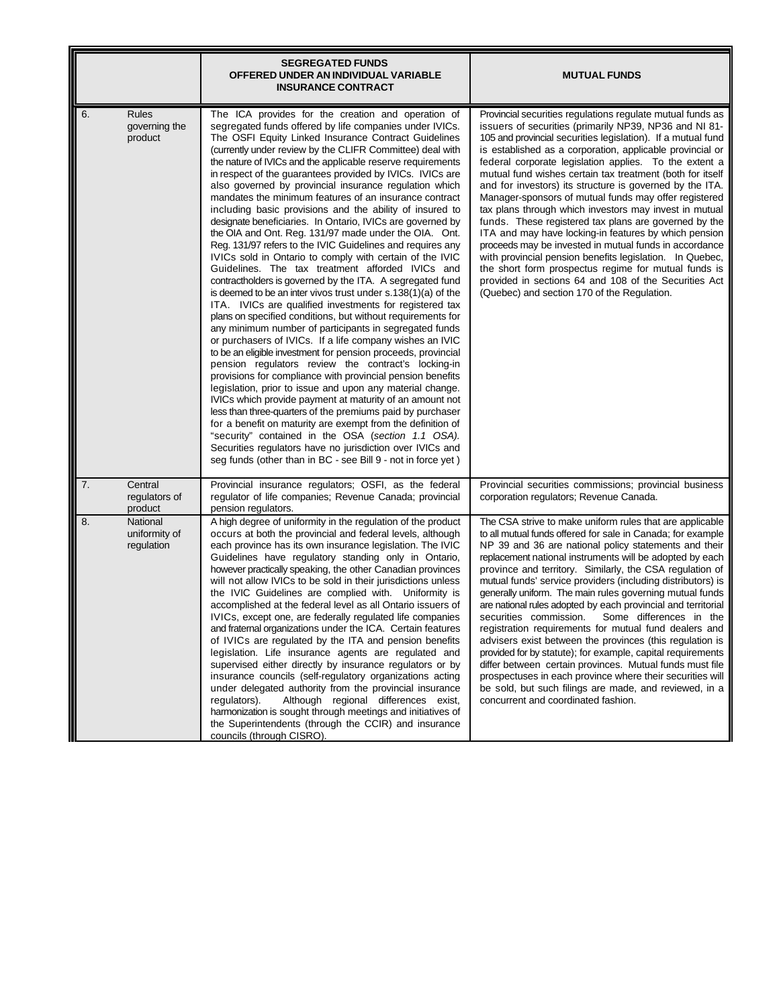|                                                | <b>SEGREGATED FUNDS</b><br>OFFERED UNDER AN INDIVIDUAL VARIABLE<br><b>INSURANCE CONTRACT</b>                                                                                                                                                                                                                                                                                                                                                                                                                                                                                                                                                                                                                                                                                                                                                                                                                                                                                                                                                                                                                                                                                                                                                                                                                                                                                                                                                                                                                                                                                                                                                                                                                                                                                                                                                                     | <b>MUTUAL FUNDS</b>                                                                                                                                                                                                                                                                                                                                                                                                                                                                                                                                                                                                                                                                                                                                                                                                                                                                                                                                                  |
|------------------------------------------------|------------------------------------------------------------------------------------------------------------------------------------------------------------------------------------------------------------------------------------------------------------------------------------------------------------------------------------------------------------------------------------------------------------------------------------------------------------------------------------------------------------------------------------------------------------------------------------------------------------------------------------------------------------------------------------------------------------------------------------------------------------------------------------------------------------------------------------------------------------------------------------------------------------------------------------------------------------------------------------------------------------------------------------------------------------------------------------------------------------------------------------------------------------------------------------------------------------------------------------------------------------------------------------------------------------------------------------------------------------------------------------------------------------------------------------------------------------------------------------------------------------------------------------------------------------------------------------------------------------------------------------------------------------------------------------------------------------------------------------------------------------------------------------------------------------------------------------------------------------------|----------------------------------------------------------------------------------------------------------------------------------------------------------------------------------------------------------------------------------------------------------------------------------------------------------------------------------------------------------------------------------------------------------------------------------------------------------------------------------------------------------------------------------------------------------------------------------------------------------------------------------------------------------------------------------------------------------------------------------------------------------------------------------------------------------------------------------------------------------------------------------------------------------------------------------------------------------------------|
| 6.<br><b>Rules</b><br>governing the<br>product | The ICA provides for the creation and operation of<br>segregated funds offered by life companies under IVICs.<br>The OSFI Equity Linked Insurance Contract Guidelines<br>(currently under review by the CLIFR Committee) deal with<br>the nature of IVICs and the applicable reserve requirements<br>in respect of the guarantees provided by IVICs. IVICs are<br>also governed by provincial insurance regulation which<br>mandates the minimum features of an insurance contract<br>including basic provisions and the ability of insured to<br>designate beneficiaries. In Ontario, IVICs are governed by<br>the OIA and Ont. Reg. 131/97 made under the OIA. Ont.<br>Reg. 131/97 refers to the IVIC Guidelines and requires any<br>IVICs sold in Ontario to comply with certain of the IVIC<br>Guidelines. The tax treatment afforded IVICs and<br>contractholders is governed by the ITA. A segregated fund<br>is deemed to be an inter vivos trust under s.138(1)(a) of the<br>ITA. IVICs are qualified investments for registered tax<br>plans on specified conditions, but without requirements for<br>any minimum number of participants in segregated funds<br>or purchasers of IVICs. If a life company wishes an IVIC<br>to be an eligible investment for pension proceeds, provincial<br>pension regulators review the contract's locking-in<br>provisions for compliance with provincial pension benefits<br>legislation, prior to issue and upon any material change.<br>IVICs which provide payment at maturity of an amount not<br>less than three-quarters of the premiums paid by purchaser<br>for a benefit on maturity are exempt from the definition of<br>"security" contained in the OSA (section 1.1 OSA).<br>Securities regulators have no jurisdiction over IVICs and<br>seg funds (other than in BC - see Bill 9 - not in force yet) | Provincial securities regulations regulate mutual funds as<br>issuers of securities (primarily NP39, NP36 and NI 81-<br>105 and provincial securities legislation). If a mutual fund<br>is established as a corporation, applicable provincial or<br>federal corporate legislation applies. To the extent a<br>mutual fund wishes certain tax treatment (both for itself<br>and for investors) its structure is governed by the ITA.<br>Manager-sponsors of mutual funds may offer registered<br>tax plans through which investors may invest in mutual<br>funds. These registered tax plans are governed by the<br>ITA and may have locking-in features by which pension<br>proceeds may be invested in mutual funds in accordance<br>with provincial pension benefits legislation. In Quebec,<br>the short form prospectus regime for mutual funds is<br>provided in sections 64 and 108 of the Securities Act<br>(Quebec) and section 170 of the Regulation.      |
| 7.<br>Central<br>regulators of<br>product      | Provincial insurance regulators; OSFI, as the federal<br>regulator of life companies; Revenue Canada; provincial<br>pension regulators.                                                                                                                                                                                                                                                                                                                                                                                                                                                                                                                                                                                                                                                                                                                                                                                                                                                                                                                                                                                                                                                                                                                                                                                                                                                                                                                                                                                                                                                                                                                                                                                                                                                                                                                          | Provincial securities commissions; provincial business<br>corporation regulators; Revenue Canada.                                                                                                                                                                                                                                                                                                                                                                                                                                                                                                                                                                                                                                                                                                                                                                                                                                                                    |
| 8.<br>National<br>uniformity of<br>regulation  | A high degree of uniformity in the regulation of the product<br>occurs at both the provincial and federal levels, although<br>each province has its own insurance legislation. The IVIC<br>Guidelines have regulatory standing only in Ontario,<br>however practically speaking, the other Canadian provinces<br>will not allow IVICs to be sold in their jurisdictions unless<br>the IVIC Guidelines are complied with. Uniformity is<br>accomplished at the federal level as all Ontario issuers of<br>IVICs, except one, are federally regulated life companies<br>and fraternal organizations under the ICA. Certain features<br>of IVICs are regulated by the ITA and pension benefits<br>legislation. Life insurance agents are regulated and<br>supervised either directly by insurance regulators or by<br>insurance councils (self-regulatory organizations acting<br>under delegated authority from the provincial insurance<br>regulators).<br>Although regional differences exist,<br>harmonization is sought through meetings and initiatives of<br>the Superintendents (through the CCIR) and insurance<br>councils (through CISRO).                                                                                                                                                                                                                                                                                                                                                                                                                                                                                                                                                                                                                                                                                                               | The CSA strive to make uniform rules that are applicable<br>to all mutual funds offered for sale in Canada; for example<br>NP 39 and 36 are national policy statements and their<br>replacement national instruments will be adopted by each<br>province and territory. Similarly, the CSA regulation of<br>mutual funds' service providers (including distributors) is<br>generally uniform. The main rules governing mutual funds<br>are national rules adopted by each provincial and territorial<br>securities commission. Some differences in the<br>registration requirements for mutual fund dealers and<br>advisers exist between the provinces (this regulation is<br>provided for by statute); for example, capital requirements<br>differ between certain provinces. Mutual funds must file<br>prospectuses in each province where their securities will<br>be sold, but such filings are made, and reviewed, in a<br>concurrent and coordinated fashion. |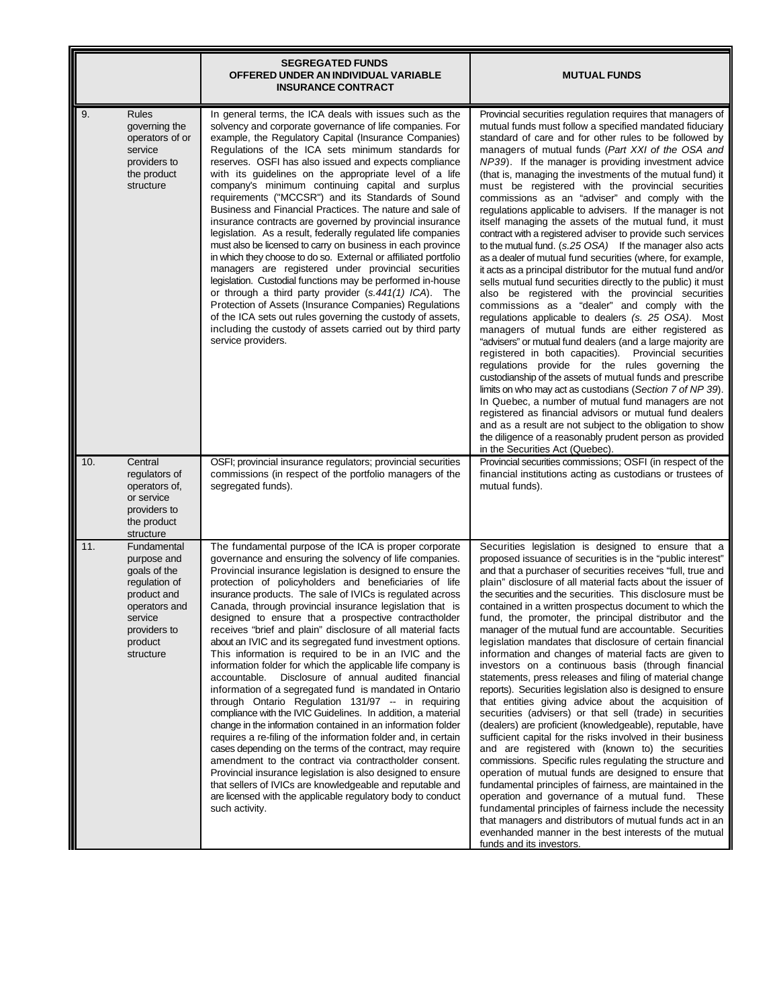|                                                                                                                                                       | <b>SEGREGATED FUNDS</b><br>OFFERED UNDER AN INDIVIDUAL VARIABLE<br><b>INSURANCE CONTRACT</b>                                                                                                                                                                                                                                                                                                                                                                                                                                                                                                                                                                                                                                                                                                                                                                                                                                                                                                                                                                                                                                                                                                                                                                                                                                                                                                 | <b>MUTUAL FUNDS</b>                                                                                                                                                                                                                                                                                                                                                                                                                                                                                                                                                                                                                                                                                                                                                                                                                                                                                                                                                                                                                                                                                                                                                                                                                                                                                                                                                                                                                                                                                                                                                                                                                                                                                                    |
|-------------------------------------------------------------------------------------------------------------------------------------------------------|----------------------------------------------------------------------------------------------------------------------------------------------------------------------------------------------------------------------------------------------------------------------------------------------------------------------------------------------------------------------------------------------------------------------------------------------------------------------------------------------------------------------------------------------------------------------------------------------------------------------------------------------------------------------------------------------------------------------------------------------------------------------------------------------------------------------------------------------------------------------------------------------------------------------------------------------------------------------------------------------------------------------------------------------------------------------------------------------------------------------------------------------------------------------------------------------------------------------------------------------------------------------------------------------------------------------------------------------------------------------------------------------|------------------------------------------------------------------------------------------------------------------------------------------------------------------------------------------------------------------------------------------------------------------------------------------------------------------------------------------------------------------------------------------------------------------------------------------------------------------------------------------------------------------------------------------------------------------------------------------------------------------------------------------------------------------------------------------------------------------------------------------------------------------------------------------------------------------------------------------------------------------------------------------------------------------------------------------------------------------------------------------------------------------------------------------------------------------------------------------------------------------------------------------------------------------------------------------------------------------------------------------------------------------------------------------------------------------------------------------------------------------------------------------------------------------------------------------------------------------------------------------------------------------------------------------------------------------------------------------------------------------------------------------------------------------------------------------------------------------------|
| 9.<br><b>Rules</b><br>governing the<br>operators of or<br>service<br>providers to<br>the product<br>structure                                         | In general terms, the ICA deals with issues such as the<br>solvency and corporate governance of life companies. For<br>example, the Regulatory Capital (Insurance Companies)<br>Regulations of the ICA sets minimum standards for<br>reserves. OSFI has also issued and expects compliance<br>with its guidelines on the appropriate level of a life<br>company's minimum continuing capital and surplus<br>requirements ("MCCSR") and its Standards of Sound<br>Business and Financial Practices. The nature and sale of<br>insurance contracts are governed by provincial insurance<br>legislation. As a result, federally regulated life companies<br>must also be licensed to carry on business in each province<br>in which they choose to do so. External or affiliated portfolio<br>managers are registered under provincial securities<br>legislation. Custodial functions may be performed in-house<br>or through a third party provider (s.441(1) ICA). The<br>Protection of Assets (Insurance Companies) Regulations<br>of the ICA sets out rules governing the custody of assets,<br>including the custody of assets carried out by third party<br>service providers.                                                                                                                                                                                                            | Provincial securities regulation requires that managers of<br>mutual funds must follow a specified mandated fiduciary<br>standard of care and for other rules to be followed by<br>managers of mutual funds (Part XXI of the OSA and<br>NP39). If the manager is providing investment advice<br>(that is, managing the investments of the mutual fund) it<br>must be registered with the provincial securities<br>commissions as an "adviser" and comply with the<br>regulations applicable to advisers. If the manager is not<br>itself managing the assets of the mutual fund, it must<br>contract with a registered adviser to provide such services<br>to the mutual fund. (s.25 OSA) If the manager also acts<br>as a dealer of mutual fund securities (where, for example,<br>it acts as a principal distributor for the mutual fund and/or<br>sells mutual fund securities directly to the public) it must<br>also be registered with the provincial securities<br>commissions as a "dealer" and comply with the<br>regulations applicable to dealers (s. 25 OSA). Most<br>managers of mutual funds are either registered as<br>"advisers" or mutual fund dealers (and a large majority are<br>registered in both capacities). Provincial securities<br>regulations provide for the rules governing the<br>custodianship of the assets of mutual funds and prescribe<br>limits on who may act as custodians (Section 7 of NP 39).<br>In Quebec, a number of mutual fund managers are not<br>registered as financial advisors or mutual fund dealers<br>and as a result are not subject to the obligation to show<br>the diligence of a reasonably prudent person as provided<br>in the Securities Act (Quebec). |
| 10.<br>Central<br>regulators of<br>operators of,<br>or service<br>providers to<br>the product<br>structure                                            | OSFI; provincial insurance regulators; provincial securities<br>commissions (in respect of the portfolio managers of the<br>segregated funds).                                                                                                                                                                                                                                                                                                                                                                                                                                                                                                                                                                                                                                                                                                                                                                                                                                                                                                                                                                                                                                                                                                                                                                                                                                               | Provincial securities commissions; OSFI (in respect of the<br>financial institutions acting as custodians or trustees of<br>mutual funds).                                                                                                                                                                                                                                                                                                                                                                                                                                                                                                                                                                                                                                                                                                                                                                                                                                                                                                                                                                                                                                                                                                                                                                                                                                                                                                                                                                                                                                                                                                                                                                             |
| 11.<br>Fundamental<br>purpose and<br>goals of the<br>regulation of<br>product and<br>operators and<br>service<br>providers to<br>product<br>structure | The fundamental purpose of the ICA is proper corporate<br>governance and ensuring the solvency of life companies.<br>Provincial insurance legislation is designed to ensure the<br>protection of policyholders and beneficiaries of life<br>insurance products. The sale of IVICs is regulated across<br>Canada, through provincial insurance legislation that is<br>designed to ensure that a prospective contractholder<br>receives "brief and plain" disclosure of all material facts<br>about an IVIC and its segregated fund investment options.<br>This information is required to be in an IVIC and the<br>information folder for which the applicable life company is<br>Disclosure of annual audited financial<br>accountable.<br>information of a segregated fund is mandated in Ontario<br>through Ontario Regulation 131/97 -- in requiring<br>compliance with the IVIC Guidelines. In addition, a material<br>change in the information contained in an information folder<br>requires a re-filing of the information folder and, in certain<br>cases depending on the terms of the contract, may require<br>amendment to the contract via contractholder consent.<br>Provincial insurance legislation is also designed to ensure<br>that sellers of IVICs are knowledgeable and reputable and<br>are licensed with the applicable regulatory body to conduct<br>such activity. | Securities legislation is designed to ensure that a<br>proposed issuance of securities is in the "public interest"<br>and that a purchaser of securities receives "full, true and<br>plain" disclosure of all material facts about the issuer of<br>the securities and the securities. This disclosure must be<br>contained in a written prospectus document to which the<br>fund, the promoter, the principal distributor and the<br>manager of the mutual fund are accountable. Securities<br>legislation mandates that disclosure of certain financial<br>information and changes of material facts are given to<br>investors on a continuous basis (through financial<br>statements, press releases and filing of material change<br>reports). Securities legislation also is designed to ensure<br>that entities giving advice about the acquisition of<br>securities (advisers) or that sell (trade) in securities<br>(dealers) are proficient (knowledgeable), reputable, have<br>sufficient capital for the risks involved in their business<br>and are registered with (known to) the securities<br>commissions. Specific rules regulating the structure and<br>operation of mutual funds are designed to ensure that<br>fundamental principles of fairness, are maintained in the<br>operation and governance of a mutual fund. These<br>fundamental principles of fairness include the necessity<br>that managers and distributors of mutual funds act in an<br>evenhanded manner in the best interests of the mutual<br>funds and its investors.                                                                                                                                                           |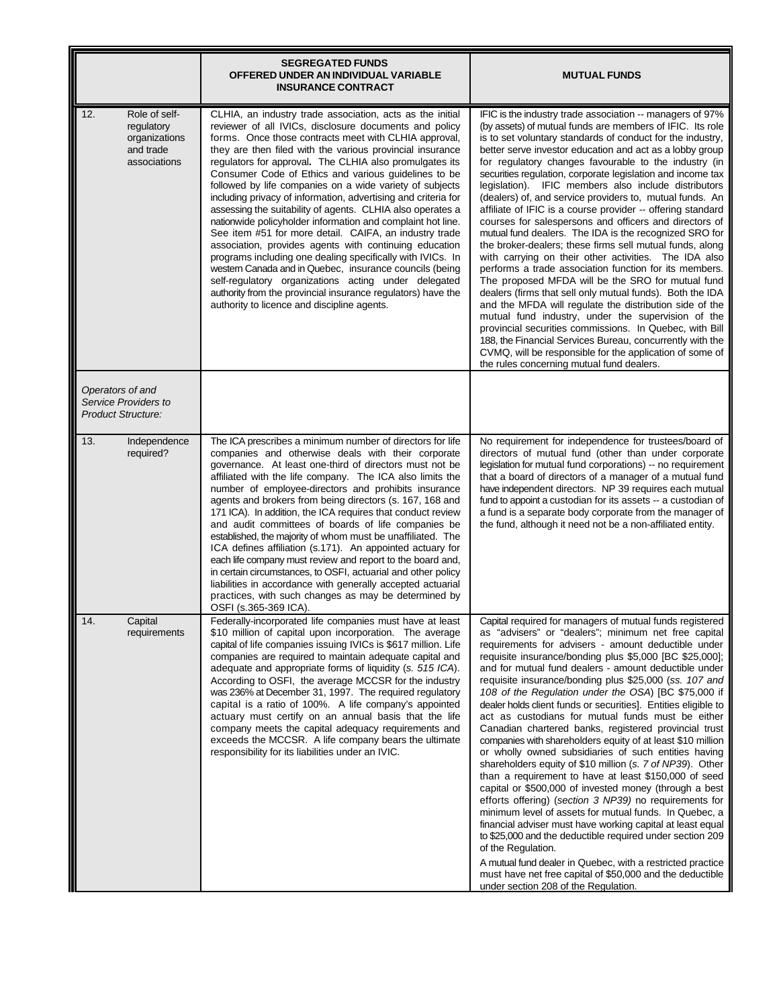|                                                                                  | <b>SEGREGATED FUNDS</b><br>OFFERED UNDER AN INDIVIDUAL VARIABLE<br><b>INSURANCE CONTRACT</b>                                                                                                                                                                                                                                                                                                                                                                                                                                                                                                                                                                                                                                                                                                                                                                                                                                                                                                                                                | <b>MUTUAL FUNDS</b>                                                                                                                                                                                                                                                                                                                                                                                                                                                                                                                                                                                                                                                                                                                                                                                                                                                                                                                                                                                                                                                                                                                                                                                                                                                                                                                          |
|----------------------------------------------------------------------------------|---------------------------------------------------------------------------------------------------------------------------------------------------------------------------------------------------------------------------------------------------------------------------------------------------------------------------------------------------------------------------------------------------------------------------------------------------------------------------------------------------------------------------------------------------------------------------------------------------------------------------------------------------------------------------------------------------------------------------------------------------------------------------------------------------------------------------------------------------------------------------------------------------------------------------------------------------------------------------------------------------------------------------------------------|----------------------------------------------------------------------------------------------------------------------------------------------------------------------------------------------------------------------------------------------------------------------------------------------------------------------------------------------------------------------------------------------------------------------------------------------------------------------------------------------------------------------------------------------------------------------------------------------------------------------------------------------------------------------------------------------------------------------------------------------------------------------------------------------------------------------------------------------------------------------------------------------------------------------------------------------------------------------------------------------------------------------------------------------------------------------------------------------------------------------------------------------------------------------------------------------------------------------------------------------------------------------------------------------------------------------------------------------|
| 12.<br>Role of self-<br>regulatory<br>organizations<br>and trade<br>associations | CLHIA, an industry trade association, acts as the initial<br>reviewer of all IVICs, disclosure documents and policy<br>forms. Once those contracts meet with CLHIA approval,<br>they are then filed with the various provincial insurance<br>regulators for approval. The CLHIA also promulgates its<br>Consumer Code of Ethics and various guidelines to be<br>followed by life companies on a wide variety of subjects<br>including privacy of information, advertising and criteria for<br>assessing the suitability of agents. CLHIA also operates a<br>nationwide policyholder information and complaint hot line.<br>See item #51 for more detail. CAIFA, an industry trade<br>association, provides agents with continuing education<br>programs including one dealing specifically with IVICs. In<br>western Canada and in Quebec, insurance councils (being<br>self-regulatory organizations acting under delegated<br>authority from the provincial insurance regulators) have the<br>authority to licence and discipline agents. | IFIC is the industry trade association -- managers of 97%<br>(by assets) of mutual funds are members of IFIC. Its role<br>is to set voluntary standards of conduct for the industry,<br>better serve investor education and act as a lobby group<br>for regulatory changes favourable to the industry (in<br>securities regulation, corporate legislation and income tax<br>legislation). IFIC members also include distributors<br>(dealers) of, and service providers to, mutual funds. An<br>affiliate of IFIC is a course provider -- offering standard<br>courses for salespersons and officers and directors of<br>mutual fund dealers. The IDA is the recognized SRO for<br>the broker-dealers; these firms sell mutual funds, along<br>with carrying on their other activities. The IDA also<br>performs a trade association function for its members.<br>The proposed MFDA will be the SRO for mutual fund<br>dealers (firms that sell only mutual funds). Both the IDA<br>and the MFDA will regulate the distribution side of the<br>mutual fund industry, under the supervision of the<br>provincial securities commissions. In Quebec, with Bill<br>188, the Financial Services Bureau, concurrently with the<br>CVMQ, will be responsible for the application of some of<br>the rules concerning mutual fund dealers.           |
| Operators of and<br>Service Providers to<br><b>Product Structure:</b>            |                                                                                                                                                                                                                                                                                                                                                                                                                                                                                                                                                                                                                                                                                                                                                                                                                                                                                                                                                                                                                                             |                                                                                                                                                                                                                                                                                                                                                                                                                                                                                                                                                                                                                                                                                                                                                                                                                                                                                                                                                                                                                                                                                                                                                                                                                                                                                                                                              |
| 13.<br>Independence<br>required?                                                 | The ICA prescribes a minimum number of directors for life<br>companies and otherwise deals with their corporate<br>governance. At least one-third of directors must not be<br>affiliated with the life company. The ICA also limits the<br>number of employee-directors and prohibits insurance<br>agents and brokers from being directors (s. 167, 168 and<br>171 ICA). In addition, the ICA requires that conduct review<br>and audit committees of boards of life companies be<br>established, the majority of whom must be unaffiliated. The<br>ICA defines affiliation (s.171). An appointed actuary for<br>each life company must review and report to the board and,<br>in certain circumstances, to OSFI, actuarial and other policy<br>liabilities in accordance with generally accepted actuarial<br>practices, with such changes as may be determined by<br>OSFI (s.365-369 ICA).                                                                                                                                                | No requirement for independence for trustees/board of<br>directors of mutual fund (other than under corporate<br>legislation for mutual fund corporations) -- no requirement<br>that a board of directors of a manager of a mutual fund<br>have independent directors. NP 39 requires each mutual<br>fund to appoint a custodian for its assets -- a custodian of<br>a fund is a separate body corporate from the manager of<br>the fund, although it need not be a non-affiliated entity.                                                                                                                                                                                                                                                                                                                                                                                                                                                                                                                                                                                                                                                                                                                                                                                                                                                   |
| 14.<br>Capital<br>requirements                                                   | Federally-incorporated life companies must have at least<br>\$10 million of capital upon incorporation. The average<br>capital of life companies issuing IVICs is \$617 million. Life<br>companies are required to maintain adequate capital and<br>adequate and appropriate forms of liquidity (s. 515 ICA).<br>According to OSFI, the average MCCSR for the industry<br>was 236% at December 31, 1997. The required regulatory<br>capital is a ratio of 100%. A life company's appointed<br>actuary must certify on an annual basis that the life<br>company meets the capital adequacy requirements and<br>exceeds the MCCSR. A life company bears the ultimate<br>responsibility for its liabilities under an IVIC.                                                                                                                                                                                                                                                                                                                     | Capital required for managers of mutual funds registered<br>as "advisers" or "dealers"; minimum net free capital<br>requirements for advisers - amount deductible under<br>requisite insurance/bonding plus \$5,000 [BC \$25,000];<br>and for mutual fund dealers - amount deductible under<br>requisite insurance/bonding plus \$25,000 (ss. 107 and<br>108 of the Regulation under the OSA) [BC \$75,000 if<br>dealer holds client funds or securities]. Entities eligible to<br>act as custodians for mutual funds must be either<br>Canadian chartered banks, registered provincial trust<br>companies with shareholders equity of at least \$10 million<br>or wholly owned subsidiaries of such entities having<br>shareholders equity of \$10 million (s. 7 of NP39). Other<br>than a requirement to have at least \$150,000 of seed<br>capital or \$500,000 of invested money (through a best<br>efforts offering) (section 3 NP39) no requirements for<br>minimum level of assets for mutual funds. In Quebec, a<br>financial adviser must have working capital at least equal<br>to \$25,000 and the deductible required under section 209<br>of the Regulation.<br>A mutual fund dealer in Quebec, with a restricted practice<br>must have net free capital of \$50,000 and the deductible<br>under section 208 of the Regulation. |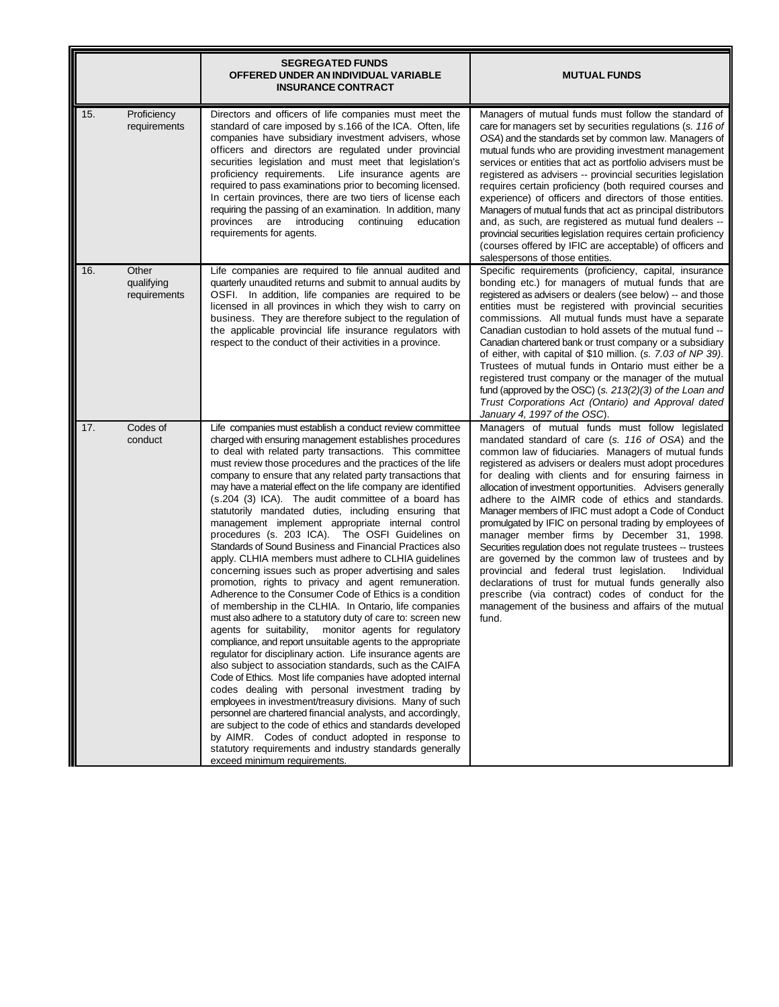|     |                                     | <b>SEGREGATED FUNDS</b><br>OFFERED UNDER AN INDIVIDUAL VARIABLE<br><b>INSURANCE CONTRACT</b>                                                                                                                                                                                                                                                                                                                                                                                                                                                                                                                                                                                                                                                                                                                                                                                                                                                                                                                                                                                                                                                                                                                                                                                                                                                                                                                                                                                                                                                                                                                                                                                                                                               | <b>MUTUAL FUNDS</b>                                                                                                                                                                                                                                                                                                                                                                                                                                                                                                                                                                                                                                                                                                                                                                                                                                                                                                               |
|-----|-------------------------------------|--------------------------------------------------------------------------------------------------------------------------------------------------------------------------------------------------------------------------------------------------------------------------------------------------------------------------------------------------------------------------------------------------------------------------------------------------------------------------------------------------------------------------------------------------------------------------------------------------------------------------------------------------------------------------------------------------------------------------------------------------------------------------------------------------------------------------------------------------------------------------------------------------------------------------------------------------------------------------------------------------------------------------------------------------------------------------------------------------------------------------------------------------------------------------------------------------------------------------------------------------------------------------------------------------------------------------------------------------------------------------------------------------------------------------------------------------------------------------------------------------------------------------------------------------------------------------------------------------------------------------------------------------------------------------------------------------------------------------------------------|-----------------------------------------------------------------------------------------------------------------------------------------------------------------------------------------------------------------------------------------------------------------------------------------------------------------------------------------------------------------------------------------------------------------------------------------------------------------------------------------------------------------------------------------------------------------------------------------------------------------------------------------------------------------------------------------------------------------------------------------------------------------------------------------------------------------------------------------------------------------------------------------------------------------------------------|
| 15. | Proficiency<br>requirements         | Directors and officers of life companies must meet the<br>standard of care imposed by s.166 of the ICA. Often, life<br>companies have subsidiary investment advisers, whose<br>officers and directors are regulated under provincial<br>securities legislation and must meet that legislation's<br>proficiency requirements. Life insurance agents are<br>required to pass examinations prior to becoming licensed.<br>In certain provinces, there are two tiers of license each<br>requiring the passing of an examination. In addition, many<br>provinces are introducing<br>continuing<br>education<br>requirements for agents.                                                                                                                                                                                                                                                                                                                                                                                                                                                                                                                                                                                                                                                                                                                                                                                                                                                                                                                                                                                                                                                                                                         | Managers of mutual funds must follow the standard of<br>care for managers set by securities regulations (s. 116 of<br>OSA) and the standards set by common law. Managers of<br>mutual funds who are providing investment management<br>services or entities that act as portfolio advisers must be<br>registered as advisers -- provincial securities legislation<br>requires certain proficiency (both required courses and<br>experience) of officers and directors of those entities.<br>Managers of mutual funds that act as principal distributors<br>and, as such, are registered as mutual fund dealers --<br>provincial securities legislation requires certain proficiency<br>(courses offered by IFIC are acceptable) of officers and<br>salespersons of those entities.                                                                                                                                                |
| 16. | Other<br>qualifying<br>requirements | Life companies are required to file annual audited and<br>quarterly unaudited returns and submit to annual audits by<br>OSFI. In addition, life companies are required to be<br>licensed in all provinces in which they wish to carry on<br>business. They are therefore subject to the regulation of<br>the applicable provincial life insurance regulators with<br>respect to the conduct of their activities in a province.                                                                                                                                                                                                                                                                                                                                                                                                                                                                                                                                                                                                                                                                                                                                                                                                                                                                                                                                                                                                                                                                                                                                                                                                                                                                                                             | Specific requirements (proficiency, capital, insurance<br>bonding etc.) for managers of mutual funds that are<br>registered as advisers or dealers (see below) -- and those<br>entities must be registered with provincial securities<br>commissions. All mutual funds must have a separate<br>Canadian custodian to hold assets of the mutual fund --<br>Canadian chartered bank or trust company or a subsidiary<br>of either, with capital of \$10 million. (s. 7.03 of NP 39).<br>Trustees of mutual funds in Ontario must either be a<br>registered trust company or the manager of the mutual<br>fund (approved by the OSC) (s. $213(2)(3)$ of the Loan and<br>Trust Corporations Act (Ontario) and Approval dated<br>January 4, 1997 of the OSC).                                                                                                                                                                          |
| 17. | Codes of<br>conduct                 | Life companies must establish a conduct review committee<br>charged with ensuring management establishes procedures<br>to deal with related party transactions. This committee<br>must review those procedures and the practices of the life<br>company to ensure that any related party transactions that<br>may have a material effect on the life company are identified<br>(s.204 (3) ICA). The audit committee of a board has<br>statutorily mandated duties, including ensuring that<br>management implement appropriate internal control<br>procedures (s. 203 ICA). The OSFI Guidelines on<br>Standards of Sound Business and Financial Practices also<br>apply. CLHIA members must adhere to CLHIA guidelines<br>concerning issues such as proper advertising and sales<br>promotion, rights to privacy and agent remuneration.<br>Adherence to the Consumer Code of Ethics is a condition<br>of membership in the CLHIA. In Ontario, life companies<br>must also adhere to a statutory duty of care to: screen new<br>agents for suitability, monitor agents for regulatory<br>compliance, and report unsuitable agents to the appropriate<br>regulator for disciplinary action. Life insurance agents are<br>also subject to association standards, such as the CAIFA<br>Code of Ethics. Most life companies have adopted internal<br>codes dealing with personal investment trading by<br>employees in investment/treasury divisions. Many of such<br>personnel are chartered financial analysts, and accordingly,<br>are subject to the code of ethics and standards developed<br>by AIMR. Codes of conduct adopted in response to<br>statutory requirements and industry standards generally<br>exceed minimum requirements. | Managers of mutual funds must follow legislated<br>mandated standard of care (s. 116 of OSA) and the<br>common law of fiduciaries. Managers of mutual funds<br>registered as advisers or dealers must adopt procedures<br>for dealing with clients and for ensuring fairness in<br>allocation of investment opportunities. Advisers generally<br>adhere to the AIMR code of ethics and standards.<br>Manager members of IFIC must adopt a Code of Conduct<br>promulgated by IFIC on personal trading by employees of<br>manager member firms by December 31, 1998.<br>Securities regulation does not regulate trustees -- trustees<br>are governed by the common law of trustees and by<br>provincial and federal trust legislation.<br>Individual<br>declarations of trust for mutual funds generally also<br>prescribe (via contract) codes of conduct for the<br>management of the business and affairs of the mutual<br>fund. |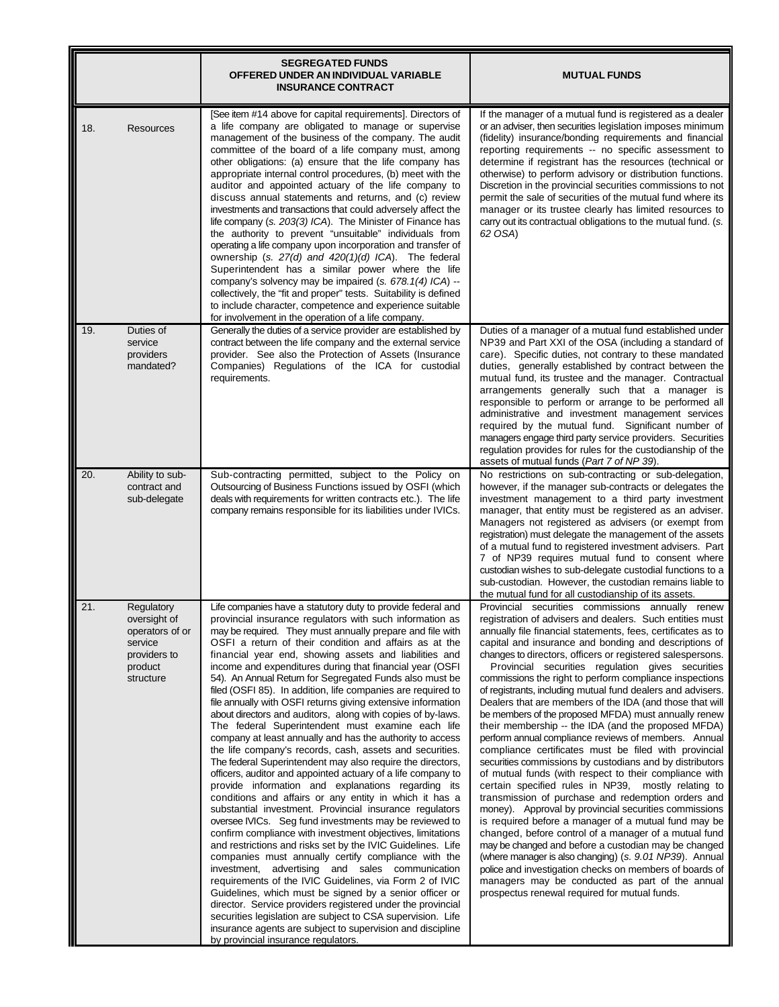|     |                                                                                                  | <b>SEGREGATED FUNDS</b><br>OFFERED UNDER AN INDIVIDUAL VARIABLE<br><b>INSURANCE CONTRACT</b>                                                                                                                                                                                                                                                                                                                                                                                                                                                                                                                                                                                                                                                                                                                                                                                                                                                                                                                                                                                                                                                                                                                                                                                                                                                                                                                                                                                                                                                                                                                                                                                                                                                                                    | <b>MUTUAL FUNDS</b>                                                                                                                                                                                                                                                                                                                                                                                                                                                                                                                                                                                                                                                                                                                                                                                                                                                                                                                                                                                                                                                                                                                                                                                                                                                                                                                                                                                                                                                           |
|-----|--------------------------------------------------------------------------------------------------|---------------------------------------------------------------------------------------------------------------------------------------------------------------------------------------------------------------------------------------------------------------------------------------------------------------------------------------------------------------------------------------------------------------------------------------------------------------------------------------------------------------------------------------------------------------------------------------------------------------------------------------------------------------------------------------------------------------------------------------------------------------------------------------------------------------------------------------------------------------------------------------------------------------------------------------------------------------------------------------------------------------------------------------------------------------------------------------------------------------------------------------------------------------------------------------------------------------------------------------------------------------------------------------------------------------------------------------------------------------------------------------------------------------------------------------------------------------------------------------------------------------------------------------------------------------------------------------------------------------------------------------------------------------------------------------------------------------------------------------------------------------------------------|-------------------------------------------------------------------------------------------------------------------------------------------------------------------------------------------------------------------------------------------------------------------------------------------------------------------------------------------------------------------------------------------------------------------------------------------------------------------------------------------------------------------------------------------------------------------------------------------------------------------------------------------------------------------------------------------------------------------------------------------------------------------------------------------------------------------------------------------------------------------------------------------------------------------------------------------------------------------------------------------------------------------------------------------------------------------------------------------------------------------------------------------------------------------------------------------------------------------------------------------------------------------------------------------------------------------------------------------------------------------------------------------------------------------------------------------------------------------------------|
| 18. | <b>Resources</b>                                                                                 | [See item #14 above for capital requirements]. Directors of<br>a life company are obligated to manage or supervise<br>management of the business of the company. The audit<br>committee of the board of a life company must, among<br>other obligations: (a) ensure that the life company has<br>appropriate internal control procedures, (b) meet with the<br>auditor and appointed actuary of the life company to<br>discuss annual statements and returns, and (c) review<br>investments and transactions that could adversely affect the<br>life company (s. 203(3) ICA). The Minister of Finance has<br>the authority to prevent "unsuitable" individuals from<br>operating a life company upon incorporation and transfer of<br>ownership (s. 27(d) and 420(1)(d) ICA). The federal<br>Superintendent has a similar power where the life<br>company's solvency may be impaired (s. 678.1(4) ICA) --<br>collectively, the "fit and proper" tests. Suitability is defined<br>to include character, competence and experience suitable<br>for involvement in the operation of a life company.                                                                                                                                                                                                                                                                                                                                                                                                                                                                                                                                                                                                                                                                                | If the manager of a mutual fund is registered as a dealer<br>or an adviser, then securities legislation imposes minimum<br>(fidelity) insurance/bonding requirements and financial<br>reporting requirements -- no specific assessment to<br>determine if registrant has the resources (technical or<br>otherwise) to perform advisory or distribution functions.<br>Discretion in the provincial securities commissions to not<br>permit the sale of securities of the mutual fund where its<br>manager or its trustee clearly has limited resources to<br>carry out its contractual obligations to the mutual fund. (s.<br>62 OSA)                                                                                                                                                                                                                                                                                                                                                                                                                                                                                                                                                                                                                                                                                                                                                                                                                                          |
| 19. | Duties of<br>service<br>providers<br>mandated?                                                   | Generally the duties of a service provider are established by<br>contract between the life company and the external service<br>provider. See also the Protection of Assets (Insurance<br>Companies) Regulations of the ICA for custodial<br>requirements.                                                                                                                                                                                                                                                                                                                                                                                                                                                                                                                                                                                                                                                                                                                                                                                                                                                                                                                                                                                                                                                                                                                                                                                                                                                                                                                                                                                                                                                                                                                       | Duties of a manager of a mutual fund established under<br>NP39 and Part XXI of the OSA (including a standard of<br>care). Specific duties, not contrary to these mandated<br>duties, generally established by contract between the<br>mutual fund, its trustee and the manager. Contractual<br>arrangements generally such that a manager is<br>responsible to perform or arrange to be performed all<br>administrative and investment management services<br>required by the mutual fund. Significant number of<br>managers engage third party service providers. Securities<br>regulation provides for rules for the custodianship of the<br>assets of mutual funds (Part 7 of NP 39).                                                                                                                                                                                                                                                                                                                                                                                                                                                                                                                                                                                                                                                                                                                                                                                      |
| 20. | Ability to sub-<br>contract and<br>sub-delegate                                                  | Sub-contracting permitted, subject to the Policy on<br>Outsourcing of Business Functions issued by OSFI (which<br>deals with requirements for written contracts etc.). The life<br>company remains responsible for its liabilities under IVICs.                                                                                                                                                                                                                                                                                                                                                                                                                                                                                                                                                                                                                                                                                                                                                                                                                                                                                                                                                                                                                                                                                                                                                                                                                                                                                                                                                                                                                                                                                                                                 | No restrictions on sub-contracting or sub-delegation,<br>however, if the manager sub-contracts or delegates the<br>investment management to a third party investment<br>manager, that entity must be registered as an adviser.<br>Managers not registered as advisers (or exempt from<br>registration) must delegate the management of the assets<br>of a mutual fund to registered investment advisers. Part<br>7 of NP39 requires mutual fund to consent where<br>custodian wishes to sub-delegate custodial functions to a<br>sub-custodian. However, the custodian remains liable to<br>the mutual fund for all custodianship of its assets.                                                                                                                                                                                                                                                                                                                                                                                                                                                                                                                                                                                                                                                                                                                                                                                                                              |
| 21. | Regulatory<br>oversight of<br>operators of or<br>service<br>providers to<br>product<br>structure | Life companies have a statutory duty to provide federal and<br>provincial insurance regulators with such information as<br>may be required. They must annually prepare and file with<br>OSFI a return of their condition and affairs as at the<br>financial year end, showing assets and liabilities and<br>income and expenditures during that financial year (OSFI<br>54). An Annual Return for Segregated Funds also must be<br>filed (OSFI 85). In addition, life companies are required to<br>file annually with OSFI returns giving extensive information<br>about directors and auditors, along with copies of by-laws.<br>The federal Superintendent must examine each life<br>company at least annually and has the authority to access<br>the life company's records, cash, assets and securities.<br>The federal Superintendent may also require the directors,<br>officers, auditor and appointed actuary of a life company to<br>provide information and explanations regarding its<br>conditions and affairs or any entity in which it has a<br>substantial investment. Provincial insurance regulators<br>oversee IVICs. Seg fund investments may be reviewed to<br>confirm compliance with investment objectives, limitations<br>and restrictions and risks set by the IVIC Guidelines. Life<br>companies must annually certify compliance with the<br>investment, advertising and sales communication<br>requirements of the IVIC Guidelines, via Form 2 of IVIC<br>Guidelines, which must be signed by a senior officer or<br>director. Service providers registered under the provincial<br>securities legislation are subject to CSA supervision. Life<br>insurance agents are subject to supervision and discipline<br>by provincial insurance regulators. | Provincial securities commissions annually renew<br>registration of advisers and dealers. Such entities must<br>annually file financial statements, fees, certificates as to<br>capital and insurance and bonding and descriptions of<br>changes to directors, officers or registered salespersons.<br>Provincial securities regulation gives securities<br>commissions the right to perform compliance inspections<br>of registrants, including mutual fund dealers and advisers.<br>Dealers that are members of the IDA (and those that will<br>be members of the proposed MFDA) must annually renew<br>their membership -- the IDA (and the proposed MFDA)<br>perform annual compliance reviews of members. Annual<br>compliance certificates must be filed with provincial<br>securities commissions by custodians and by distributors<br>of mutual funds (with respect to their compliance with<br>certain specified rules in NP39, mostly relating to<br>transmission of purchase and redemption orders and<br>money). Approval by provincial securities commissions<br>is required before a manager of a mutual fund may be<br>changed, before control of a manager of a mutual fund<br>may be changed and before a custodian may be changed<br>(where manager is also changing) (s. 9.01 NP39). Annual<br>police and investigation checks on members of boards of<br>managers may be conducted as part of the annual<br>prospectus renewal required for mutual funds. |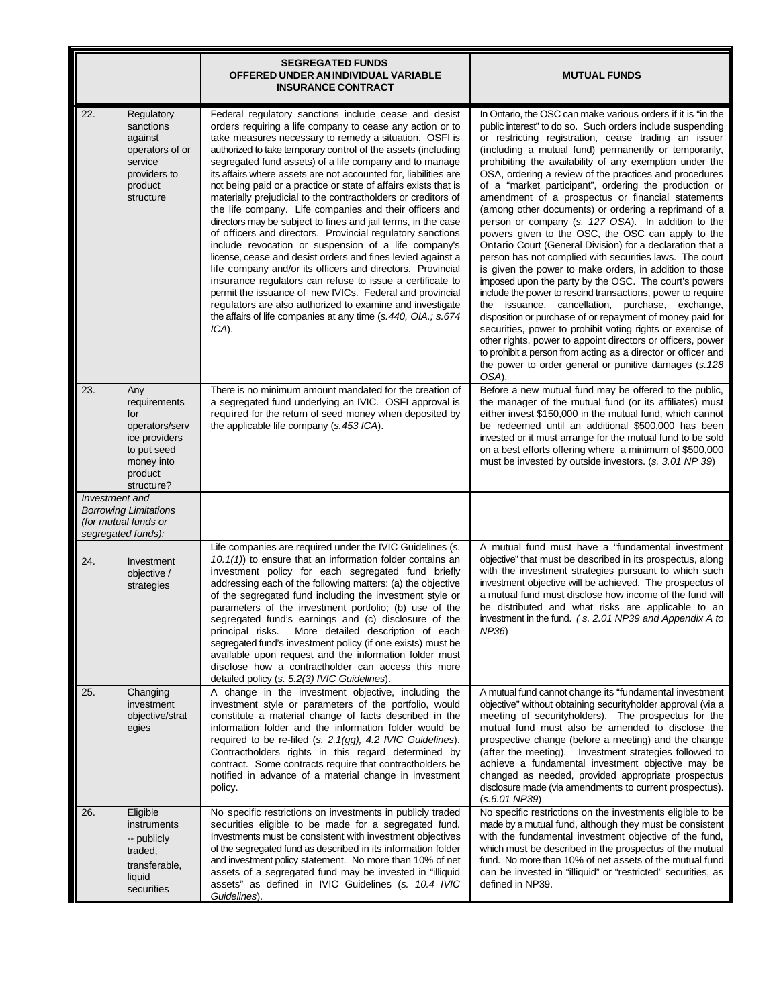|                                                                                                                            | <b>SEGREGATED FUNDS</b><br>OFFERED UNDER AN INDIVIDUAL VARIABLE<br><b>INSURANCE CONTRACT</b>                                                                                                                                                                                                                                                                                                                                                                                                                                                                                                                                                                                                                                                                                                                                                                                                                                                                                                                                                                                                                                                                   | <b>MUTUAL FUNDS</b>                                                                                                                                                                                                                                                                                                                                                                                                                                                                                                                                                                                                                                                                                                                                                                                                                                                                                                                                                                                                                                                                                                                                                                                                                                                                                                                          |
|----------------------------------------------------------------------------------------------------------------------------|----------------------------------------------------------------------------------------------------------------------------------------------------------------------------------------------------------------------------------------------------------------------------------------------------------------------------------------------------------------------------------------------------------------------------------------------------------------------------------------------------------------------------------------------------------------------------------------------------------------------------------------------------------------------------------------------------------------------------------------------------------------------------------------------------------------------------------------------------------------------------------------------------------------------------------------------------------------------------------------------------------------------------------------------------------------------------------------------------------------------------------------------------------------|----------------------------------------------------------------------------------------------------------------------------------------------------------------------------------------------------------------------------------------------------------------------------------------------------------------------------------------------------------------------------------------------------------------------------------------------------------------------------------------------------------------------------------------------------------------------------------------------------------------------------------------------------------------------------------------------------------------------------------------------------------------------------------------------------------------------------------------------------------------------------------------------------------------------------------------------------------------------------------------------------------------------------------------------------------------------------------------------------------------------------------------------------------------------------------------------------------------------------------------------------------------------------------------------------------------------------------------------|
| 22.<br>Regulatory<br>sanctions<br>against<br>operators of or<br>service<br>providers to<br>product<br>structure            | Federal regulatory sanctions include cease and desist<br>orders requiring a life company to cease any action or to<br>take measures necessary to remedy a situation. OSFI is<br>authorized to take temporary control of the assets (including<br>segregated fund assets) of a life company and to manage<br>its affairs where assets are not accounted for, liabilities are<br>not being paid or a practice or state of affairs exists that is<br>materially prejudicial to the contractholders or creditors of<br>the life company. Life companies and their officers and<br>directors may be subject to fines and jail terms, in the case<br>of officers and directors. Provincial regulatory sanctions<br>include revocation or suspension of a life company's<br>license, cease and desist orders and fines levied against a<br>life company and/or its officers and directors. Provincial<br>insurance regulators can refuse to issue a certificate to<br>permit the issuance of new IVICs. Federal and provincial<br>regulators are also authorized to examine and investigate<br>the affairs of life companies at any time (s.440, OIA.; s.674<br>ICA). | In Ontario, the OSC can make various orders if it is "in the<br>public interest" to do so. Such orders include suspending<br>or restricting registration, cease trading an issuer<br>(including a mutual fund) permanently or temporarily,<br>prohibiting the availability of any exemption under the<br>OSA, ordering a review of the practices and procedures<br>of a "market participant", ordering the production or<br>amendment of a prospectus or financial statements<br>(among other documents) or ordering a reprimand of a<br>person or company (s. 127 OSA). In addition to the<br>powers given to the OSC, the OSC can apply to the<br>Ontario Court (General Division) for a declaration that a<br>person has not complied with securities laws. The court<br>is given the power to make orders, in addition to those<br>imposed upon the party by the OSC. The court's powers<br>include the power to rescind transactions, power to require<br>the issuance, cancellation, purchase, exchange,<br>disposition or purchase of or repayment of money paid for<br>securities, power to prohibit voting rights or exercise of<br>other rights, power to appoint directors or officers, power<br>to prohibit a person from acting as a director or officer and<br>the power to order general or punitive damages (s.128)<br>OSA). |
| 23.<br>Any<br>requirements<br>for<br>operators/serv<br>ice providers<br>to put seed<br>money into<br>product<br>structure? | There is no minimum amount mandated for the creation of<br>a segregated fund underlying an IVIC. OSFI approval is<br>required for the return of seed money when deposited by<br>the applicable life company (s.453 ICA).                                                                                                                                                                                                                                                                                                                                                                                                                                                                                                                                                                                                                                                                                                                                                                                                                                                                                                                                       | Before a new mutual fund may be offered to the public,<br>the manager of the mutual fund (or its affiliates) must<br>either invest \$150,000 in the mutual fund, which cannot<br>be redeemed until an additional \$500,000 has been<br>invested or it must arrange for the mutual fund to be sold<br>on a best efforts offering where a minimum of \$500,000<br>must be invested by outside investors. (s. 3.01 NP 39)                                                                                                                                                                                                                                                                                                                                                                                                                                                                                                                                                                                                                                                                                                                                                                                                                                                                                                                       |
| Investment and<br><b>Borrowing Limitations</b><br>(for mutual funds or<br>segregated funds):                               |                                                                                                                                                                                                                                                                                                                                                                                                                                                                                                                                                                                                                                                                                                                                                                                                                                                                                                                                                                                                                                                                                                                                                                |                                                                                                                                                                                                                                                                                                                                                                                                                                                                                                                                                                                                                                                                                                                                                                                                                                                                                                                                                                                                                                                                                                                                                                                                                                                                                                                                              |
| 24.<br>Investment<br>objective /<br>strategies                                                                             | Life companies are required under the IVIC Guidelines (s.<br>10.1(1)) to ensure that an information folder contains an<br>investment policy for each segregated fund briefly<br>addressing each of the following matters: (a) the objective<br>of the segregated fund including the investment style or<br>parameters of the investment portfolio; (b) use of the<br>segregated fund's earnings and (c) disclosure of the<br>principal risks. More detailed description of each<br>segregated fund's investment policy (if one exists) must be<br>available upon request and the information folder must<br>disclose how a contractholder can access this more<br>detailed policy (s. 5.2(3) IVIC Guidelines).                                                                                                                                                                                                                                                                                                                                                                                                                                                 | A mutual fund must have a "fundamental investment<br>objective" that must be described in its prospectus, along<br>with the investment strategies pursuant to which such<br>investment objective will be achieved. The prospectus of<br>a mutual fund must disclose how income of the fund will<br>be distributed and what risks are applicable to an<br>investment in the fund. (s. 2.01 NP39 and Appendix A to<br>NP36)                                                                                                                                                                                                                                                                                                                                                                                                                                                                                                                                                                                                                                                                                                                                                                                                                                                                                                                    |
| 25.<br>Changing<br>investment<br>objective/strat<br>egies                                                                  | A change in the investment objective, including the<br>investment style or parameters of the portfolio, would<br>constitute a material change of facts described in the<br>information folder and the information folder would be<br>required to be re-filed (s. 2.1(gg), 4.2 IVIC Guidelines).<br>Contractholders rights in this regard determined by<br>contract. Some contracts require that contractholders be<br>notified in advance of a material change in investment<br>policy.                                                                                                                                                                                                                                                                                                                                                                                                                                                                                                                                                                                                                                                                        | A mutual fund cannot change its "fundamental investment<br>objective" without obtaining securityholder approval (via a<br>meeting of securityholders). The prospectus for the<br>mutual fund must also be amended to disclose the<br>prospective change (before a meeting) and the change<br>(after the meeting). Investment strategies followed to<br>achieve a fundamental investment objective may be<br>changed as needed, provided appropriate prospectus<br>disclosure made (via amendments to current prospectus).<br>(s.6.01 NP39)                                                                                                                                                                                                                                                                                                                                                                                                                                                                                                                                                                                                                                                                                                                                                                                                   |
| Eligible<br>26.<br>instruments<br>-- publicly<br>traded,<br>transferable,<br>liquid<br>securities                          | No specific restrictions on investments in publicly traded<br>securities eligible to be made for a segregated fund.<br>Investments must be consistent with investment objectives<br>of the segregated fund as described in its information folder<br>and investment policy statement. No more than 10% of net<br>assets of a segregated fund may be invested in "illiquid<br>assets" as defined in IVIC Guidelines (s. 10.4 IVIC<br>Guidelines).                                                                                                                                                                                                                                                                                                                                                                                                                                                                                                                                                                                                                                                                                                               | No specific restrictions on the investments eligible to be.<br>made by a mutual fund, although they must be consistent<br>with the fundamental investment objective of the fund,<br>which must be described in the prospectus of the mutual<br>fund. No more than 10% of net assets of the mutual fund<br>can be invested in "illiquid" or "restricted" securities, as<br>defined in NP39.                                                                                                                                                                                                                                                                                                                                                                                                                                                                                                                                                                                                                                                                                                                                                                                                                                                                                                                                                   |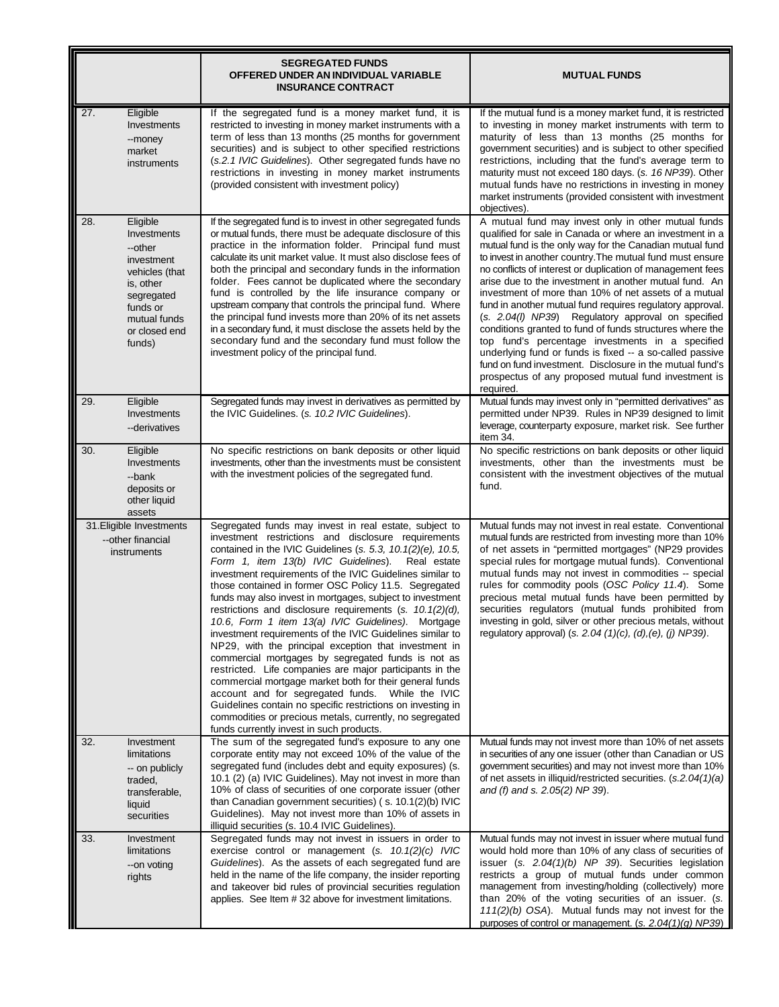|     |                                                                                                                                                      | <b>SEGREGATED FUNDS</b><br>OFFERED UNDER AN INDIVIDUAL VARIABLE<br><b>INSURANCE CONTRACT</b>                                                                                                                                                                                                                                                                                                                                                                                                                                                                                                                                                                                                                                                                                                                                                                                                                                                                                                                                                                                   | <b>MUTUAL FUNDS</b>                                                                                                                                                                                                                                                                                                                                                                                                                                                                                                                                                                                                                                                                                                                                                                                                                                       |
|-----|------------------------------------------------------------------------------------------------------------------------------------------------------|--------------------------------------------------------------------------------------------------------------------------------------------------------------------------------------------------------------------------------------------------------------------------------------------------------------------------------------------------------------------------------------------------------------------------------------------------------------------------------------------------------------------------------------------------------------------------------------------------------------------------------------------------------------------------------------------------------------------------------------------------------------------------------------------------------------------------------------------------------------------------------------------------------------------------------------------------------------------------------------------------------------------------------------------------------------------------------|-----------------------------------------------------------------------------------------------------------------------------------------------------------------------------------------------------------------------------------------------------------------------------------------------------------------------------------------------------------------------------------------------------------------------------------------------------------------------------------------------------------------------------------------------------------------------------------------------------------------------------------------------------------------------------------------------------------------------------------------------------------------------------------------------------------------------------------------------------------|
| 27. | Eligible<br>Investments<br>--money<br>market<br>instruments                                                                                          | If the segregated fund is a money market fund, it is<br>restricted to investing in money market instruments with a<br>term of less than 13 months (25 months for government<br>securities) and is subject to other specified restrictions<br>(s.2.1 IVIC Guidelines). Other segregated funds have no<br>restrictions in investing in money market instruments<br>(provided consistent with investment policy)                                                                                                                                                                                                                                                                                                                                                                                                                                                                                                                                                                                                                                                                  | If the mutual fund is a money market fund, it is restricted<br>to investing in money market instruments with term to<br>maturity of less than 13 months (25 months for<br>government securities) and is subject to other specified<br>restrictions, including that the fund's average term to<br>maturity must not exceed 180 days. (s. 16 NP39). Other<br>mutual funds have no restrictions in investing in money<br>market instruments (provided consistent with investment<br>objectives)                                                                                                                                                                                                                                                                                                                                                              |
| 28. | Eligible<br>Investments<br>--other<br>investment<br>vehicles (that<br>is, other<br>segregated<br>funds or<br>mutual funds<br>or closed end<br>funds) | If the segregated fund is to invest in other segregated funds<br>or mutual funds, there must be adequate disclosure of this<br>practice in the information folder. Principal fund must<br>calculate its unit market value. It must also disclose fees of<br>both the principal and secondary funds in the information<br>folder. Fees cannot be duplicated where the secondary<br>fund is controlled by the life insurance company or<br>upstream company that controls the principal fund. Where<br>the principal fund invests more than 20% of its net assets<br>in a secondary fund, it must disclose the assets held by the<br>secondary fund and the secondary fund must follow the<br>investment policy of the principal fund.                                                                                                                                                                                                                                                                                                                                           | A mutual fund may invest only in other mutual funds<br>qualified for sale in Canada or where an investment in a<br>mutual fund is the only way for the Canadian mutual fund<br>to invest in another country. The mutual fund must ensure<br>no conflicts of interest or duplication of management fees<br>arise due to the investment in another mutual fund. An<br>investment of more than 10% of net assets of a mutual<br>fund in another mutual fund requires regulatory approval.<br>(s. 2.04(I) NP39) Regulatory approval on specified<br>conditions granted to fund of funds structures where the<br>top fund's percentage investments in a specified<br>underlying fund or funds is fixed -- a so-called passive<br>fund on fund investment. Disclosure in the mutual fund's<br>prospectus of any proposed mutual fund investment is<br>required. |
| 29. | Eligible<br>Investments<br>--derivatives                                                                                                             | Segregated funds may invest in derivatives as permitted by<br>the IVIC Guidelines. (s. 10.2 IVIC Guidelines).                                                                                                                                                                                                                                                                                                                                                                                                                                                                                                                                                                                                                                                                                                                                                                                                                                                                                                                                                                  | Mutual funds may invest only in "permitted derivatives" as<br>permitted under NP39. Rules in NP39 designed to limit<br>leverage, counterparty exposure, market risk. See further<br>item 34.                                                                                                                                                                                                                                                                                                                                                                                                                                                                                                                                                                                                                                                              |
| 30. | Eligible<br>Investments<br>--bank<br>deposits or<br>other liquid<br>assets                                                                           | No specific restrictions on bank deposits or other liquid<br>investments, other than the investments must be consistent<br>with the investment policies of the segregated fund.                                                                                                                                                                                                                                                                                                                                                                                                                                                                                                                                                                                                                                                                                                                                                                                                                                                                                                | No specific restrictions on bank deposits or other liquid<br>investments, other than the investments must be<br>consistent with the investment objectives of the mutual<br>fund.                                                                                                                                                                                                                                                                                                                                                                                                                                                                                                                                                                                                                                                                          |
|     | 31. Eligible Investments<br>--other financial<br>instruments                                                                                         | Segregated funds may invest in real estate, subject to<br>investment restrictions and disclosure requirements<br>contained in the IVIC Guidelines (s. 5.3, $10.1(2)(e)$ , $10.5$ ,<br>Form 1, item 13(b) IVIC Guidelines).<br>Real estate<br>investment requirements of the IVIC Guidelines similar to<br>those contained in former OSC Policy 11.5. Segregated<br>funds may also invest in mortgages, subject to investment<br>restrictions and disclosure requirements $(s. 10.1(2)(d),$<br>10.6, Form 1 item 13(a) IVIC Guidelines). Mortgage<br>investment requirements of the IVIC Guidelines similar to<br>NP29, with the principal exception that investment in<br>commercial mortgages by segregated funds is not as<br>restricted. Life companies are major participants in the<br>commercial mortgage market both for their general funds<br>account and for segregated funds. While the IVIC<br>Guidelines contain no specific restrictions on investing in<br>commodities or precious metals, currently, no segregated<br>funds currently invest in such products. | Mutual funds may not invest in real estate. Conventional<br>mutual funds are restricted from investing more than 10%<br>of net assets in "permitted mortgages" (NP29 provides<br>special rules for mortgage mutual funds). Conventional<br>mutual funds may not invest in commodities -- special<br>rules for commodity pools (OSC Policy 11.4). Some<br>precious metal mutual funds have been permitted by<br>securities regulators (mutual funds prohibited from<br>investing in gold, silver or other precious metals, without<br>regulatory approval) (s. 2.04 $(1)(c)$ , $(d)$ , $(e)$ , $(j)$ NP39).                                                                                                                                                                                                                                                |
| 32. | Investment<br>limitations<br>-- on publicly<br>traded,<br>transferable,<br>liquid<br>securities                                                      | The sum of the segregated fund's exposure to any one<br>corporate entity may not exceed 10% of the value of the<br>segregated fund (includes debt and equity exposures) (s.<br>10.1 (2) (a) IVIC Guidelines). May not invest in more than<br>10% of class of securities of one corporate issuer (other<br>than Canadian government securities) (s. 10.1(2)(b) IVIC<br>Guidelines). May not invest more than 10% of assets in<br>illiquid securities (s. 10.4 IVIC Guidelines).                                                                                                                                                                                                                                                                                                                                                                                                                                                                                                                                                                                                 | Mutual funds may not invest more than 10% of net assets<br>in securities of any one issuer (other than Canadian or US<br>government securities) and may not invest more than 10%<br>of net assets in illiquid/restricted securities. (s.2.04(1)(a)<br>and (f) and s. 2.05(2) NP 39).                                                                                                                                                                                                                                                                                                                                                                                                                                                                                                                                                                      |
| 33. | Investment<br>limitations<br>--on voting<br>rights                                                                                                   | Segregated funds may not invest in issuers in order to<br>exercise control or management $(s. 10.1(2)(c)$ IVIC<br>Guidelines). As the assets of each segregated fund are<br>held in the name of the life company, the insider reporting<br>and takeover bid rules of provincial securities regulation<br>applies. See Item #32 above for investment limitations.                                                                                                                                                                                                                                                                                                                                                                                                                                                                                                                                                                                                                                                                                                               | Mutual funds may not invest in issuer where mutual fund<br>would hold more than 10% of any class of securities of<br>issuer (s. $2.04(1)(b)$ NP 39). Securities legislation<br>restricts a group of mutual funds under common<br>management from investing/holding (collectively) more<br>than 20% of the voting securities of an issuer. (s.<br>$111(2)(b)$ OSA). Mutual funds may not invest for the<br>purposes of control or management. (s. $2.04(1)(q)$ NP39)                                                                                                                                                                                                                                                                                                                                                                                       |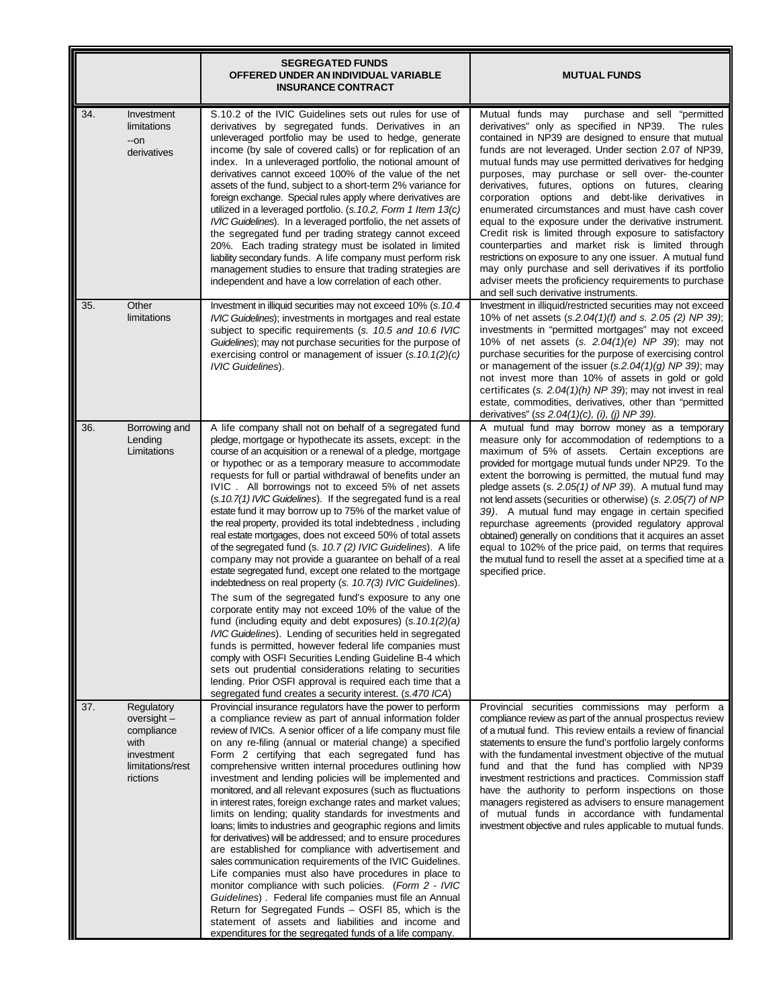|     |                                                                                                 | <b>SEGREGATED FUNDS</b><br>OFFERED UNDER AN INDIVIDUAL VARIABLE<br><b>INSURANCE CONTRACT</b>                                                                                                                                                                                                                                                                                                                                                                                                                                                                                                                                                                                                                                                                                                                                                                                                                                                                                                                                                                                                                                                                                                                                                                                                                                                                                                                                                         | <b>MUTUAL FUNDS</b>                                                                                                                                                                                                                                                                                                                                                                                                                                                                                                                                                                                                                                                                                                                                                                                                                                                                                        |
|-----|-------------------------------------------------------------------------------------------------|------------------------------------------------------------------------------------------------------------------------------------------------------------------------------------------------------------------------------------------------------------------------------------------------------------------------------------------------------------------------------------------------------------------------------------------------------------------------------------------------------------------------------------------------------------------------------------------------------------------------------------------------------------------------------------------------------------------------------------------------------------------------------------------------------------------------------------------------------------------------------------------------------------------------------------------------------------------------------------------------------------------------------------------------------------------------------------------------------------------------------------------------------------------------------------------------------------------------------------------------------------------------------------------------------------------------------------------------------------------------------------------------------------------------------------------------------|------------------------------------------------------------------------------------------------------------------------------------------------------------------------------------------------------------------------------------------------------------------------------------------------------------------------------------------------------------------------------------------------------------------------------------------------------------------------------------------------------------------------------------------------------------------------------------------------------------------------------------------------------------------------------------------------------------------------------------------------------------------------------------------------------------------------------------------------------------------------------------------------------------|
| 34. | Investment<br>limitations<br>--on<br>derivatives                                                | S.10.2 of the IVIC Guidelines sets out rules for use of<br>derivatives by segregated funds. Derivatives in an<br>unleveraged portfolio may be used to hedge, generate<br>income (by sale of covered calls) or for replication of an<br>index. In a unleveraged portfolio, the notional amount of<br>derivatives cannot exceed 100% of the value of the net<br>assets of the fund, subject to a short-term 2% variance for<br>foreign exchange. Special rules apply where derivatives are<br>utilized in a leveraged portfolio. (s. 10.2, Form 1 Item 13(c)<br>IVIC Guidelines). In a leveraged portfolio, the net assets of<br>the segregated fund per trading strategy cannot exceed<br>20%. Each trading strategy must be isolated in limited<br>liability secondary funds. A life company must perform risk<br>management studies to ensure that trading strategies are<br>independent and have a low correlation of each other.                                                                                                                                                                                                                                                                                                                                                                                                                                                                                                                  | Mutual funds may<br>purchase and sell "permitted<br>derivatives" only as specified in NP39.<br>The rules<br>contained in NP39 are designed to ensure that mutual<br>funds are not leveraged. Under section 2.07 of NP39,<br>mutual funds may use permitted derivatives for hedging<br>purposes, may purchase or sell over- the-counter<br>derivatives, futures, options on futures, clearing<br>corporation options and debt-like derivatives in<br>enumerated circumstances and must have cash cover<br>equal to the exposure under the derivative instrument.<br>Credit risk is limited through exposure to satisfactory<br>counterparties and market risk is limited through<br>restrictions on exposure to any one issuer. A mutual fund<br>may only purchase and sell derivatives if its portfolio<br>adviser meets the proficiency requirements to purchase<br>and sell such derivative instruments. |
| 35. | Other<br>limitations                                                                            | Investment in illiquid securities may not exceed 10% (s. 10.4<br>IVIC Guidelines); investments in mortgages and real estate<br>subject to specific requirements (s. 10.5 and 10.6 IVIC<br>Guidelines); may not purchase securities for the purpose of<br>exercising control or management of issuer $(s.10.1(2)(c)$<br><b>IVIC Guidelines).</b>                                                                                                                                                                                                                                                                                                                                                                                                                                                                                                                                                                                                                                                                                                                                                                                                                                                                                                                                                                                                                                                                                                      | Investment in illiquid/restricted securities may not exceed<br>10% of net assets (s.2.04(1)(f) and s. 2.05 (2) NP 39);<br>investments in "permitted mortgages" may not exceed<br>10% of net assets (s. 2.04(1)(e) NP 39); may not<br>purchase securities for the purpose of exercising control<br>or management of the issuer $(s.2.04(1)(g)$ NP 39); may<br>not invest more than 10% of assets in gold or gold<br>certificates (s. $2.04(1)(h)$ NP 39); may not invest in real<br>estate, commodities, derivatives, other than "permitted<br>derivatives" (ss $2.04(1)(c)$ , (i), (j) NP 39).                                                                                                                                                                                                                                                                                                             |
| 36. | Borrowing and<br>Lending<br>Limitations                                                         | A life company shall not on behalf of a segregated fund<br>pledge, mortgage or hypothecate its assets, except: in the<br>course of an acquisition or a renewal of a pledge, mortgage<br>or hypothec or as a temporary measure to accommodate<br>requests for full or partial withdrawal of benefits under an<br>IVIC. All borrowings not to exceed 5% of net assets<br>(s.10.7(1) IVIC Guidelines). If the segregated fund is a real<br>estate fund it may borrow up to 75% of the market value of<br>the real property, provided its total indebtedness, including<br>real estate mortgages, does not exceed 50% of total assets<br>of the segregated fund (s. 10.7 (2) IVIC Guidelines). A life<br>company may not provide a guarantee on behalf of a real<br>estate segregated fund, except one related to the mortgage<br>indebtedness on real property (s. 10.7(3) IVIC Guidelines).<br>The sum of the segregated fund's exposure to any one<br>corporate entity may not exceed 10% of the value of the<br>fund (including equity and debt exposures) $(s.10.1(2)(a)$<br>IVIC Guidelines). Lending of securities held in segregated<br>funds is permitted, however federal life companies must<br>comply with OSFI Securities Lending Guideline B-4 which<br>sets out prudential considerations relating to securities<br>lending. Prior OSFI approval is required each time that a<br>segregated fund creates a security interest. (s.470 ICA) | A mutual fund may borrow money as a temporary<br>measure only for accommodation of redemptions to a<br>maximum of 5% of assets. Certain exceptions are<br>provided for mortgage mutual funds under NP29. To the<br>extent the borrowing is permitted, the mutual fund may<br>pledge assets (s. 2.05(1) of NP 39). A mutual fund may<br>not lend assets (securities or otherwise) (s. 2.05(7) of NP<br>39). A mutual fund may engage in certain specified<br>repurchase agreements (provided regulatory approval<br>obtained) generally on conditions that it acquires an asset<br>equal to 102% of the price paid, on terms that requires<br>the mutual fund to resell the asset at a specified time at a<br>specified price.                                                                                                                                                                              |
| 37. | Regulatory<br>oversight $-$<br>compliance<br>with<br>investment<br>limitations/rest<br>rictions | Provincial insurance regulators have the power to perform<br>a compliance review as part of annual information folder<br>review of IVICs. A senior officer of a life company must file<br>on any re-filing (annual or material change) a specified<br>Form 2 certifying that each segregated fund has<br>comprehensive written internal procedures outlining how<br>investment and lending policies will be implemented and<br>monitored, and all relevant exposures (such as fluctuations<br>in interest rates, foreign exchange rates and market values;<br>limits on lending; quality standards for investments and<br>loans; limits to industries and geographic regions and limits<br>for derivatives) will be addressed; and to ensure procedures<br>are established for compliance with advertisement and<br>sales communication requirements of the IVIC Guidelines.<br>Life companies must also have procedures in place to<br>monitor compliance with such policies. (Form 2 - IVIC<br>Guidelines). Federal life companies must file an Annual<br>Return for Segregated Funds - OSFI 85, which is the<br>statement of assets and liabilities and income and<br>expenditures for the segregated funds of a life company.                                                                                                                                                                                                                    | Provincial securities commissions may perform a<br>compliance review as part of the annual prospectus review<br>of a mutual fund. This review entails a review of financial<br>statements to ensure the fund's portfolio largely conforms<br>with the fundamental investment objective of the mutual<br>fund and that the fund has complied with NP39<br>investment restrictions and practices. Commission staff<br>have the authority to perform inspections on those<br>managers registered as advisers to ensure management<br>of mutual funds in accordance with fundamental<br>investment objective and rules applicable to mutual funds.                                                                                                                                                                                                                                                             |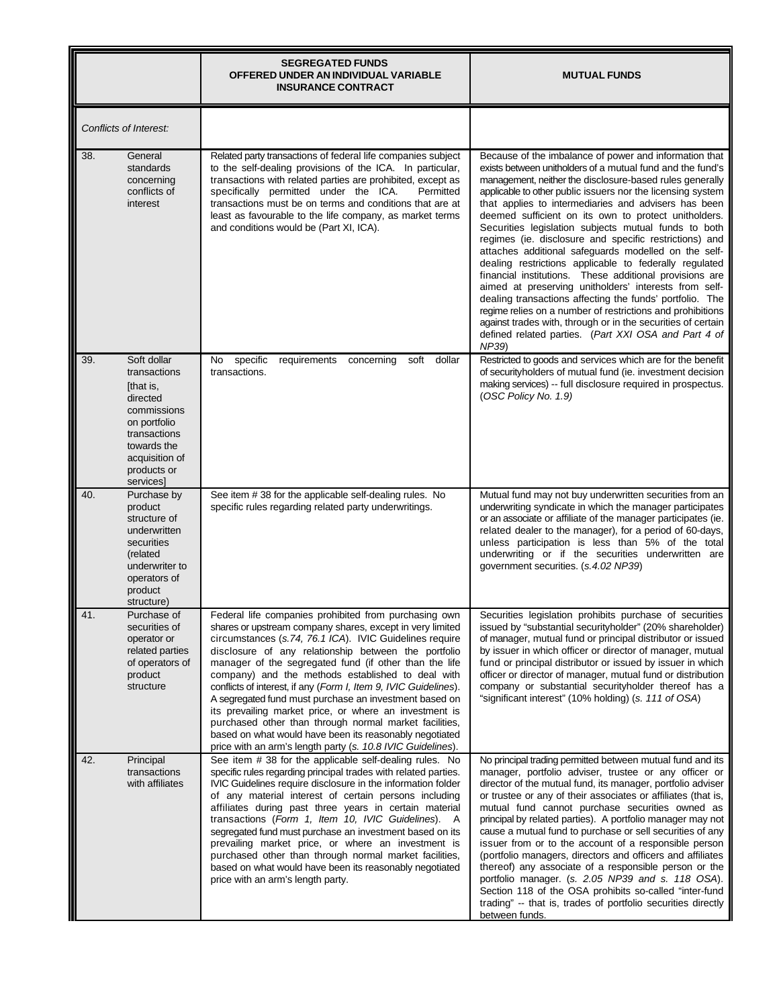|                                                                                                                                                                        | <b>SEGREGATED FUNDS</b><br>OFFERED UNDER AN INDIVIDUAL VARIABLE<br><b>INSURANCE CONTRACT</b>                                                                                                                                                                                                                                                                                                                                                                                                                                                                                                                                                                                                                                     | <b>MUTUAL FUNDS</b>                                                                                                                                                                                                                                                                                                                                                                                                                                                                                                                                                                                                                                                                                                                                                                                                                                                                                                                                                                |
|------------------------------------------------------------------------------------------------------------------------------------------------------------------------|----------------------------------------------------------------------------------------------------------------------------------------------------------------------------------------------------------------------------------------------------------------------------------------------------------------------------------------------------------------------------------------------------------------------------------------------------------------------------------------------------------------------------------------------------------------------------------------------------------------------------------------------------------------------------------------------------------------------------------|------------------------------------------------------------------------------------------------------------------------------------------------------------------------------------------------------------------------------------------------------------------------------------------------------------------------------------------------------------------------------------------------------------------------------------------------------------------------------------------------------------------------------------------------------------------------------------------------------------------------------------------------------------------------------------------------------------------------------------------------------------------------------------------------------------------------------------------------------------------------------------------------------------------------------------------------------------------------------------|
| Conflicts of Interest:                                                                                                                                                 |                                                                                                                                                                                                                                                                                                                                                                                                                                                                                                                                                                                                                                                                                                                                  |                                                                                                                                                                                                                                                                                                                                                                                                                                                                                                                                                                                                                                                                                                                                                                                                                                                                                                                                                                                    |
| General<br>38.<br>standards<br>concerning<br>conflicts of<br>interest                                                                                                  | Related party transactions of federal life companies subject<br>to the self-dealing provisions of the ICA. In particular,<br>transactions with related parties are prohibited, except as<br>specifically permitted under the ICA.<br>Permitted<br>transactions must be on terms and conditions that are at<br>least as favourable to the life company, as market terms<br>and conditions would be (Part XI, ICA).                                                                                                                                                                                                                                                                                                                | Because of the imbalance of power and information that<br>exists between unitholders of a mutual fund and the fund's<br>management, neither the disclosure-based rules generally<br>applicable to other public issuers nor the licensing system<br>that applies to intermediaries and advisers has been<br>deemed sufficient on its own to protect unitholders.<br>Securities legislation subjects mutual funds to both<br>regimes (ie. disclosure and specific restrictions) and<br>attaches additional safeguards modelled on the self-<br>dealing restrictions applicable to federally regulated<br>financial institutions. These additional provisions are<br>aimed at preserving unitholders' interests from self-<br>dealing transactions affecting the funds' portfolio. The<br>regime relies on a number of restrictions and prohibitions<br>against trades with, through or in the securities of certain<br>defined related parties. (Part XXI OSA and Part 4 of<br>NP39) |
| Soft dollar<br>39.<br>transactions<br>[that is,<br>directed<br>commissions<br>on portfolio<br>transactions<br>towards the<br>acquisition of<br>products or<br>services | specific<br>No<br>requirements concerning<br>soft<br>dollar<br>transactions.                                                                                                                                                                                                                                                                                                                                                                                                                                                                                                                                                                                                                                                     | Restricted to goods and services which are for the benefit<br>of securityholders of mutual fund (ie. investment decision<br>making services) -- full disclosure required in prospectus.<br>(OSC Policy No. 1.9)                                                                                                                                                                                                                                                                                                                                                                                                                                                                                                                                                                                                                                                                                                                                                                    |
| 40.<br>Purchase by<br>product<br>structure of<br>underwritten<br>securities<br>(related<br>underwriter to<br>operators of<br>product<br>structure)                     | See item #38 for the applicable self-dealing rules. No<br>specific rules regarding related party underwritings.                                                                                                                                                                                                                                                                                                                                                                                                                                                                                                                                                                                                                  | Mutual fund may not buy underwritten securities from an<br>underwriting syndicate in which the manager participates<br>or an associate or affiliate of the manager participates (ie.<br>related dealer to the manager), for a period of 60-days,<br>unless participation is less than 5% of the total<br>underwriting or if the securities underwritten are<br>government securities. (s.4.02 NP39)                                                                                                                                                                                                                                                                                                                                                                                                                                                                                                                                                                                |
| 41.<br>Purchase of<br>securities of<br>operator or<br>related parties<br>of operators of<br>product<br>structure                                                       | Federal life companies prohibited from purchasing own<br>shares or upstream company shares, except in very limited<br>circumstances (s.74, 76.1 ICA). IVIC Guidelines require<br>disclosure of any relationship between the portfolio<br>manager of the segregated fund (if other than the life<br>company) and the methods established to deal with<br>conflicts of interest, if any (Form I, Item 9, IVIC Guidelines).<br>A segregated fund must purchase an investment based on<br>its prevailing market price, or where an investment is<br>purchased other than through normal market facilities,<br>based on what would have been its reasonably negotiated<br>price with an arm's length party (s. 10.8 IVIC Guidelines). | Securities legislation prohibits purchase of securities<br>issued by "substantial securityholder" (20% shareholder)<br>of manager, mutual fund or principal distributor or issued<br>by issuer in which officer or director of manager, mutual<br>fund or principal distributor or issued by issuer in which<br>officer or director of manager, mutual fund or distribution<br>company or substantial securityholder thereof has a<br>"significant interest" (10% holding) (s. 111 of OSA)                                                                                                                                                                                                                                                                                                                                                                                                                                                                                         |
| 42.<br>Principal<br>transactions<br>with affiliates                                                                                                                    | See item # 38 for the applicable self-dealing rules. No<br>specific rules regarding principal trades with related parties.<br>IVIC Guidelines require disclosure in the information folder<br>of any material interest of certain persons including<br>affiliates during past three years in certain material<br>transactions (Form 1, Item 10, IVIC Guidelines). A<br>segregated fund must purchase an investment based on its<br>prevailing market price, or where an investment is<br>purchased other than through normal market facilities,<br>based on what would have been its reasonably negotiated<br>price with an arm's length party.                                                                                  | No principal trading permitted between mutual fund and its<br>manager, portfolio adviser, trustee or any officer or<br>director of the mutual fund, its manager, portfolio adviser<br>or trustee or any of their associates or affiliates (that is,<br>mutual fund cannot purchase securities owned as<br>principal by related parties). A portfolio manager may not<br>cause a mutual fund to purchase or sell securities of any<br>issuer from or to the account of a responsible person<br>(portfolio managers, directors and officers and affiliates<br>thereof) any associate of a responsible person or the<br>portfolio manager. (s. 2.05 NP39 and s. 118 OSA).<br>Section 118 of the OSA prohibits so-called "inter-fund<br>trading" -- that is, trades of portfolio securities directly<br>between funds.                                                                                                                                                                 |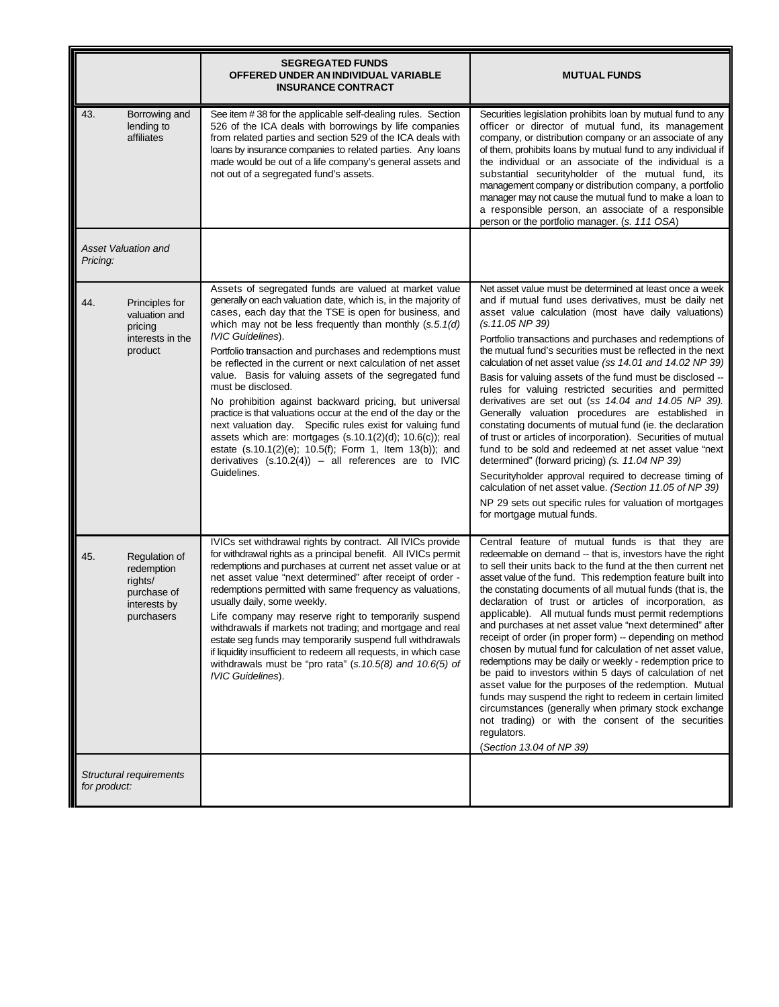|                                                                                            | <b>SEGREGATED FUNDS</b><br>OFFERED UNDER AN INDIVIDUAL VARIABLE<br><b>INSURANCE CONTRACT</b>                                                                                                                                                                                                                                                                                                                                                                                                                                                                                                                                                                                                                                                                                                                                                                                      | <b>MUTUAL FUNDS</b>                                                                                                                                                                                                                                                                                                                                                                                                                                                                                                                                                                                                                                                                                                                                                                                                                                                                                                                                                                                                                                                         |
|--------------------------------------------------------------------------------------------|-----------------------------------------------------------------------------------------------------------------------------------------------------------------------------------------------------------------------------------------------------------------------------------------------------------------------------------------------------------------------------------------------------------------------------------------------------------------------------------------------------------------------------------------------------------------------------------------------------------------------------------------------------------------------------------------------------------------------------------------------------------------------------------------------------------------------------------------------------------------------------------|-----------------------------------------------------------------------------------------------------------------------------------------------------------------------------------------------------------------------------------------------------------------------------------------------------------------------------------------------------------------------------------------------------------------------------------------------------------------------------------------------------------------------------------------------------------------------------------------------------------------------------------------------------------------------------------------------------------------------------------------------------------------------------------------------------------------------------------------------------------------------------------------------------------------------------------------------------------------------------------------------------------------------------------------------------------------------------|
| 43.<br>Borrowing and<br>lending to<br>affiliates                                           | See item #38 for the applicable self-dealing rules. Section<br>526 of the ICA deals with borrowings by life companies<br>from related parties and section 529 of the ICA deals with<br>loans by insurance companies to related parties. Any loans<br>made would be out of a life company's general assets and<br>not out of a segregated fund's assets.                                                                                                                                                                                                                                                                                                                                                                                                                                                                                                                           | Securities legislation prohibits loan by mutual fund to any<br>officer or director of mutual fund, its management<br>company, or distribution company or an associate of any<br>of them, prohibits loans by mutual fund to any individual if<br>the individual or an associate of the individual is a<br>substantial securityholder of the mutual fund, its<br>management company or distribution company, a portfolio<br>manager may not cause the mutual fund to make a loan to<br>a responsible person, an associate of a responsible<br>person or the portfolio manager. (s. 111 OSA)                                                                                                                                                                                                                                                                                                                                                                                                                                                                                   |
| <b>Asset Valuation and</b><br>Pricing:                                                     |                                                                                                                                                                                                                                                                                                                                                                                                                                                                                                                                                                                                                                                                                                                                                                                                                                                                                   |                                                                                                                                                                                                                                                                                                                                                                                                                                                                                                                                                                                                                                                                                                                                                                                                                                                                                                                                                                                                                                                                             |
| 44.<br>Principles for<br>valuation and<br>pricing<br>interests in the<br>product           | Assets of segregated funds are valued at market value<br>generally on each valuation date, which is, in the majority of<br>cases, each day that the TSE is open for business, and<br>which may not be less frequently than monthly $(s.5.1(d))$<br><b>IVIC Guidelines).</b><br>Portfolio transaction and purchases and redemptions must<br>be reflected in the current or next calculation of net asset<br>value. Basis for valuing assets of the segregated fund<br>must be disclosed.<br>No prohibition against backward pricing, but universal<br>practice is that valuations occur at the end of the day or the<br>next valuation day. Specific rules exist for valuing fund<br>assets which are: mortgages (s.10.1(2)(d); 10.6(c)); real<br>estate (s.10.1(2)(e); 10.5(f); Form 1, Item 13(b)); and<br>derivatives $(s.10.2(4)) - all$ references are to IVIC<br>Guidelines. | Net asset value must be determined at least once a week<br>and if mutual fund uses derivatives, must be daily net<br>asset value calculation (most have daily valuations)<br>(s.11.05 NP 39)<br>Portfolio transactions and purchases and redemptions of<br>the mutual fund's securities must be reflected in the next<br>calculation of net asset value (ss 14.01 and 14.02 NP 39)<br>Basis for valuing assets of the fund must be disclosed --<br>rules for valuing restricted securities and permitted<br>derivatives are set out (ss 14.04 and 14.05 NP 39).<br>Generally valuation procedures are established in<br>constating documents of mutual fund (ie. the declaration<br>of trust or articles of incorporation). Securities of mutual<br>fund to be sold and redeemed at net asset value "next<br>determined" (forward pricing) (s. 11.04 NP 39)<br>Securityholder approval required to decrease timing of<br>calculation of net asset value. (Section 11.05 of NP 39)<br>NP 29 sets out specific rules for valuation of mortgages<br>for mortgage mutual funds. |
| 45.<br>Regulation of<br>redemption<br>rights/<br>purchase of<br>interests by<br>purchasers | IVICs set withdrawal rights by contract. All IVICs provide<br>for withdrawal rights as a principal benefit. All IVICs permit<br>redemptions and purchases at current net asset value or at<br>net asset value "next determined" after receipt of order -<br>redemptions permitted with same frequency as valuations,<br>usually daily, some weekly.<br>Life company may reserve right to temporarily suspend<br>withdrawals if markets not trading; and mortgage and real<br>estate seg funds may temporarily suspend full withdrawals<br>if liquidity insufficient to redeem all requests, in which case<br>withdrawals must be "pro rata" $(s.10.5/8)$ and $10.6(5)$ of<br><b>IVIC Guidelines).</b>                                                                                                                                                                             | Central feature of mutual funds is that they are<br>redeemable on demand -- that is, investors have the right<br>to sell their units back to the fund at the then current net<br>asset value of the fund. This redemption feature built into<br>the constating documents of all mutual funds (that is, the<br>declaration of trust or articles of incorporation, as<br>applicable). All mutual funds must permit redemptions<br>and purchases at net asset value "next determined" after<br>receipt of order (in proper form) -- depending on method<br>chosen by mutual fund for calculation of net asset value,<br>redemptions may be daily or weekly - redemption price to<br>be paid to investors within 5 days of calculation of net<br>asset value for the purposes of the redemption. Mutual<br>funds may suspend the right to redeem in certain limited<br>circumstances (generally when primary stock exchange<br>not trading) or with the consent of the securities<br>regulators.<br>(Section 13.04 of NP 39)                                                    |
| Structural requirements<br>for product:                                                    |                                                                                                                                                                                                                                                                                                                                                                                                                                                                                                                                                                                                                                                                                                                                                                                                                                                                                   |                                                                                                                                                                                                                                                                                                                                                                                                                                                                                                                                                                                                                                                                                                                                                                                                                                                                                                                                                                                                                                                                             |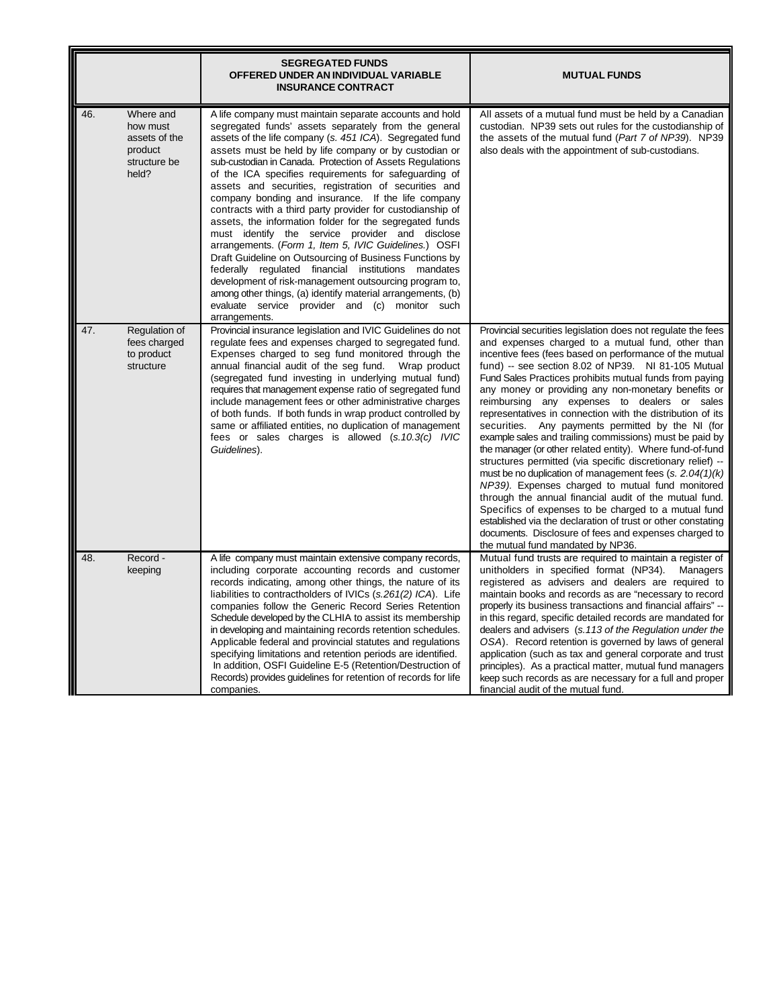|                                                                                   | <b>SEGREGATED FUNDS</b><br>OFFERED UNDER AN INDIVIDUAL VARIABLE<br><b>INSURANCE CONTRACT</b>                                                                                                                                                                                                                                                                                                                                                                                                                                                                                                                                                                                                                                                                                                                                                                                                                                                                                                                                  | <b>MUTUAL FUNDS</b>                                                                                                                                                                                                                                                                                                                                                                                                                                                                                                                                                                                                                                                                                                                                                                                                                                                                                                                                                                                                                                                                                                |
|-----------------------------------------------------------------------------------|-------------------------------------------------------------------------------------------------------------------------------------------------------------------------------------------------------------------------------------------------------------------------------------------------------------------------------------------------------------------------------------------------------------------------------------------------------------------------------------------------------------------------------------------------------------------------------------------------------------------------------------------------------------------------------------------------------------------------------------------------------------------------------------------------------------------------------------------------------------------------------------------------------------------------------------------------------------------------------------------------------------------------------|--------------------------------------------------------------------------------------------------------------------------------------------------------------------------------------------------------------------------------------------------------------------------------------------------------------------------------------------------------------------------------------------------------------------------------------------------------------------------------------------------------------------------------------------------------------------------------------------------------------------------------------------------------------------------------------------------------------------------------------------------------------------------------------------------------------------------------------------------------------------------------------------------------------------------------------------------------------------------------------------------------------------------------------------------------------------------------------------------------------------|
| 46.<br>Where and<br>how must<br>assets of the<br>product<br>structure be<br>held? | A life company must maintain separate accounts and hold<br>segregated funds' assets separately from the general<br>assets of the life company (s. 451 ICA). Segregated fund<br>assets must be held by life company or by custodian or<br>sub-custodian in Canada. Protection of Assets Regulations<br>of the ICA specifies requirements for safeguarding of<br>assets and securities, registration of securities and<br>company bonding and insurance. If the life company<br>contracts with a third party provider for custodianship of<br>assets, the information folder for the segregated funds<br>must identify the service provider and disclose<br>arrangements. (Form 1, Item 5, IVIC Guidelines.) OSFI<br>Draft Guideline on Outsourcing of Business Functions by<br>federally regulated financial institutions mandates<br>development of risk-management outsourcing program to,<br>among other things, (a) identify material arrangements, (b)<br>evaluate service provider and (c) monitor such<br>arrangements. | All assets of a mutual fund must be held by a Canadian<br>custodian. NP39 sets out rules for the custodianship of<br>the assets of the mutual fund (Part 7 of NP39). NP39<br>also deals with the appointment of sub-custodians.                                                                                                                                                                                                                                                                                                                                                                                                                                                                                                                                                                                                                                                                                                                                                                                                                                                                                    |
| 47.<br>Regulation of<br>fees charged<br>to product<br>structure                   | Provincial insurance legislation and IVIC Guidelines do not<br>regulate fees and expenses charged to segregated fund.<br>Expenses charged to seg fund monitored through the<br>annual financial audit of the seg fund.<br>Wrap product<br>(segregated fund investing in underlying mutual fund)<br>requires that management expense ratio of segregated fund<br>include management fees or other administrative charges<br>of both funds. If both funds in wrap product controlled by<br>same or affiliated entities, no duplication of management<br>fees or sales charges is allowed (s.10.3(c) IVIC<br>Guidelines).                                                                                                                                                                                                                                                                                                                                                                                                        | Provincial securities legislation does not regulate the fees<br>and expenses charged to a mutual fund, other than<br>incentive fees (fees based on performance of the mutual<br>fund) -- see section 8.02 of NP39. NI 81-105 Mutual<br>Fund Sales Practices prohibits mutual funds from paying<br>any money or providing any non-monetary benefits or<br>reimbursing any expenses to dealers or sales<br>representatives in connection with the distribution of its<br>securities. Any payments permitted by the NI (for<br>example sales and trailing commissions) must be paid by<br>the manager (or other related entity). Where fund-of-fund<br>structures permitted (via specific discretionary relief) --<br>must be no duplication of management fees $(s. 2.04(1)(k))$<br>NP39). Expenses charged to mutual fund monitored<br>through the annual financial audit of the mutual fund.<br>Specifics of expenses to be charged to a mutual fund<br>established via the declaration of trust or other constating<br>documents. Disclosure of fees and expenses charged to<br>the mutual fund mandated by NP36. |
| Record -<br>48.<br>keeping                                                        | A life company must maintain extensive company records,<br>including corporate accounting records and customer<br>records indicating, among other things, the nature of its<br>liabilities to contractholders of IVICs (s.261(2) ICA). Life<br>companies follow the Generic Record Series Retention<br>Schedule developed by the CLHIA to assist its membership<br>in developing and maintaining records retention schedules.<br>Applicable federal and provincial statutes and regulations<br>specifying limitations and retention periods are identified.<br>In addition, OSFI Guideline E-5 (Retention/Destruction of<br>Records) provides guidelines for retention of records for life<br>companies.                                                                                                                                                                                                                                                                                                                      | Mutual fund trusts are required to maintain a register of<br>unitholders in specified format (NP34).<br>Managers<br>registered as advisers and dealers are required to<br>maintain books and records as are "necessary to record<br>properly its business transactions and financial affairs" --<br>in this regard, specific detailed records are mandated for<br>dealers and advisers (s.113 of the Regulation under the<br>OSA). Record retention is governed by laws of general<br>application (such as tax and general corporate and trust<br>principles). As a practical matter, mutual fund managers<br>keep such records as are necessary for a full and proper<br>financial audit of the mutual fund.                                                                                                                                                                                                                                                                                                                                                                                                      |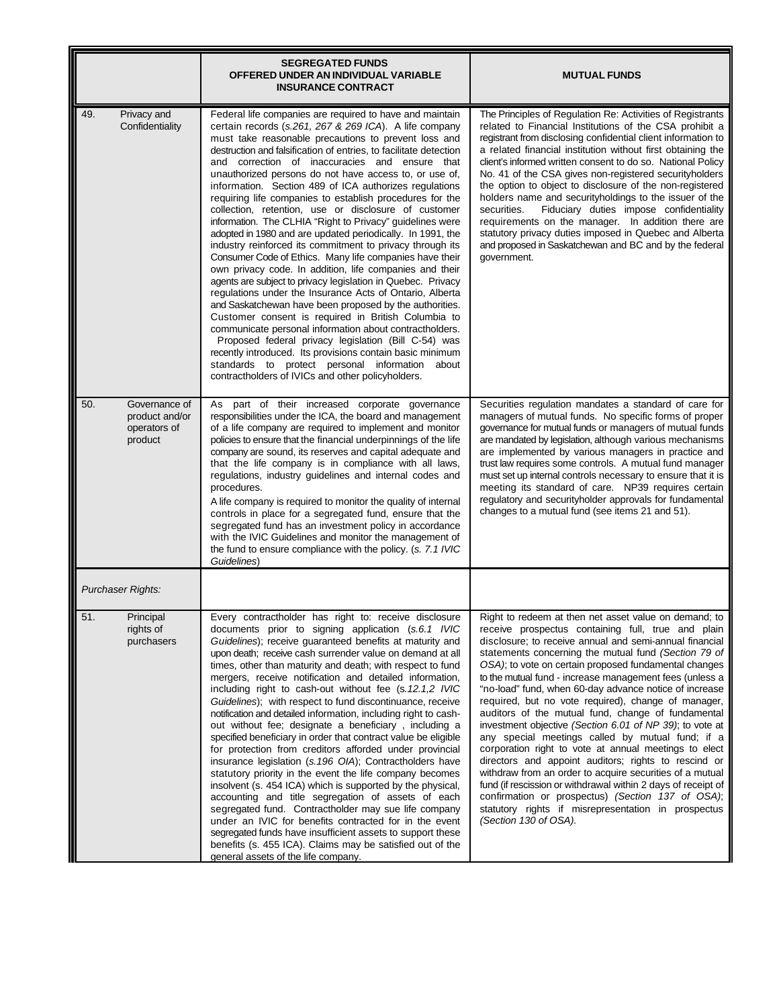|                                                                   | <b>SEGREGATED FUNDS</b><br>OFFERED UNDER AN INDIVIDUAL VARIABLE<br><b>INSURANCE CONTRACT</b>                                                                                                                                                                                                                                                                                                                                                                                                                                                                                                                                                                                                                                                                                                                                                                                                                                                                                                                                                                                                                                                                                                                                                                                                                                                                                                  | <b>MUTUAL FUNDS</b>                                                                                                                                                                                                                                                                                                                                                                                                                                                                                                                                                                                                                                                                                                                                                                                                                                                                                                                                                                                                          |
|-------------------------------------------------------------------|-----------------------------------------------------------------------------------------------------------------------------------------------------------------------------------------------------------------------------------------------------------------------------------------------------------------------------------------------------------------------------------------------------------------------------------------------------------------------------------------------------------------------------------------------------------------------------------------------------------------------------------------------------------------------------------------------------------------------------------------------------------------------------------------------------------------------------------------------------------------------------------------------------------------------------------------------------------------------------------------------------------------------------------------------------------------------------------------------------------------------------------------------------------------------------------------------------------------------------------------------------------------------------------------------------------------------------------------------------------------------------------------------|------------------------------------------------------------------------------------------------------------------------------------------------------------------------------------------------------------------------------------------------------------------------------------------------------------------------------------------------------------------------------------------------------------------------------------------------------------------------------------------------------------------------------------------------------------------------------------------------------------------------------------------------------------------------------------------------------------------------------------------------------------------------------------------------------------------------------------------------------------------------------------------------------------------------------------------------------------------------------------------------------------------------------|
| 49.<br>Privacy and<br>Confidentiality                             | Federal life companies are required to have and maintain<br>certain records (s.261, 267 & 269 ICA). A life company<br>must take reasonable precautions to prevent loss and<br>destruction and falsification of entries, to facilitate detection<br>and correction of inaccuracies and ensure that<br>unauthorized persons do not have access to, or use of,<br>information. Section 489 of ICA authorizes regulations<br>requiring life companies to establish procedures for the<br>collection, retention, use or disclosure of customer<br>information. The CLHIA "Right to Privacy" guidelines were<br>adopted in 1980 and are updated periodically. In 1991, the<br>industry reinforced its commitment to privacy through its<br>Consumer Code of Ethics. Many life companies have their<br>own privacy code. In addition, life companies and their<br>agents are subject to privacy legislation in Quebec. Privacy<br>regulations under the Insurance Acts of Ontario, Alberta<br>and Saskatchewan have been proposed by the authorities.<br>Customer consent is required in British Columbia to<br>communicate personal information about contractholders.<br>Proposed federal privacy legislation (Bill C-54) was<br>recently introduced. Its provisions contain basic minimum<br>standards to protect personal information about<br>contractholders of IVICs and other policyholders. | The Principles of Regulation Re: Activities of Registrants<br>related to Financial Institutions of the CSA prohibit a<br>registrant from disclosing confidential client information to<br>a related financial institution without first obtaining the<br>client's informed written consent to do so. National Policy<br>No. 41 of the CSA gives non-registered security holders<br>the option to object to disclosure of the non-registered<br>holders name and security holdings to the issuer of the<br>Fiduciary duties impose confidentiality<br>securities.<br>requirements on the manager. In addition there are<br>statutory privacy duties imposed in Quebec and Alberta<br>and proposed in Saskatchewan and BC and by the federal<br>government.                                                                                                                                                                                                                                                                    |
| Governance of<br>50.<br>product and/or<br>operators of<br>product | As part of their increased corporate governance<br>responsibilities under the ICA, the board and management<br>of a life company are required to implement and monitor<br>policies to ensure that the financial underpinnings of the life<br>company are sound, its reserves and capital adequate and<br>that the life company is in compliance with all laws,<br>regulations, industry guidelines and internal codes and<br>procedures.<br>A life company is required to monitor the quality of internal<br>controls in place for a segregated fund, ensure that the<br>segregated fund has an investment policy in accordance<br>with the IVIC Guidelines and monitor the management of<br>the fund to ensure compliance with the policy. (s. 7.1 IVIC<br>Guidelines)                                                                                                                                                                                                                                                                                                                                                                                                                                                                                                                                                                                                                       | Securities regulation mandates a standard of care for<br>managers of mutual funds. No specific forms of proper<br>governance for mutual funds or managers of mutual funds<br>are mandated by legislation, although various mechanisms<br>are implemented by various managers in practice and<br>trust law requires some controls. A mutual fund manager<br>must set up internal controls necessary to ensure that it is<br>meeting its standard of care. NP39 requires certain<br>regulatory and securityholder approvals for fundamental<br>changes to a mutual fund (see items 21 and 51).                                                                                                                                                                                                                                                                                                                                                                                                                                 |
| <b>Purchaser Rights:</b>                                          |                                                                                                                                                                                                                                                                                                                                                                                                                                                                                                                                                                                                                                                                                                                                                                                                                                                                                                                                                                                                                                                                                                                                                                                                                                                                                                                                                                                               |                                                                                                                                                                                                                                                                                                                                                                                                                                                                                                                                                                                                                                                                                                                                                                                                                                                                                                                                                                                                                              |
| 51.<br>Principal<br>rights of<br>purchasers                       | Every contractholder has right to: receive disclosure<br>documents prior to signing application (s.6.1 IVIC<br>Guidelines); receive guaranteed benefits at maturity and<br>upon death; receive cash surrender value on demand at all<br>times, other than maturity and death; with respect to fund<br>mergers, receive notification and detailed information,<br>including right to cash-out without fee (s.12.1,2 IVIC<br>Guidelines); with respect to fund discontinuance, receive<br>notification and detailed information, including right to cash-<br>out without fee; designate a beneficiary, including a<br>specified beneficiary in order that contract value be eligible<br>for protection from creditors afforded under provincial<br>insurance legislation (s. 196 OIA); Contractholders have<br>statutory priority in the event the life company becomes<br>insolvent (s. 454 ICA) which is supported by the physical,<br>accounting and title segregation of assets of each<br>segregated fund. Contractholder may sue life company<br>under an IVIC for benefits contracted for in the event<br>segregated funds have insufficient assets to support these<br>benefits (s. 455 ICA). Claims may be satisfied out of the<br>general assets of the life company.                                                                                                                 | Right to redeem at then net asset value on demand; to<br>receive prospectus containing full, true and plain<br>disclosure; to receive annual and semi-annual financial<br>statements concerning the mutual fund (Section 79 of<br>OSA); to vote on certain proposed fundamental changes<br>to the mutual fund - increase management fees (unless a<br>"no-load" fund, when 60-day advance notice of increase<br>required, but no vote required), change of manager,<br>auditors of the mutual fund, change of fundamental<br>investment objective (Section 6.01 of NP 39); to vote at<br>any special meetings called by mutual fund; if a<br>corporation right to vote at annual meetings to elect<br>directors and appoint auditors; rights to rescind or<br>withdraw from an order to acquire securities of a mutual<br>fund (if rescission or withdrawal within 2 days of receipt of<br>confirmation or prospectus) (Section 137 of OSA);<br>statutory rights if misrepresentation in prospectus<br>(Section 130 of OSA). |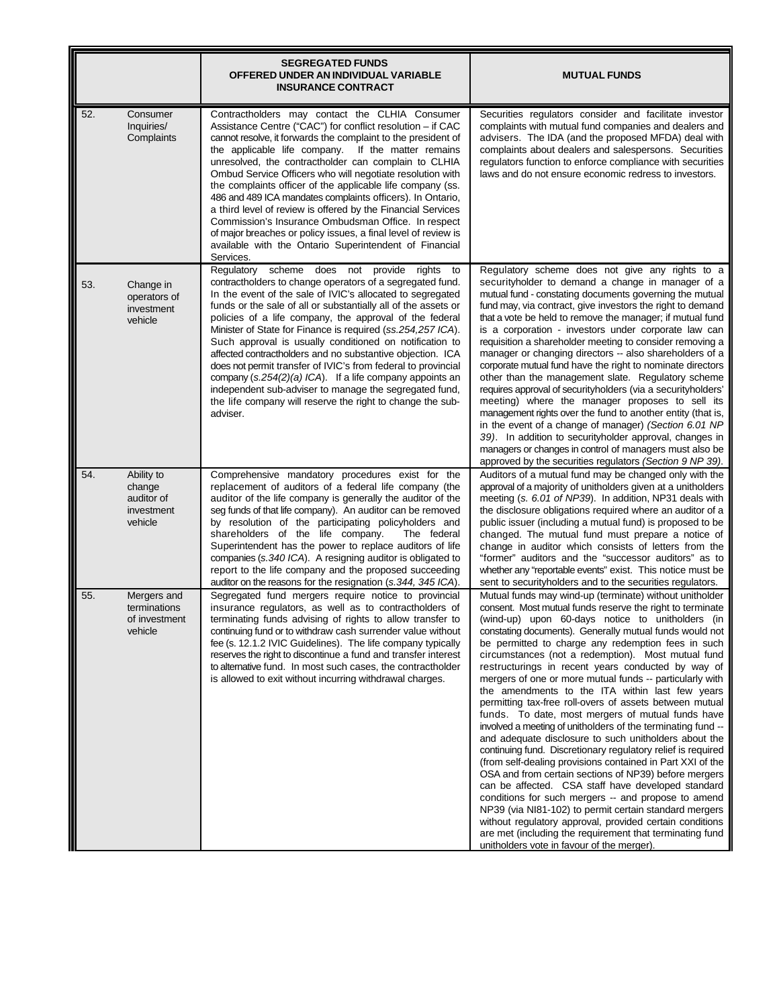|     |                                                             | <b>SEGREGATED FUNDS</b><br>OFFERED UNDER AN INDIVIDUAL VARIABLE<br><b>INSURANCE CONTRACT</b>                                                                                                                                                                                                                                                                                                                                                                                                                                                                                                                                                                                                                                                                     | <b>MUTUAL FUNDS</b>                                                                                                                                                                                                                                                                                                                                                                                                                                                                                                                                                                                                                                                                                                                                                                                                                                                                                                                                                                                                                                                                                                                                                                                                                                                                               |
|-----|-------------------------------------------------------------|------------------------------------------------------------------------------------------------------------------------------------------------------------------------------------------------------------------------------------------------------------------------------------------------------------------------------------------------------------------------------------------------------------------------------------------------------------------------------------------------------------------------------------------------------------------------------------------------------------------------------------------------------------------------------------------------------------------------------------------------------------------|---------------------------------------------------------------------------------------------------------------------------------------------------------------------------------------------------------------------------------------------------------------------------------------------------------------------------------------------------------------------------------------------------------------------------------------------------------------------------------------------------------------------------------------------------------------------------------------------------------------------------------------------------------------------------------------------------------------------------------------------------------------------------------------------------------------------------------------------------------------------------------------------------------------------------------------------------------------------------------------------------------------------------------------------------------------------------------------------------------------------------------------------------------------------------------------------------------------------------------------------------------------------------------------------------|
| 52. | Consumer<br>Inquiries/<br>Complaints                        | Contractholders may contact the CLHIA Consumer<br>Assistance Centre ("CAC") for conflict resolution - if CAC<br>cannot resolve, it forwards the complaint to the president of<br>the applicable life company. If the matter remains<br>unresolved, the contractholder can complain to CLHIA<br>Ombud Service Officers who will negotiate resolution with<br>the complaints officer of the applicable life company (ss.<br>486 and 489 ICA mandates complaints officers). In Ontario,<br>a third level of review is offered by the Financial Services<br>Commission's Insurance Ombudsman Office. In respect<br>of major breaches or policy issues, a final level of review is<br>available with the Ontario Superintendent of Financial<br>Services.             | Securities regulators consider and facilitate investor<br>complaints with mutual fund companies and dealers and<br>advisers. The IDA (and the proposed MFDA) deal with<br>complaints about dealers and salespersons. Securities<br>regulators function to enforce compliance with securities<br>laws and do not ensure economic redress to investors.                                                                                                                                                                                                                                                                                                                                                                                                                                                                                                                                                                                                                                                                                                                                                                                                                                                                                                                                             |
| 53. | Change in<br>operators of<br>investment<br>vehicle          | Regulatory scheme does not provide rights<br>to<br>contractholders to change operators of a segregated fund.<br>In the event of the sale of IVIC's allocated to segregated<br>funds or the sale of all or substantially all of the assets or<br>policies of a life company, the approval of the federal<br>Minister of State for Finance is required (ss.254,257 ICA).<br>Such approval is usually conditioned on notification to<br>affected contractholders and no substantive objection. ICA<br>does not permit transfer of IVIC's from federal to provincial<br>company (s.254(2)(a) ICA). If a life company appoints an<br>independent sub-adviser to manage the segregated fund,<br>the life company will reserve the right to change the sub-<br>adviser. | Regulatory scheme does not give any rights to a<br>security holder to demand a change in manager of a<br>mutual fund - constating documents governing the mutual<br>fund may, via contract, give investors the right to demand<br>that a vote be held to remove the manager; if mutual fund<br>is a corporation - investors under corporate law can<br>requisition a shareholder meeting to consider removing a<br>manager or changing directors -- also shareholders of a<br>corporate mutual fund have the right to nominate directors<br>other than the management slate. Regulatory scheme<br>requires approval of securityholders (via a securityholders'<br>meeting) where the manager proposes to sell its<br>management rights over the fund to another entity (that is,<br>in the event of a change of manager) (Section 6.01 NP<br>39). In addition to securityholder approval, changes in<br>managers or changes in control of managers must also be<br>approved by the securities regulators (Section 9 NP 39).                                                                                                                                                                                                                                                                       |
| 54. | Ability to<br>change<br>auditor of<br>investment<br>vehicle | Comprehensive mandatory procedures exist for the<br>replacement of auditors of a federal life company (the<br>auditor of the life company is generally the auditor of the<br>seg funds of that life company). An auditor can be removed<br>by resolution of the participating policyholders and<br>shareholders of the life company.<br>The federal<br>Superintendent has the power to replace auditors of life<br>companies (s. 340 ICA). A resigning auditor is obligated to<br>report to the life company and the proposed succeeding<br>auditor on the reasons for the resignation (s.344, 345 ICA).                                                                                                                                                         | Auditors of a mutual fund may be changed only with the<br>approval of a majority of unitholders given at a unitholders<br>meeting (s. 6.01 of NP39). In addition, NP31 deals with<br>the disclosure obligations required where an auditor of a<br>public issuer (including a mutual fund) is proposed to be<br>changed. The mutual fund must prepare a notice of<br>change in auditor which consists of letters from the<br>"former" auditors and the "successor auditors" as to<br>whether any "reportable events" exist. This notice must be<br>sent to security holders and to the securities regulators.                                                                                                                                                                                                                                                                                                                                                                                                                                                                                                                                                                                                                                                                                      |
| 55. | Mergers and<br>terminations<br>of investment<br>vehicle     | Segregated fund mergers require notice to provincial<br>insurance regulators, as well as to contractholders of<br>terminating funds advising of rights to allow transfer to<br>continuing fund or to withdraw cash surrender value without<br>fee (s. 12.1.2 IVIC Guidelines). The life company typically<br>reserves the right to discontinue a fund and transfer interest<br>to alternative fund. In most such cases, the contractholder<br>is allowed to exit without incurring withdrawal charges.                                                                                                                                                                                                                                                           | Mutual funds may wind-up (terminate) without unitholder<br>consent. Most mutual funds reserve the right to terminate<br>(wind-up) upon 60-days notice to unitholders (in<br>constating documents). Generally mutual funds would not<br>be permitted to charge any redemption fees in such<br>circumstances (not a redemption). Most mutual fund<br>restructurings in recent years conducted by way of<br>mergers of one or more mutual funds -- particularly with<br>the amendments to the ITA within last few years<br>permitting tax-free roll-overs of assets between mutual<br>funds. To date, most mergers of mutual funds have<br>involved a meeting of unitholders of the terminating fund --<br>and adequate disclosure to such unitholders about the<br>continuing fund. Discretionary regulatory relief is required<br>(from self-dealing provisions contained in Part XXI of the<br>OSA and from certain sections of NP39) before mergers<br>can be affected. CSA staff have developed standard<br>conditions for such mergers -- and propose to amend<br>NP39 (via NI81-102) to permit certain standard mergers<br>without regulatory approval, provided certain conditions<br>are met (including the requirement that terminating fund<br>unitholders vote in favour of the merger). |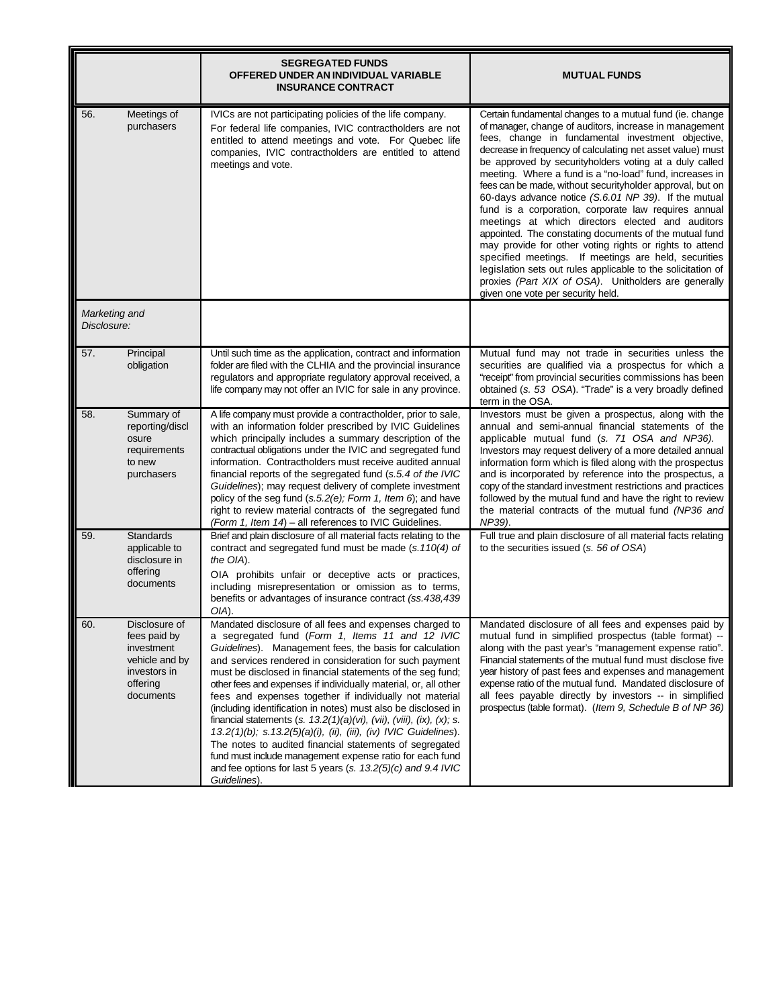|                              |                                                                                                        | <b>SEGREGATED FUNDS</b><br>OFFERED UNDER AN INDIVIDUAL VARIABLE<br><b>INSURANCE CONTRACT</b>                                                                                                                                                                                                                                                                                                                                                                                                                                                                                                                                                                                                                                                                                                                                                         | <b>MUTUAL FUNDS</b>                                                                                                                                                                                                                                                                                                                                                                                                                                                                                                                                                                                                                                                                                                                                                                                                                                                                                                                   |
|------------------------------|--------------------------------------------------------------------------------------------------------|------------------------------------------------------------------------------------------------------------------------------------------------------------------------------------------------------------------------------------------------------------------------------------------------------------------------------------------------------------------------------------------------------------------------------------------------------------------------------------------------------------------------------------------------------------------------------------------------------------------------------------------------------------------------------------------------------------------------------------------------------------------------------------------------------------------------------------------------------|---------------------------------------------------------------------------------------------------------------------------------------------------------------------------------------------------------------------------------------------------------------------------------------------------------------------------------------------------------------------------------------------------------------------------------------------------------------------------------------------------------------------------------------------------------------------------------------------------------------------------------------------------------------------------------------------------------------------------------------------------------------------------------------------------------------------------------------------------------------------------------------------------------------------------------------|
| 56.                          | Meetings of<br>purchasers                                                                              | IVICs are not participating policies of the life company.<br>For federal life companies, IVIC contractholders are not<br>entitled to attend meetings and vote. For Quebec life<br>companies, IVIC contractholders are entitled to attend<br>meetings and vote.                                                                                                                                                                                                                                                                                                                                                                                                                                                                                                                                                                                       | Certain fundamental changes to a mutual fund (ie. change<br>of manager, change of auditors, increase in management<br>fees, change in fundamental investment objective,<br>decrease in frequency of calculating net asset value) must<br>be approved by securityholders voting at a duly called<br>meeting. Where a fund is a "no-load" fund, increases in<br>fees can be made, without securityholder approval, but on<br>60-days advance notice (S.6.01 NP 39). If the mutual<br>fund is a corporation, corporate law requires annual<br>meetings at which directors elected and auditors<br>appointed. The constating documents of the mutual fund<br>may provide for other voting rights or rights to attend<br>specified meetings. If meetings are held, securities<br>legislation sets out rules applicable to the solicitation of<br>proxies (Part XIX of OSA). Unitholders are generally<br>given one vote per security held. |
| Marketing and<br>Disclosure: |                                                                                                        |                                                                                                                                                                                                                                                                                                                                                                                                                                                                                                                                                                                                                                                                                                                                                                                                                                                      |                                                                                                                                                                                                                                                                                                                                                                                                                                                                                                                                                                                                                                                                                                                                                                                                                                                                                                                                       |
| 57.                          | Principal<br>obligation                                                                                | Until such time as the application, contract and information<br>folder are filed with the CLHIA and the provincial insurance<br>regulators and appropriate regulatory approval received, a<br>life company may not offer an IVIC for sale in any province.                                                                                                                                                                                                                                                                                                                                                                                                                                                                                                                                                                                           | Mutual fund may not trade in securities unless the<br>securities are qualified via a prospectus for which a<br>"receipt" from provincial securities commissions has been<br>obtained (s. 53 OSA). "Trade" is a very broadly defined<br>term in the OSA.                                                                                                                                                                                                                                                                                                                                                                                                                                                                                                                                                                                                                                                                               |
| 58.                          | Summary of<br>reporting/discl<br>osure<br>requirements<br>to new<br>purchasers                         | A life company must provide a contractholder, prior to sale,<br>with an information folder prescribed by IVIC Guidelines<br>which principally includes a summary description of the<br>contractual obligations under the IVIC and segregated fund<br>information. Contractholders must receive audited annual<br>financial reports of the segregated fund (s.5.4 of the IVIC<br>Guidelines); may request delivery of complete investment<br>policy of the seg fund (s.5.2(e); Form 1, Item 6); and have<br>right to review material contracts of the segregated fund<br>(Form 1, Item 14) - all references to IVIC Guidelines.                                                                                                                                                                                                                       | Investors must be given a prospectus, along with the<br>annual and semi-annual financial statements of the<br>applicable mutual fund (s. 71 OSA and NP36).<br>Investors may request delivery of a more detailed annual<br>information form which is filed along with the prospectus<br>and is incorporated by reference into the prospectus, a<br>copy of the standard investment restrictions and practices<br>followed by the mutual fund and have the right to review<br>the material contracts of the mutual fund (NP36 and<br>NP39).                                                                                                                                                                                                                                                                                                                                                                                             |
| 59.                          | <b>Standards</b><br>applicable to<br>disclosure in<br>offering<br>documents                            | Brief and plain disclosure of all material facts relating to the<br>contract and segregated fund must be made (s.110(4) of<br>the OIA).<br>OIA prohibits unfair or deceptive acts or practices,<br>including misrepresentation or omission as to terms,<br>benefits or advantages of insurance contract (ss.438,439)<br>OIA).                                                                                                                                                                                                                                                                                                                                                                                                                                                                                                                        | Full true and plain disclosure of all material facts relating<br>to the securities issued (s. 56 of OSA)                                                                                                                                                                                                                                                                                                                                                                                                                                                                                                                                                                                                                                                                                                                                                                                                                              |
| 60.                          | Disclosure of<br>fees paid by<br>investment<br>vehicle and by<br>investors in<br>offering<br>documents | Mandated disclosure of all fees and expenses charged to<br>a segregated fund (Form 1, Items 11 and 12 IVIC<br>Guidelines). Management fees, the basis for calculation<br>and services rendered in consideration for such payment<br>must be disclosed in financial statements of the seg fund;<br>other fees and expenses if individually material, or, all other<br>fees and expenses together if individually not material<br>(including identification in notes) must also be disclosed in<br>financial statements (s. $13.2(1)(a)(vi)$ , (vii), (viii), (ix), (x); s.<br>13.2(1)(b); s.13.2(5)(a)(i), (ii), (iii), (iv) IVIC Guidelines).<br>The notes to audited financial statements of segregated<br>fund must include management expense ratio for each fund<br>and fee options for last 5 years (s. 13.2(5)(c) and 9.4 IVIC<br>Guidelines). | Mandated disclosure of all fees and expenses paid by<br>mutual fund in simplified prospectus (table format) --<br>along with the past year's "management expense ratio".<br>Financial statements of the mutual fund must disclose five<br>year history of past fees and expenses and management<br>expense ratio of the mutual fund. Mandated disclosure of<br>all fees payable directly by investors -- in simplified<br>prospectus (table format). (Item 9, Schedule B of NP 36)                                                                                                                                                                                                                                                                                                                                                                                                                                                    |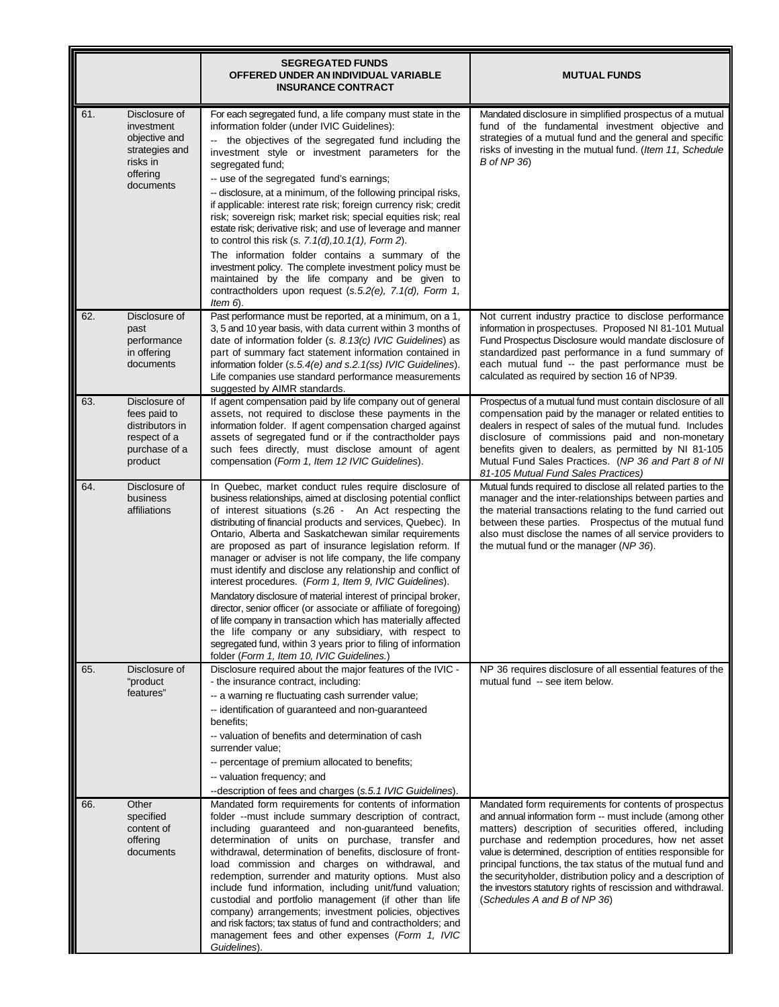|                                                                                                            | <b>SEGREGATED FUNDS</b><br>OFFERED UNDER AN INDIVIDUAL VARIABLE<br><b>INSURANCE CONTRACT</b>                                                                                                                                                                                                                                                                                                                                                                                                                                                                                                                                                                                                                                                                                                                                                                                                                                              | <b>MUTUAL FUNDS</b>                                                                                                                                                                                                                                                                                                                                                                                                                                                                                                           |
|------------------------------------------------------------------------------------------------------------|-------------------------------------------------------------------------------------------------------------------------------------------------------------------------------------------------------------------------------------------------------------------------------------------------------------------------------------------------------------------------------------------------------------------------------------------------------------------------------------------------------------------------------------------------------------------------------------------------------------------------------------------------------------------------------------------------------------------------------------------------------------------------------------------------------------------------------------------------------------------------------------------------------------------------------------------|-------------------------------------------------------------------------------------------------------------------------------------------------------------------------------------------------------------------------------------------------------------------------------------------------------------------------------------------------------------------------------------------------------------------------------------------------------------------------------------------------------------------------------|
| 61.<br>Disclosure of<br>investment<br>objective and<br>strategies and<br>risks in<br>offering<br>documents | For each segregated fund, a life company must state in the<br>information folder (under IVIC Guidelines):<br>the objectives of the segregated fund including the<br>$\sim$<br>investment style or investment parameters for the<br>segregated fund;<br>-- use of the segregated fund's earnings;<br>-- disclosure, at a minimum, of the following principal risks,<br>if applicable: interest rate risk; foreign currency risk; credit<br>risk; sovereign risk; market risk; special equities risk; real<br>estate risk; derivative risk; and use of leverage and manner<br>to control this risk $(s. 7.1(d), 10.1(1),$ Form 2).<br>The information folder contains a summary of the<br>investment policy. The complete investment policy must be<br>maintained by the life company and be given to<br>contractholders upon request (s.5.2(e), 7.1(d), Form 1,<br>Item 6).                                                                | Mandated disclosure in simplified prospectus of a mutual<br>fund of the fundamental investment objective and<br>strategies of a mutual fund and the general and specific<br>risks of investing in the mutual fund. (Item 11, Schedule<br><b>B</b> of NP 36)                                                                                                                                                                                                                                                                   |
| 62.<br>Disclosure of<br>past<br>performance<br>in offering<br>documents                                    | Past performance must be reported, at a minimum, on a 1,<br>3, 5 and 10 year basis, with data current within 3 months of<br>date of information folder (s. 8.13(c) IVIC Guidelines) as<br>part of summary fact statement information contained in<br>information folder (s.5.4(e) and s.2.1(ss) IVIC Guidelines).<br>Life companies use standard performance measurements<br>suggested by AIMR standards.                                                                                                                                                                                                                                                                                                                                                                                                                                                                                                                                 | Not current industry practice to disclose performance<br>information in prospectuses. Proposed NI 81-101 Mutual<br>Fund Prospectus Disclosure would mandate disclosure of<br>standardized past performance in a fund summary of<br>each mutual fund -- the past performance must be<br>calculated as required by section 16 of NP39.                                                                                                                                                                                          |
| 63.<br>Disclosure of<br>fees paid to<br>distributors in<br>respect of a<br>purchase of a<br>product        | If agent compensation paid by life company out of general<br>assets, not required to disclose these payments in the<br>information folder. If agent compensation charged against<br>assets of segregated fund or if the contractholder pays<br>such fees directly, must disclose amount of agent<br>compensation (Form 1, Item 12 IVIC Guidelines).                                                                                                                                                                                                                                                                                                                                                                                                                                                                                                                                                                                       | Prospectus of a mutual fund must contain disclosure of all<br>compensation paid by the manager or related entities to<br>dealers in respect of sales of the mutual fund. Includes<br>disclosure of commissions paid and non-monetary<br>benefits given to dealers, as permitted by NI 81-105<br>Mutual Fund Sales Practices. (NP 36 and Part 8 of NI<br>81-105 Mutual Fund Sales Practices)                                                                                                                                   |
| Disclosure of<br>64.<br>business<br>affiliations                                                           | In Quebec, market conduct rules require disclosure of<br>business relationships, aimed at disclosing potential conflict<br>of interest situations (s.26 - An Act respecting the<br>distributing of financial products and services, Quebec). In<br>Ontario, Alberta and Saskatchewan similar requirements<br>are proposed as part of insurance legislation reform. If<br>manager or adviser is not life company, the life company<br>must identify and disclose any relationship and conflict of<br>interest procedures. (Form 1, Item 9, IVIC Guidelines).<br>Mandatory disclosure of material interest of principal broker,<br>director, senior officer (or associate or affiliate of foregoing)<br>of life company in transaction which has materially affected<br>the life company or any subsidiary, with respect to<br>segregated fund, within 3 years prior to filing of information<br>folder (Form 1, Item 10, IVIC Guidelines.) | Mutual funds required to disclose all related parties to the<br>manager and the inter-relationships between parties and<br>the material transactions relating to the fund carried out<br>between these parties. Prospectus of the mutual fund<br>also must disclose the names of all service providers to<br>the mutual fund or the manager (NP 36).                                                                                                                                                                          |
| 65.<br>Disclosure of<br>"product<br>features"                                                              | Disclosure required about the major features of the IVIC -<br>- the insurance contract, including:<br>-- a warning re fluctuating cash surrender value;<br>-- identification of guaranteed and non-guaranteed<br>benefits;<br>-- valuation of benefits and determination of cash<br>surrender value;<br>-- percentage of premium allocated to benefits;<br>-- valuation frequency; and<br>--description of fees and charges (s.5.1 IVIC Guidelines).                                                                                                                                                                                                                                                                                                                                                                                                                                                                                      | NP 36 requires disclosure of all essential features of the<br>mutual fund -- see item below.                                                                                                                                                                                                                                                                                                                                                                                                                                  |
| Other<br>66.<br>specified<br>content of<br>offering<br>documents                                           | Mandated form requirements for contents of information<br>folder --must include summary description of contract,<br>including guaranteed and non-guaranteed benefits,<br>determination of units on purchase, transfer and<br>withdrawal, determination of benefits, disclosure of front-<br>load commission and charges on withdrawal, and<br>redemption, surrender and maturity options. Must also<br>include fund information, including unit/fund valuation;<br>custodial and portfolio management (if other than life<br>company) arrangements; investment policies, objectives<br>and risk factors; tax status of fund and contractholders; and<br>management fees and other expenses (Form 1, IVIC<br>Guidelines).                                                                                                                                                                                                                  | Mandated form requirements for contents of prospectus<br>and annual information form -- must include (among other<br>matters) description of securities offered, including<br>purchase and redemption procedures, how net asset<br>value is determined, description of entities responsible for<br>principal functions, the tax status of the mutual fund and<br>the securityholder, distribution policy and a description of<br>the investors statutory rights of rescission and withdrawal.<br>(Schedules A and B of NP 36) |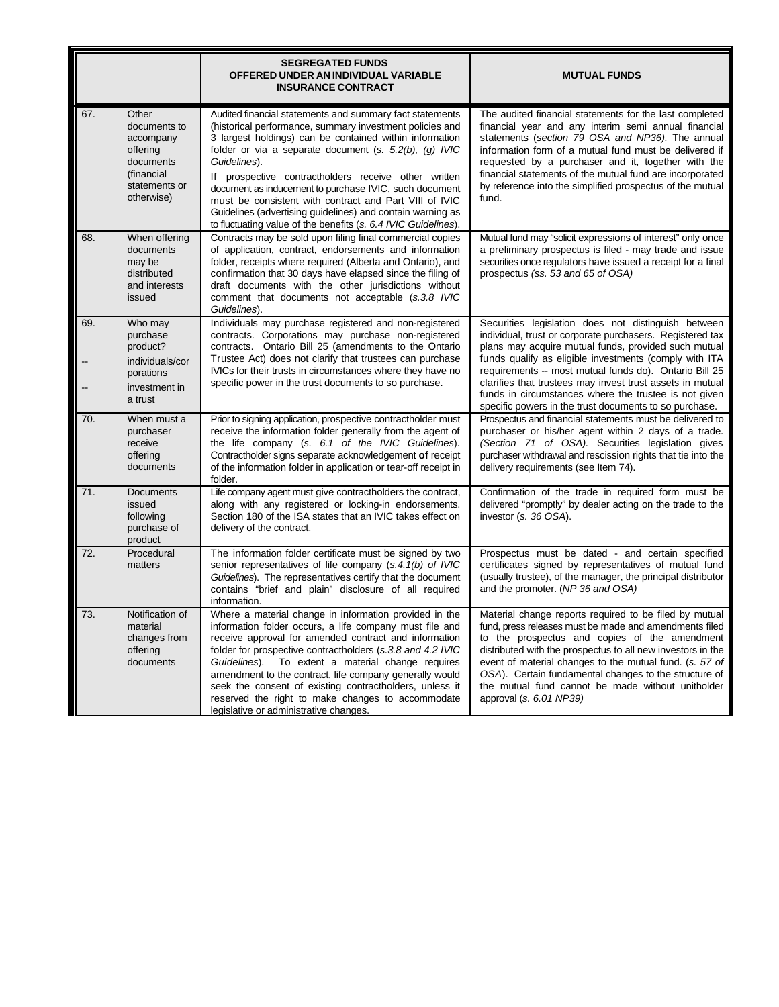|           |                                                                                                          | <b>SEGREGATED FUNDS</b><br>OFFERED UNDER AN INDIVIDUAL VARIABLE<br><b>INSURANCE CONTRACT</b>                                                                                                                                                                                                                                                                                                                                                                                                                                                                          | <b>MUTUAL FUNDS</b>                                                                                                                                                                                                                                                                                                                                                                                                                                                          |
|-----------|----------------------------------------------------------------------------------------------------------|-----------------------------------------------------------------------------------------------------------------------------------------------------------------------------------------------------------------------------------------------------------------------------------------------------------------------------------------------------------------------------------------------------------------------------------------------------------------------------------------------------------------------------------------------------------------------|------------------------------------------------------------------------------------------------------------------------------------------------------------------------------------------------------------------------------------------------------------------------------------------------------------------------------------------------------------------------------------------------------------------------------------------------------------------------------|
| 67.       | Other<br>documents to<br>accompany<br>offering<br>documents<br>(financial<br>statements or<br>otherwise) | Audited financial statements and summary fact statements<br>(historical performance, summary investment policies and<br>3 largest holdings) can be contained within information<br>folder or via a separate document (s. 5.2(b), (g) IVIC<br>Guidelines).<br>If prospective contractholders receive other written<br>document as inducement to purchase IVIC, such document<br>must be consistent with contract and Part VIII of IVIC<br>Guidelines (advertising guidelines) and contain warning as<br>to fluctuating value of the benefits (s. 6.4 IVIC Guidelines). | The audited financial statements for the last completed<br>financial year and any interim semi annual financial<br>statements (section 79 OSA and NP36). The annual<br>information form of a mutual fund must be delivered if<br>requested by a purchaser and it, together with the<br>financial statements of the mutual fund are incorporated<br>by reference into the simplified prospectus of the mutual<br>fund.                                                        |
| 68.       | When offering<br>documents<br>may be<br>distributed<br>and interests<br>issued                           | Contracts may be sold upon filing final commercial copies<br>of application, contract, endorsements and information<br>folder, receipts where required (Alberta and Ontario), and<br>confirmation that 30 days have elapsed since the filing of<br>draft documents with the other jurisdictions without<br>comment that documents not acceptable (s.3.8 IVIC<br>Guidelines).                                                                                                                                                                                          | Mutual fund may "solicit expressions of interest" only once<br>a preliminary prospectus is filed - may trade and issue<br>securities once regulators have issued a receipt for a final<br>prospectus (ss. 53 and 65 of OSA)                                                                                                                                                                                                                                                  |
| 69.<br>-- | Who may<br>purchase<br>product?<br>individuals/cor<br>porations<br>investment in<br>a trust              | Individuals may purchase registered and non-registered<br>contracts. Corporations may purchase non-registered<br>contracts. Ontario Bill 25 (amendments to the Ontario<br>Trustee Act) does not clarify that trustees can purchase<br>IVICs for their trusts in circumstances where they have no<br>specific power in the trust documents to so purchase.                                                                                                                                                                                                             | Securities legislation does not distinguish between<br>individual, trust or corporate purchasers. Registered tax<br>plans may acquire mutual funds, provided such mutual<br>funds qualify as eligible investments (comply with ITA<br>requirements -- most mutual funds do). Ontario Bill 25<br>clarifies that trustees may invest trust assets in mutual<br>funds in circumstances where the trustee is not given<br>specific powers in the trust documents to so purchase. |
| 70.       | When must a<br>purchaser<br>receive<br>offering<br>documents                                             | Prior to signing application, prospective contractholder must<br>receive the information folder generally from the agent of<br>the life company (s. 6.1 of the IVIC Guidelines).<br>Contractholder signs separate acknowledgement of receipt<br>of the information folder in application or tear-off receipt in<br>folder.                                                                                                                                                                                                                                            | Prospectus and financial statements must be delivered to<br>purchaser or his/her agent within 2 days of a trade.<br>(Section 71 of OSA). Securities legislation gives<br>purchaser withdrawal and rescission rights that tie into the<br>delivery requirements (see Item 74).                                                                                                                                                                                                |
| 71.       | Documents<br>issued<br>following<br>purchase of<br>product                                               | Life company agent must give contractholders the contract,<br>along with any registered or locking-in endorsements.<br>Section 180 of the ISA states that an IVIC takes effect on<br>delivery of the contract.                                                                                                                                                                                                                                                                                                                                                        | Confirmation of the trade in required form must be<br>delivered "promptly" by dealer acting on the trade to the<br>investor (s. 36 OSA).                                                                                                                                                                                                                                                                                                                                     |
| 72.       | Procedural<br>matters                                                                                    | The information folder certificate must be signed by two<br>senior representatives of life company (s.4.1(b) of IVIC<br>Guidelines). The representatives certify that the document<br>contains "brief and plain" disclosure of all required<br>information.                                                                                                                                                                                                                                                                                                           | Prospectus must be dated - and certain specified<br>certificates signed by representatives of mutual fund<br>(usually trustee), of the manager, the principal distributor<br>and the promoter. (NP 36 and OSA)                                                                                                                                                                                                                                                               |
| 73.       | Notification of<br>material<br>changes from<br>offering<br>documents                                     | Where a material change in information provided in the<br>information folder occurs, a life company must file and<br>receive approval for amended contract and information<br>folder for prospective contractholders (s.3.8 and 4.2 IVIC<br>Guidelines). To extent a material change requires<br>amendment to the contract, life company generally would<br>seek the consent of existing contractholders, unless it<br>reserved the right to make changes to accommodate<br>legislative or administrative changes.                                                    | Material change reports required to be filed by mutual<br>fund, press releases must be made and amendments filed<br>to the prospectus and copies of the amendment<br>distributed with the prospectus to all new investors in the<br>event of material changes to the mutual fund. (s. 57 of<br>OSA). Certain fundamental changes to the structure of<br>the mutual fund cannot be made without unitholder<br>approval (s. 6.01 NP39)                                         |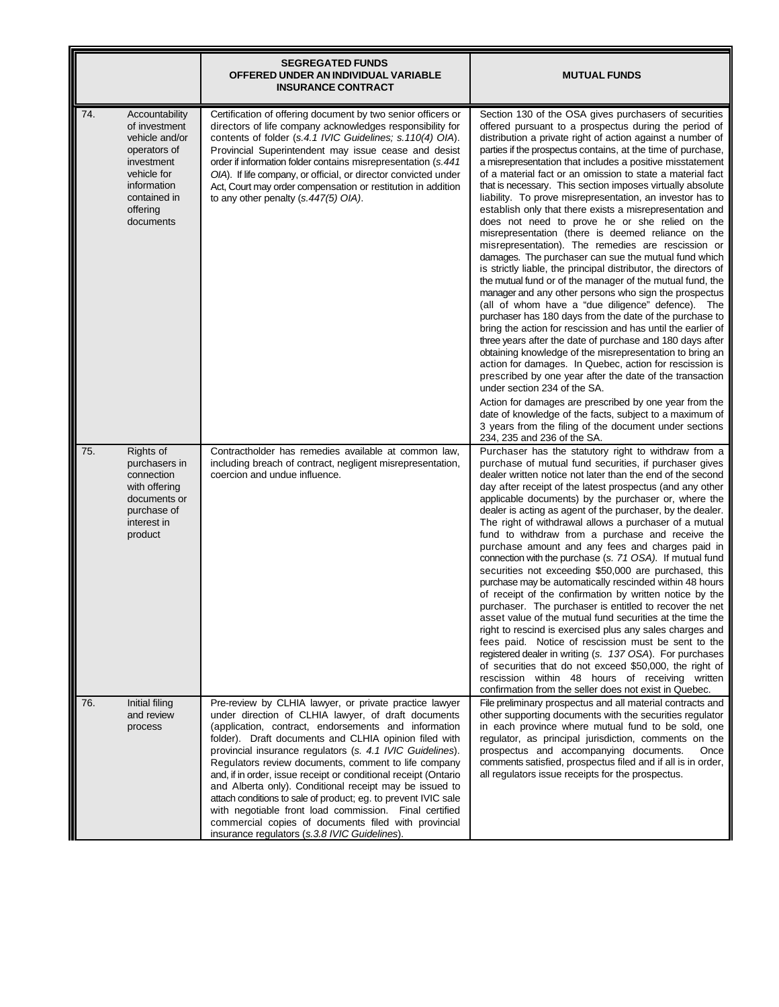|     |                                                                                                                                                        | <b>SEGREGATED FUNDS</b><br>OFFERED UNDER AN INDIVIDUAL VARIABLE<br><b>INSURANCE CONTRACT</b>                                                                                                                                                                                                                                                                                                                                                                                                                                                                                                                                                                                                                           | <b>MUTUAL FUNDS</b>                                                                                                                                                                                                                                                                                                                                                                                                                                                                                                                                                                                                                                                                                                                                                                                                                                                                                                                                                                                                                                                                                                                                                                                                                                                                                                                                                                                                                                                                                                                                                                                                                                         |
|-----|--------------------------------------------------------------------------------------------------------------------------------------------------------|------------------------------------------------------------------------------------------------------------------------------------------------------------------------------------------------------------------------------------------------------------------------------------------------------------------------------------------------------------------------------------------------------------------------------------------------------------------------------------------------------------------------------------------------------------------------------------------------------------------------------------------------------------------------------------------------------------------------|-------------------------------------------------------------------------------------------------------------------------------------------------------------------------------------------------------------------------------------------------------------------------------------------------------------------------------------------------------------------------------------------------------------------------------------------------------------------------------------------------------------------------------------------------------------------------------------------------------------------------------------------------------------------------------------------------------------------------------------------------------------------------------------------------------------------------------------------------------------------------------------------------------------------------------------------------------------------------------------------------------------------------------------------------------------------------------------------------------------------------------------------------------------------------------------------------------------------------------------------------------------------------------------------------------------------------------------------------------------------------------------------------------------------------------------------------------------------------------------------------------------------------------------------------------------------------------------------------------------------------------------------------------------|
| 74. | Accountability<br>of investment<br>vehicle and/or<br>operators of<br>investment<br>vehicle for<br>information<br>contained in<br>offering<br>documents | Certification of offering document by two senior officers or<br>directors of life company acknowledges responsibility for<br>contents of folder (s.4.1 IVIC Guidelines; s.110(4) OIA).<br>Provincial Superintendent may issue cease and desist<br>order if information folder contains misrepresentation (s.441)<br>OIA). If life company, or official, or director convicted under<br>Act, Court may order compensation or restitution in addition<br>to any other penalty (s.447(5) OIA).                                                                                                                                                                                                                            | Section 130 of the OSA gives purchasers of securities<br>offered pursuant to a prospectus during the period of<br>distribution a private right of action against a number of<br>parties if the prospectus contains, at the time of purchase,<br>a misrepresentation that includes a positive misstatement<br>of a material fact or an omission to state a material fact<br>that is necessary. This section imposes virtually absolute<br>liability. To prove misrepresentation, an investor has to<br>establish only that there exists a misrepresentation and<br>does not need to prove he or she relied on the<br>misrepresentation (there is deemed reliance on the<br>misrepresentation). The remedies are rescission or<br>damages. The purchaser can sue the mutual fund which<br>is strictly liable, the principal distributor, the directors of<br>the mutual fund or of the manager of the mutual fund, the<br>manager and any other persons who sign the prospectus<br>(all of whom have a "due diligence" defence). The<br>purchaser has 180 days from the date of the purchase to<br>bring the action for rescission and has until the earlier of<br>three years after the date of purchase and 180 days after<br>obtaining knowledge of the misrepresentation to bring an<br>action for damages. In Quebec, action for rescission is<br>prescribed by one year after the date of the transaction<br>under section 234 of the SA.<br>Action for damages are prescribed by one year from the<br>date of knowledge of the facts, subject to a maximum of<br>3 years from the filing of the document under sections<br>234, 235 and 236 of the SA. |
| 75. | Rights of<br>purchasers in<br>connection<br>with offering<br>documents or<br>purchase of<br>interest in<br>product                                     | Contractholder has remedies available at common law,<br>including breach of contract, negligent misrepresentation,<br>coercion and undue influence.                                                                                                                                                                                                                                                                                                                                                                                                                                                                                                                                                                    | Purchaser has the statutory right to withdraw from a<br>purchase of mutual fund securities, if purchaser gives<br>dealer written notice not later than the end of the second<br>day after receipt of the latest prospectus (and any other<br>applicable documents) by the purchaser or, where the<br>dealer is acting as agent of the purchaser, by the dealer.<br>The right of withdrawal allows a purchaser of a mutual<br>fund to withdraw from a purchase and receive the<br>purchase amount and any fees and charges paid in<br>connection with the purchase (s. 71 OSA). If mutual fund<br>securities not exceeding \$50,000 are purchased, this<br>purchase may be automatically rescinded within 48 hours<br>of receipt of the confirmation by written notice by the<br>purchaser. The purchaser is entitled to recover the net<br>asset value of the mutual fund securities at the time the<br>right to rescind is exercised plus any sales charges and<br>fees paid. Notice of rescission must be sent to the<br>registered dealer in writing (s. 137 OSA). For purchases<br>of securities that do not exceed \$50,000, the right of<br>rescission within 48 hours of receiving written<br>confirmation from the seller does not exist in Quebec.                                                                                                                                                                                                                                                                                                                                                                                                 |
| 76. | Initial filing<br>and review<br>process                                                                                                                | Pre-review by CLHIA lawyer, or private practice lawyer<br>under direction of CLHIA lawyer, of draft documents<br>(application, contract, endorsements and information<br>folder). Draft documents and CLHIA opinion filed with<br>provincial insurance regulators (s. 4.1 IVIC Guidelines).<br>Regulators review documents, comment to life company<br>and, if in order, issue receipt or conditional receipt (Ontario<br>and Alberta only). Conditional receipt may be issued to<br>attach conditions to sale of product; eg. to prevent IVIC sale<br>with negotiable front load commission. Final certified<br>commercial copies of documents filed with provincial<br>insurance regulators (s.3.8 IVIC Guidelines). | File preliminary prospectus and all material contracts and<br>other supporting documents with the securities regulator<br>in each province where mutual fund to be sold, one<br>regulator, as principal jurisdiction, comments on the<br>prospectus and accompanying documents.<br>Once<br>comments satisfied, prospectus filed and if all is in order,<br>all regulators issue receipts for the prospectus.                                                                                                                                                                                                                                                                                                                                                                                                                                                                                                                                                                                                                                                                                                                                                                                                                                                                                                                                                                                                                                                                                                                                                                                                                                                |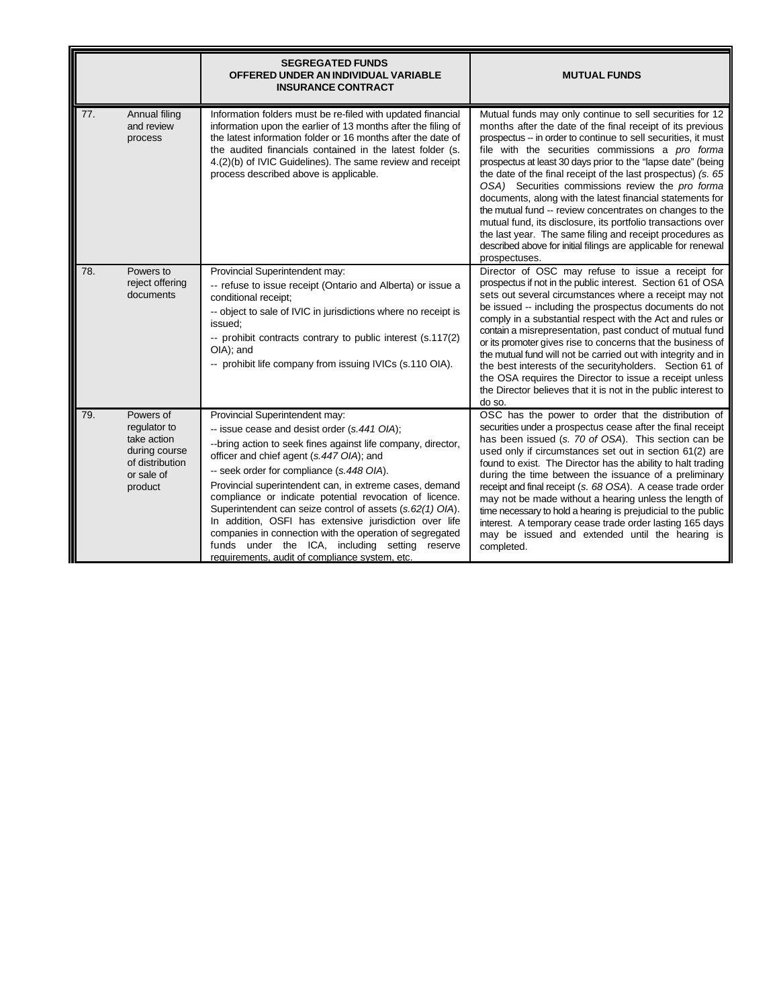|     |                                                                                                       | <b>SEGREGATED FUNDS</b><br>OFFERED UNDER AN INDIVIDUAL VARIABLE<br><b>INSURANCE CONTRACT</b>                                                                                                                                                                                                                                                                                                                                                                                                                                                                                                                                                         | <b>MUTUAL FUNDS</b>                                                                                                                                                                                                                                                                                                                                                                                                                                                                                                                                                                                                                                                                                                                                                      |
|-----|-------------------------------------------------------------------------------------------------------|------------------------------------------------------------------------------------------------------------------------------------------------------------------------------------------------------------------------------------------------------------------------------------------------------------------------------------------------------------------------------------------------------------------------------------------------------------------------------------------------------------------------------------------------------------------------------------------------------------------------------------------------------|--------------------------------------------------------------------------------------------------------------------------------------------------------------------------------------------------------------------------------------------------------------------------------------------------------------------------------------------------------------------------------------------------------------------------------------------------------------------------------------------------------------------------------------------------------------------------------------------------------------------------------------------------------------------------------------------------------------------------------------------------------------------------|
| 77. | Annual filing<br>and review<br>process                                                                | Information folders must be re-filed with updated financial<br>information upon the earlier of 13 months after the filing of<br>the latest information folder or 16 months after the date of<br>the audited financials contained in the latest folder (s.<br>4.(2)(b) of IVIC Guidelines). The same review and receipt<br>process described above is applicable.                                                                                                                                                                                                                                                                                     | Mutual funds may only continue to sell securities for 12<br>months after the date of the final receipt of its previous<br>prospectus -- in order to continue to sell securities, it must<br>file with the securities commissions a pro forma<br>prospectus at least 30 days prior to the "lapse date" (being<br>the date of the final receipt of the last prospectus) (s. 65<br>OSA) Securities commissions review the pro forma<br>documents, along with the latest financial statements for<br>the mutual fund -- review concentrates on changes to the<br>mutual fund, its disclosure, its portfolio transactions over<br>the last year. The same filing and receipt procedures as<br>described above for initial filings are applicable for renewal<br>prospectuses. |
| 78. | Powers to<br>reject offering<br>documents                                                             | Provincial Superintendent may:<br>-- refuse to issue receipt (Ontario and Alberta) or issue a<br>conditional receipt;<br>-- object to sale of IVIC in jurisdictions where no receipt is<br>issued:<br>-- prohibit contracts contrary to public interest (s.117(2)<br>OIA); and<br>-- prohibit life company from issuing IVICs (s.110 OIA).                                                                                                                                                                                                                                                                                                           | Director of OSC may refuse to issue a receipt for<br>prospectus if not in the public interest. Section 61 of OSA<br>sets out several circumstances where a receipt may not<br>be issued -- including the prospectus documents do not<br>comply in a substantial respect with the Act and rules or<br>contain a misrepresentation, past conduct of mutual fund<br>or its promoter gives rise to concerns that the business of<br>the mutual fund will not be carried out with integrity and in<br>the best interests of the securityholders. Section 61 of<br>the OSA requires the Director to issue a receipt unless<br>the Director believes that it is not in the public interest to<br>do so.                                                                         |
| 79. | Powers of<br>regulator to<br>take action<br>during course<br>of distribution<br>or sale of<br>product | Provincial Superintendent may:<br>-- issue cease and desist order (s.441 OIA);<br>--bring action to seek fines against life company, director,<br>officer and chief agent (s.447 OIA); and<br>-- seek order for compliance (s.448 OIA).<br>Provincial superintendent can, in extreme cases, demand<br>compliance or indicate potential revocation of licence.<br>Superintendent can seize control of assets (s.62(1) OIA).<br>In addition, OSFI has extensive jurisdiction over life<br>companies in connection with the operation of segregated<br>funds under the ICA, including setting reserve<br>requirements, audit of compliance system, etc. | OSC has the power to order that the distribution of<br>securities under a prospectus cease after the final receipt<br>has been issued (s. 70 of OSA). This section can be<br>used only if circumstances set out in section 61(2) are<br>found to exist. The Director has the ability to halt trading<br>during the time between the issuance of a preliminary<br>receipt and final receipt (s. 68 OSA). A cease trade order<br>may not be made without a hearing unless the length of<br>time necessary to hold a hearing is prejudicial to the public<br>interest. A temporary cease trade order lasting 165 days<br>may be issued and extended until the hearing is<br>completed.                                                                                      |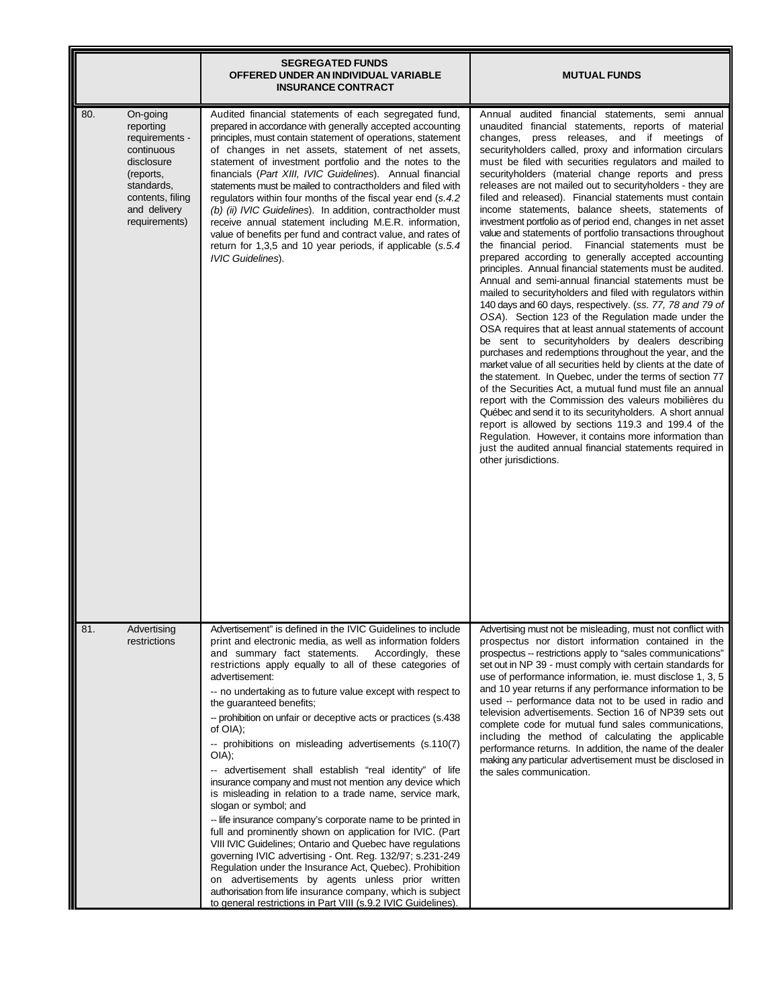|                                                                                                                                                            | <b>SEGREGATED FUNDS</b><br>OFFERED UNDER AN INDIVIDUAL VARIABLE<br><b>INSURANCE CONTRACT</b>                                                                                                                                                                                                                                                                                                                                                                                                                                                                                                                                                                                                                                                                                                                                                                                                                                                                                                                                                                                                                                                                                                                                  | <b>MUTUAL FUNDS</b>                                                                                                                                                                                                                                                                                                                                                                                                                                                                                                                                                                                                                                                                                                                                                                                                                                                                                                                                                                                                                                                                                                                                                                                                                                                                                                                                                                                                                                                                                                                                                                                                                                                                                                                                   |
|------------------------------------------------------------------------------------------------------------------------------------------------------------|-------------------------------------------------------------------------------------------------------------------------------------------------------------------------------------------------------------------------------------------------------------------------------------------------------------------------------------------------------------------------------------------------------------------------------------------------------------------------------------------------------------------------------------------------------------------------------------------------------------------------------------------------------------------------------------------------------------------------------------------------------------------------------------------------------------------------------------------------------------------------------------------------------------------------------------------------------------------------------------------------------------------------------------------------------------------------------------------------------------------------------------------------------------------------------------------------------------------------------|-------------------------------------------------------------------------------------------------------------------------------------------------------------------------------------------------------------------------------------------------------------------------------------------------------------------------------------------------------------------------------------------------------------------------------------------------------------------------------------------------------------------------------------------------------------------------------------------------------------------------------------------------------------------------------------------------------------------------------------------------------------------------------------------------------------------------------------------------------------------------------------------------------------------------------------------------------------------------------------------------------------------------------------------------------------------------------------------------------------------------------------------------------------------------------------------------------------------------------------------------------------------------------------------------------------------------------------------------------------------------------------------------------------------------------------------------------------------------------------------------------------------------------------------------------------------------------------------------------------------------------------------------------------------------------------------------------------------------------------------------------|
| 80.<br>On-going<br>reporting<br>requirements -<br>continuous<br>disclosure<br>(reports,<br>standards,<br>contents, filing<br>and delivery<br>requirements) | Audited financial statements of each segregated fund,<br>prepared in accordance with generally accepted accounting<br>principles, must contain statement of operations, statement<br>of changes in net assets, statement of net assets,<br>statement of investment portfolio and the notes to the<br>financials (Part XIII, IVIC Guidelines). Annual financial<br>statements must be mailed to contractholders and filed with<br>regulators within four months of the fiscal year end (s.4.2)<br>(b) (ii) IVIC Guidelines). In addition, contractholder must<br>receive annual statement including M.E.R. information,<br>value of benefits per fund and contract value, and rates of<br>return for 1,3,5 and 10 year periods, if applicable (s.5.4)<br><b>IVIC Guidelines).</b>                                                                                                                                                                                                                                                                                                                                                                                                                                              | Annual audited financial statements, semi annual<br>unaudited financial statements, reports of material<br>changes, press releases, and if meetings of<br>securityholders called, proxy and information circulars<br>must be filed with securities regulators and mailed to<br>securityholders (material change reports and press<br>releases are not mailed out to securityholders - they are<br>filed and released). Financial statements must contain<br>income statements, balance sheets, statements of<br>investment portfolio as of period end, changes in net asset<br>value and statements of portfolio transactions throughout<br>the financial period. Financial statements must be<br>prepared according to generally accepted accounting<br>principles. Annual financial statements must be audited.<br>Annual and semi-annual financial statements must be<br>mailed to securityholders and filed with regulators within<br>140 days and 60 days, respectively. (ss. 77, 78 and 79 of<br>OSA). Section 123 of the Regulation made under the<br>OSA requires that at least annual statements of account<br>be sent to securityholders by dealers describing<br>purchases and redemptions throughout the year, and the<br>market value of all securities held by clients at the date of<br>the statement. In Quebec, under the terms of section 77<br>of the Securities Act, a mutual fund must file an annual<br>report with the Commission des valeurs mobilières du<br>Québec and send it to its securityholders. A short annual<br>report is allowed by sections 119.3 and 199.4 of the<br>Regulation. However, it contains more information than<br>just the audited annual financial statements required in<br>other jurisdictions. |
| 81.<br>Advertising<br>restrictions                                                                                                                         | Advertisement" is defined in the IVIC Guidelines to include<br>print and electronic media, as well as information folders<br>and summary fact statements.<br>Accordingly, these<br>restrictions apply equally to all of these categories of<br>advertisement:<br>-- no undertaking as to future value except with respect to<br>the guaranteed benefits;<br>-- prohibition on unfair or deceptive acts or practices (s.438<br>of OIA);<br>-- prohibitions on misleading advertisements (s.110(7)<br>$O(A)$ ;<br>-- advertisement shall establish "real identity" of life<br>insurance company and must not mention any device which<br>is misleading in relation to a trade name, service mark,<br>slogan or symbol; and<br>-- life insurance company's corporate name to be printed in<br>full and prominently shown on application for IVIC. (Part<br>VIII IVIC Guidelines; Ontario and Quebec have regulations<br>governing IVIC advertising - Ont. Reg. 132/97; s.231-249<br>Regulation under the Insurance Act, Quebec). Prohibition<br>on advertisements by agents unless prior written<br>authorisation from life insurance company, which is subject<br>to general restrictions in Part VIII (s.9.2 IVIC Guidelines). | Advertising must not be misleading, must not conflict with<br>prospectus nor distort information contained in the<br>prospectus -- restrictions apply to "sales communications"<br>set out in NP 39 - must comply with certain standards for<br>use of performance information, ie. must disclose 1, 3, 5<br>and 10 year returns if any performance information to be<br>used -- performance data not to be used in radio and<br>television advertisements. Section 16 of NP39 sets out<br>complete code for mutual fund sales communications,<br>including the method of calculating the applicable<br>performance returns. In addition, the name of the dealer<br>making any particular advertisement must be disclosed in<br>the sales communication.                                                                                                                                                                                                                                                                                                                                                                                                                                                                                                                                                                                                                                                                                                                                                                                                                                                                                                                                                                                              |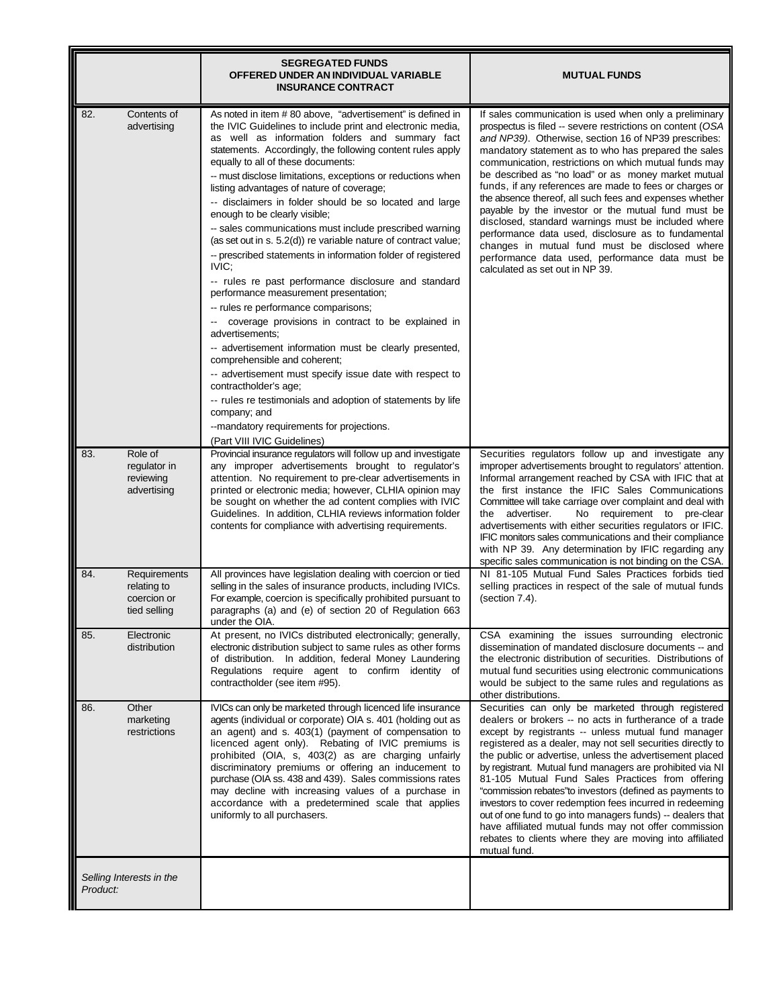|                                                                   | <b>SEGREGATED FUNDS</b><br>OFFERED UNDER AN INDIVIDUAL VARIABLE<br><b>INSURANCE CONTRACT</b>                                                                                                                                                                                                                                                                                                                                                                                                                                                                                                                                                                                                                                                                                                                                                                                                                                                                                                                                                                                                                                                                                                                                                                      | <b>MUTUAL FUNDS</b>                                                                                                                                                                                                                                                                                                                                                                                                                                                                                                                                                                                                                                                                                                                                                                    |
|-------------------------------------------------------------------|-------------------------------------------------------------------------------------------------------------------------------------------------------------------------------------------------------------------------------------------------------------------------------------------------------------------------------------------------------------------------------------------------------------------------------------------------------------------------------------------------------------------------------------------------------------------------------------------------------------------------------------------------------------------------------------------------------------------------------------------------------------------------------------------------------------------------------------------------------------------------------------------------------------------------------------------------------------------------------------------------------------------------------------------------------------------------------------------------------------------------------------------------------------------------------------------------------------------------------------------------------------------|----------------------------------------------------------------------------------------------------------------------------------------------------------------------------------------------------------------------------------------------------------------------------------------------------------------------------------------------------------------------------------------------------------------------------------------------------------------------------------------------------------------------------------------------------------------------------------------------------------------------------------------------------------------------------------------------------------------------------------------------------------------------------------------|
| 82.<br>Contents of<br>advertising                                 | As noted in item # 80 above, "advertisement" is defined in<br>the IVIC Guidelines to include print and electronic media,<br>as well as information folders and summary fact<br>statements. Accordingly, the following content rules apply<br>equally to all of these documents:<br>-- must disclose limitations, exceptions or reductions when<br>listing advantages of nature of coverage;<br>-- disclaimers in folder should be so located and large<br>enough to be clearly visible;<br>-- sales communications must include prescribed warning<br>(as set out in s. 5.2(d)) re variable nature of contract value;<br>-- prescribed statements in information folder of registered<br>IVIC:<br>-- rules re past performance disclosure and standard<br>performance measurement presentation;<br>-- rules re performance comparisons;<br>coverage provisions in contract to be explained in<br>۰.<br>advertisements;<br>-- advertisement information must be clearly presented,<br>comprehensible and coherent;<br>-- advertisement must specify issue date with respect to<br>contractholder's age;<br>-- rules re testimonials and adoption of statements by life<br>company; and<br>--mandatory requirements for projections.<br>(Part VIII IVIC Guidelines) | If sales communication is used when only a preliminary<br>prospectus is filed -- severe restrictions on content (OSA<br>and NP39). Otherwise, section 16 of NP39 prescribes:<br>mandatory statement as to who has prepared the sales<br>communication, restrictions on which mutual funds may<br>be described as "no load" or as money market mutual<br>funds, if any references are made to fees or charges or<br>the absence thereof, all such fees and expenses whether<br>payable by the investor or the mutual fund must be<br>disclosed, standard warnings must be included where<br>performance data used, disclosure as to fundamental<br>changes in mutual fund must be disclosed where<br>performance data used, performance data must be<br>calculated as set out in NP 39. |
| Role of<br>83.<br>regulator in<br>reviewing<br>advertising        | Provincial insurance regulators will follow up and investigate<br>any improper advertisements brought to regulator's<br>attention. No requirement to pre-clear advertisements in<br>printed or electronic media; however, CLHIA opinion may<br>be sought on whether the ad content complies with IVIC<br>Guidelines. In addition, CLHIA reviews information folder<br>contents for compliance with advertising requirements.                                                                                                                                                                                                                                                                                                                                                                                                                                                                                                                                                                                                                                                                                                                                                                                                                                      | Securities regulators follow up and investigate any<br>improper advertisements brought to regulators' attention.<br>Informal arrangement reached by CSA with IFIC that at<br>the first instance the IFIC Sales Communications<br>Committee will take carriage over complaint and deal with<br>the advertiser.<br>No requirement to pre-clear<br>advertisements with either securities regulators or IFIC.<br>IFIC monitors sales communications and their compliance<br>with NP 39. Any determination by IFIC regarding any<br>specific sales communication is not binding on the CSA.                                                                                                                                                                                                 |
| 84.<br>Requirements<br>relating to<br>coercion or<br>tied selling | All provinces have legislation dealing with coercion or tied<br>selling in the sales of insurance products, including IVICs.<br>For example, coercion is specifically prohibited pursuant to<br>paragraphs (a) and (e) of section 20 of Regulation 663<br>under the OIA.                                                                                                                                                                                                                                                                                                                                                                                                                                                                                                                                                                                                                                                                                                                                                                                                                                                                                                                                                                                          | NI 81-105 Mutual Fund Sales Practices forbids tied<br>selling practices in respect of the sale of mutual funds<br>(section 7.4).                                                                                                                                                                                                                                                                                                                                                                                                                                                                                                                                                                                                                                                       |
| Electronic<br>85.<br>distribution                                 | At present, no IVICs distributed electronically; generally,<br>electronic distribution subject to same rules as other forms<br>of distribution. In addition, federal Money Laundering<br>Regulations require agent to confirm identity of<br>contractholder (see item #95).                                                                                                                                                                                                                                                                                                                                                                                                                                                                                                                                                                                                                                                                                                                                                                                                                                                                                                                                                                                       | CSA examining the issues surrounding electronic<br>dissemination of mandated disclosure documents -- and<br>the electronic distribution of securities. Distributions of<br>mutual fund securities using electronic communications<br>would be subject to the same rules and regulations as<br>other distributions.                                                                                                                                                                                                                                                                                                                                                                                                                                                                     |
| Other<br>86.<br>marketing<br>restrictions                         | IVICs can only be marketed through licenced life insurance<br>agents (individual or corporate) OIA s. 401 (holding out as<br>an agent) and s. 403(1) (payment of compensation to<br>licenced agent only). Rebating of IVIC premiums is<br>prohibited (OIA, s, 403(2) as are charging unfairly<br>discriminatory premiums or offering an inducement to<br>purchase (OIA ss. 438 and 439). Sales commissions rates<br>may decline with increasing values of a purchase in<br>accordance with a predetermined scale that applies<br>uniformly to all purchasers.                                                                                                                                                                                                                                                                                                                                                                                                                                                                                                                                                                                                                                                                                                     | Securities can only be marketed through registered<br>dealers or brokers -- no acts in furtherance of a trade<br>except by registrants -- unless mutual fund manager<br>registered as a dealer, may not sell securities directly to<br>the public or advertise, unless the advertisement placed<br>by registrant. Mutual fund managers are prohibited via NI<br>81-105 Mutual Fund Sales Practices from offering<br>"commission rebates"to investors (defined as payments to<br>investors to cover redemption fees incurred in redeeming<br>out of one fund to go into managers funds) -- dealers that<br>have affiliated mutual funds may not offer commission<br>rebates to clients where they are moving into affiliated<br>mutual fund.                                            |
| Selling Interests in the<br>Product:                              |                                                                                                                                                                                                                                                                                                                                                                                                                                                                                                                                                                                                                                                                                                                                                                                                                                                                                                                                                                                                                                                                                                                                                                                                                                                                   |                                                                                                                                                                                                                                                                                                                                                                                                                                                                                                                                                                                                                                                                                                                                                                                        |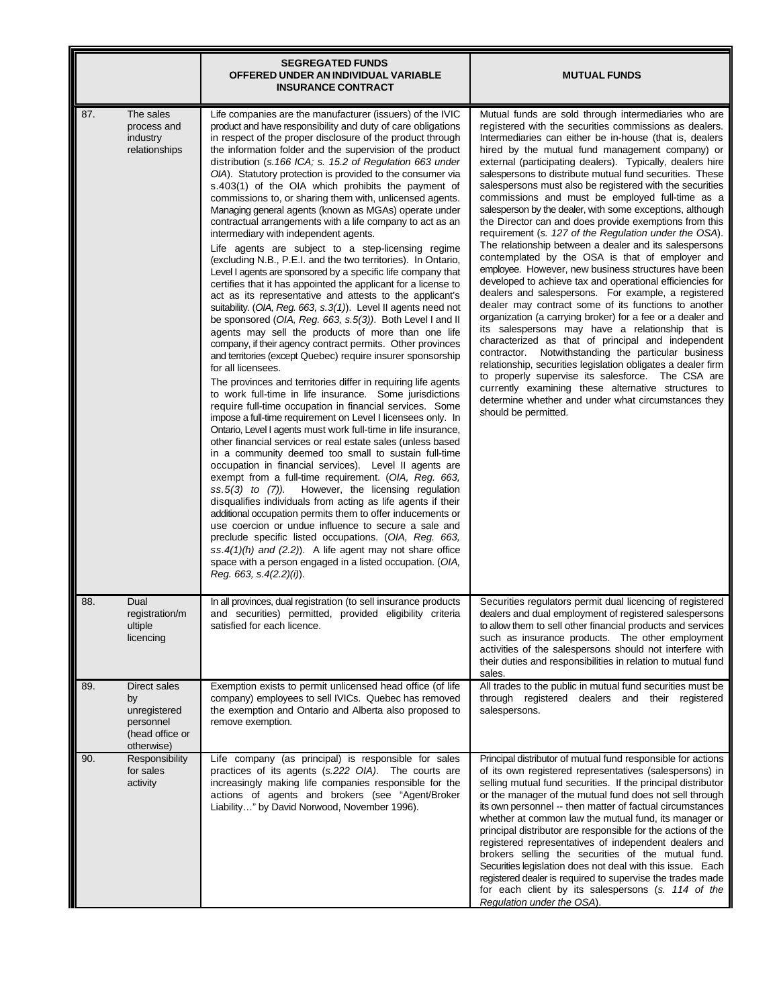|                                                                                         | <b>SEGREGATED FUNDS</b><br>OFFERED UNDER AN INDIVIDUAL VARIABLE<br><b>INSURANCE CONTRACT</b>                                                                                                                                                                                                                                                                                                                                                                                                                                                                                                                                                                                                                                                                                                                                                                                                                                                                                                                                                                                                                                                                                                                                                                                                                                                                                                                                                                                                                                                                                                                                                                                                                                                                                                                                                                                                                                                                                                                                                                                                                                                                                                                                                                                                                                                                      | <b>MUTUAL FUNDS</b>                                                                                                                                                                                                                                                                                                                                                                                                                                                                                                                                                                                                                                                                                                                                                                                                                                                                                                                                                                                                                                                                                                                                                                                                                                                                                                                                                                                                                                                                                |
|-----------------------------------------------------------------------------------------|-------------------------------------------------------------------------------------------------------------------------------------------------------------------------------------------------------------------------------------------------------------------------------------------------------------------------------------------------------------------------------------------------------------------------------------------------------------------------------------------------------------------------------------------------------------------------------------------------------------------------------------------------------------------------------------------------------------------------------------------------------------------------------------------------------------------------------------------------------------------------------------------------------------------------------------------------------------------------------------------------------------------------------------------------------------------------------------------------------------------------------------------------------------------------------------------------------------------------------------------------------------------------------------------------------------------------------------------------------------------------------------------------------------------------------------------------------------------------------------------------------------------------------------------------------------------------------------------------------------------------------------------------------------------------------------------------------------------------------------------------------------------------------------------------------------------------------------------------------------------------------------------------------------------------------------------------------------------------------------------------------------------------------------------------------------------------------------------------------------------------------------------------------------------------------------------------------------------------------------------------------------------------------------------------------------------------------------------------------------------|----------------------------------------------------------------------------------------------------------------------------------------------------------------------------------------------------------------------------------------------------------------------------------------------------------------------------------------------------------------------------------------------------------------------------------------------------------------------------------------------------------------------------------------------------------------------------------------------------------------------------------------------------------------------------------------------------------------------------------------------------------------------------------------------------------------------------------------------------------------------------------------------------------------------------------------------------------------------------------------------------------------------------------------------------------------------------------------------------------------------------------------------------------------------------------------------------------------------------------------------------------------------------------------------------------------------------------------------------------------------------------------------------------------------------------------------------------------------------------------------------|
| 87.<br>The sales<br>process and<br>industry<br>relationships                            | Life companies are the manufacturer (issuers) of the IVIC<br>product and have responsibility and duty of care obligations<br>in respect of the proper disclosure of the product through<br>the information folder and the supervision of the product<br>distribution (s. 166 ICA; s. 15.2 of Regulation 663 under<br>OIA). Statutory protection is provided to the consumer via<br>s.403(1) of the OIA which prohibits the payment of<br>commissions to, or sharing them with, unlicensed agents.<br>Managing general agents (known as MGAs) operate under<br>contractual arrangements with a life company to act as an<br>intermediary with independent agents.<br>Life agents are subject to a step-licensing regime<br>(excluding N.B., P.E.I. and the two territories). In Ontario,<br>Level I agents are sponsored by a specific life company that<br>certifies that it has appointed the applicant for a license to<br>act as its representative and attests to the applicant's<br>suitability. (OIA, Reg. 663, s.3(1)). Level II agents need not<br>be sponsored (OIA, Reg. 663, s.5(3)). Both Level I and II<br>agents may sell the products of more than one life<br>company, if their agency contract permits. Other provinces<br>and territories (except Quebec) require insurer sponsorship<br>for all licensees.<br>The provinces and territories differ in requiring life agents<br>to work full-time in life insurance. Some jurisdictions<br>require full-time occupation in financial services. Some<br>impose a full-time requirement on Level I licensees only. In<br>Ontario, Level I agents must work full-time in life insurance,<br>other financial services or real estate sales (unless based<br>in a community deemed too small to sustain full-time<br>occupation in financial services). Level II agents are<br>exempt from a full-time requirement. (OIA, Reg. 663,<br>However, the licensing regulation<br>$ss.5(3)$ to $(7)$ ).<br>disqualifies individuals from acting as life agents if their<br>additional occupation permits them to offer inducements or<br>use coercion or undue influence to secure a sale and<br>preclude specific listed occupations. (OIA, Reg. 663,<br>ss.4(1)(h) and (2.2)). A life agent may not share office<br>space with a person engaged in a listed occupation. (OIA,<br>Reg. 663, s.4(2.2)(i)). | Mutual funds are sold through intermediaries who are<br>registered with the securities commissions as dealers.<br>Intermediaries can either be in-house (that is, dealers<br>hired by the mutual fund management company) or<br>external (participating dealers). Typically, dealers hire<br>salespersons to distribute mutual fund securities. These<br>salespersons must also be registered with the securities<br>commissions and must be employed full-time as a<br>salesperson by the dealer, with some exceptions, although<br>the Director can and does provide exemptions from this<br>requirement (s. 127 of the Regulation under the OSA).<br>The relationship between a dealer and its salespersons<br>contemplated by the OSA is that of employer and<br>employee. However, new business structures have been<br>developed to achieve tax and operational efficiencies for<br>dealers and salespersons. For example, a registered<br>dealer may contract some of its functions to another<br>organization (a carrying broker) for a fee or a dealer and<br>its salespersons may have a relationship that is<br>characterized as that of principal and independent<br>Notwithstanding the particular business<br>contractor.<br>relationship, securities legislation obligates a dealer firm<br>to properly supervise its salesforce. The CSA are<br>currently examining these alternative structures to<br>determine whether and under what circumstances they<br>should be permitted. |
| 88.<br>Dual<br>registration/m<br>ultiple<br>licencing                                   | In all provinces, dual registration (to sell insurance products<br>and securities) permitted, provided eligibility criteria<br>satisfied for each licence.                                                                                                                                                                                                                                                                                                                                                                                                                                                                                                                                                                                                                                                                                                                                                                                                                                                                                                                                                                                                                                                                                                                                                                                                                                                                                                                                                                                                                                                                                                                                                                                                                                                                                                                                                                                                                                                                                                                                                                                                                                                                                                                                                                                                        | Securities regulators permit dual licencing of registered<br>dealers and dual employment of registered salespersons<br>to allow them to sell other financial products and services<br>such as insurance products. The other employment<br>activities of the salespersons should not interfere with<br>their duties and responsibilities in relation to mutual fund<br>sales.                                                                                                                                                                                                                                                                                                                                                                                                                                                                                                                                                                                                                                                                                                                                                                                                                                                                                                                                                                                                                                                                                                                       |
| 89.<br>Direct sales<br>by<br>unregistered<br>personnel<br>(head office or<br>otherwise) | Exemption exists to permit unlicensed head office (of life<br>company) employees to sell IVICs. Quebec has removed<br>the exemption and Ontario and Alberta also proposed to<br>remove exemption.                                                                                                                                                                                                                                                                                                                                                                                                                                                                                                                                                                                                                                                                                                                                                                                                                                                                                                                                                                                                                                                                                                                                                                                                                                                                                                                                                                                                                                                                                                                                                                                                                                                                                                                                                                                                                                                                                                                                                                                                                                                                                                                                                                 | All trades to the public in mutual fund securities must be<br>through registered dealers and their registered<br>salespersons.                                                                                                                                                                                                                                                                                                                                                                                                                                                                                                                                                                                                                                                                                                                                                                                                                                                                                                                                                                                                                                                                                                                                                                                                                                                                                                                                                                     |
| Responsibility<br>90.<br>for sales<br>activity                                          | Life company (as principal) is responsible for sales<br>practices of its agents (s.222 OIA). The courts are<br>increasingly making life companies responsible for the<br>actions of agents and brokers (see "Agent/Broker<br>Liability" by David Norwood, November 1996).                                                                                                                                                                                                                                                                                                                                                                                                                                                                                                                                                                                                                                                                                                                                                                                                                                                                                                                                                                                                                                                                                                                                                                                                                                                                                                                                                                                                                                                                                                                                                                                                                                                                                                                                                                                                                                                                                                                                                                                                                                                                                         | Principal distributor of mutual fund responsible for actions<br>of its own registered representatives (salespersons) in<br>selling mutual fund securities. If the principal distributor<br>or the manager of the mutual fund does not sell through<br>its own personnel -- then matter of factual circumstances<br>whether at common law the mutual fund, its manager or<br>principal distributor are responsible for the actions of the<br>registered representatives of independent dealers and<br>brokers selling the securities of the mutual fund.<br>Securities legislation does not deal with this issue. Each<br>registered dealer is required to supervise the trades made<br>for each client by its salespersons (s. 114 of the<br>Regulation under the OSA).                                                                                                                                                                                                                                                                                                                                                                                                                                                                                                                                                                                                                                                                                                                            |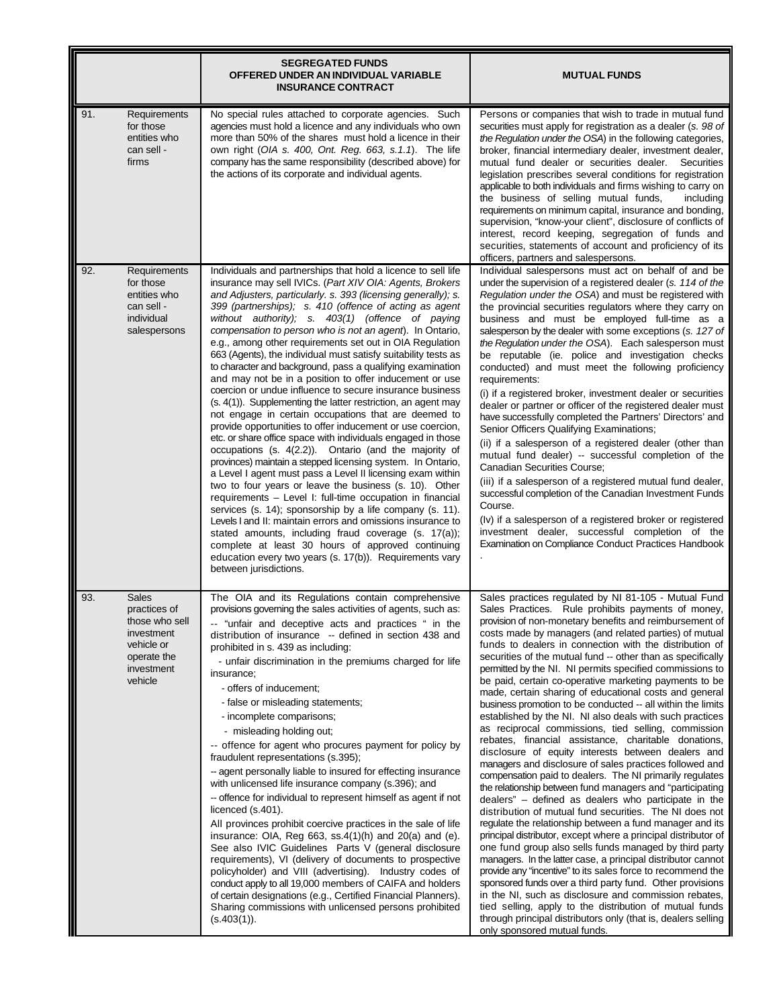|     |                                                                                                                    | <b>SEGREGATED FUNDS</b><br>OFFERED UNDER AN INDIVIDUAL VARIABLE<br><b>INSURANCE CONTRACT</b>                                                                                                                                                                                                                                                                                                                                                                                                                                                                                                                                                                                                                                                                                                                                                                                                                                                                                                                                                                                                                                                                                                                                                                                                                                                                                                                                                                                                                                                                                             | <b>MUTUAL FUNDS</b>                                                                                                                                                                                                                                                                                                                                                                                                                                                                                                                                                                                                                                                                                                                                                                                                                                                                                                                                                                                                                                                                                                                                                                                                                                                                                                                                                                                                                                                                                                                                                                                                                                                                                                                                       |
|-----|--------------------------------------------------------------------------------------------------------------------|------------------------------------------------------------------------------------------------------------------------------------------------------------------------------------------------------------------------------------------------------------------------------------------------------------------------------------------------------------------------------------------------------------------------------------------------------------------------------------------------------------------------------------------------------------------------------------------------------------------------------------------------------------------------------------------------------------------------------------------------------------------------------------------------------------------------------------------------------------------------------------------------------------------------------------------------------------------------------------------------------------------------------------------------------------------------------------------------------------------------------------------------------------------------------------------------------------------------------------------------------------------------------------------------------------------------------------------------------------------------------------------------------------------------------------------------------------------------------------------------------------------------------------------------------------------------------------------|-----------------------------------------------------------------------------------------------------------------------------------------------------------------------------------------------------------------------------------------------------------------------------------------------------------------------------------------------------------------------------------------------------------------------------------------------------------------------------------------------------------------------------------------------------------------------------------------------------------------------------------------------------------------------------------------------------------------------------------------------------------------------------------------------------------------------------------------------------------------------------------------------------------------------------------------------------------------------------------------------------------------------------------------------------------------------------------------------------------------------------------------------------------------------------------------------------------------------------------------------------------------------------------------------------------------------------------------------------------------------------------------------------------------------------------------------------------------------------------------------------------------------------------------------------------------------------------------------------------------------------------------------------------------------------------------------------------------------------------------------------------|
| 91. | Requirements<br>for those<br>entities who<br>can sell -<br>firms                                                   | No special rules attached to corporate agencies. Such<br>agencies must hold a licence and any individuals who own<br>more than 50% of the shares must hold a licence in their<br>own right (OIA s. 400, Ont. Reg. 663, s.1.1). The life<br>company has the same responsibility (described above) for<br>the actions of its corporate and individual agents.                                                                                                                                                                                                                                                                                                                                                                                                                                                                                                                                                                                                                                                                                                                                                                                                                                                                                                                                                                                                                                                                                                                                                                                                                              | Persons or companies that wish to trade in mutual fund<br>securities must apply for registration as a dealer (s. 98 of<br>the Regulation under the OSA) in the following categories,<br>broker, financial intermediary dealer, investment dealer,<br>mutual fund dealer or securities dealer. Securities<br>legislation prescribes several conditions for registration<br>applicable to both individuals and firms wishing to carry on<br>the business of selling mutual funds,<br>including<br>requirements on minimum capital, insurance and bonding,<br>supervision, "know-your client", disclosure of conflicts of<br>interest, record keeping, segregation of funds and<br>securities, statements of account and proficiency of its<br>officers, partners and salespersons.                                                                                                                                                                                                                                                                                                                                                                                                                                                                                                                                                                                                                                                                                                                                                                                                                                                                                                                                                                          |
| 92. | Requirements<br>for those<br>entities who<br>can sell -<br>individual<br>salespersons                              | Individuals and partnerships that hold a licence to sell life<br>insurance may sell IVICs. (Part XIV OIA: Agents, Brokers<br>and Adjusters, particularly. s. 393 (licensing generally); s.<br>399 (partnerships); s. 410 (offence of acting as agent<br>without authority); s. 403(1) (offence of paying<br>compensation to person who is not an agent). In Ontario,<br>e.g., among other requirements set out in OIA Regulation<br>663 (Agents), the individual must satisfy suitability tests as<br>to character and background, pass a qualifying examination<br>and may not be in a position to offer inducement or use<br>coercion or undue influence to secure insurance business<br>(s. 4(1)). Supplementing the latter restriction, an agent may<br>not engage in certain occupations that are deemed to<br>provide opportunities to offer inducement or use coercion,<br>etc. or share office space with individuals engaged in those<br>occupations (s. 4(2.2)). Ontario (and the majority of<br>provinces) maintain a stepped licensing system. In Ontario,<br>a Level I agent must pass a Level II licensing exam within<br>two to four years or leave the business (s. 10). Other<br>requirements - Level I: full-time occupation in financial<br>services (s. 14); sponsorship by a life company (s. 11).<br>Levels I and II: maintain errors and omissions insurance to<br>stated amounts, including fraud coverage (s. 17(a));<br>complete at least 30 hours of approved continuing<br>education every two years (s. 17(b)). Requirements vary<br>between jurisdictions. | Individual salespersons must act on behalf of and be<br>under the supervision of a registered dealer (s. 114 of the<br>Regulation under the OSA) and must be registered with<br>the provincial securities regulators where they carry on<br>business and must be employed full-time as a<br>salesperson by the dealer with some exceptions (s. 127 of<br>the Regulation under the OSA). Each salesperson must<br>be reputable (ie. police and investigation checks<br>conducted) and must meet the following proficiency<br>requirements:<br>(i) if a registered broker, investment dealer or securities<br>dealer or partner or officer of the registered dealer must<br>have successfully completed the Partners' Directors' and<br>Senior Officers Qualifying Examinations;<br>(ii) if a salesperson of a registered dealer (other than<br>mutual fund dealer) -- successful completion of the<br><b>Canadian Securities Course;</b><br>(iii) if a salesperson of a registered mutual fund dealer,<br>successful completion of the Canadian Investment Funds<br>Course.<br>(Iv) if a salesperson of a registered broker or registered<br>investment dealer, successful completion of the<br>Examination on Compliance Conduct Practices Handbook                                                                                                                                                                                                                                                                                                                                                                                                                                                                                                       |
| 93. | <b>Sales</b><br>practices of<br>those who sell<br>investment<br>vehicle or<br>operate the<br>investment<br>vehicle | The OIA and its Regulations contain comprehensive<br>provisions governing the sales activities of agents, such as:<br>-- "unfair and deceptive acts and practices " in the<br>distribution of insurance -- defined in section 438 and<br>prohibited in s. 439 as including:<br>- unfair discrimination in the premiums charged for life<br>insurance;<br>- offers of inducement:<br>- false or misleading statements;<br>- incomplete comparisons;<br>- misleading holding out;<br>-- offence for agent who procures payment for policy by<br>fraudulent representations (s.395);<br>-- agent personally liable to insured for effecting insurance<br>with unlicensed life insurance company (s.396); and<br>-- offence for individual to represent himself as agent if not<br>licenced (s.401).<br>All provinces prohibit coercive practices in the sale of life<br>insurance: OIA, Reg $663$ , ss. $4(1)(h)$ and $20(a)$ and $(e)$ .<br>See also IVIC Guidelines Parts V (general disclosure<br>requirements), VI (delivery of documents to prospective<br>policyholder) and VIII (advertising). Industry codes of<br>conduct apply to all 19,000 members of CAIFA and holders<br>of certain designations (e.g., Certified Financial Planners).<br>Sharing commissions with unlicensed persons prohibited<br>(s.403(1)).                                                                                                                                                                                                                                                               | Sales practices regulated by NI 81-105 - Mutual Fund<br>Sales Practices. Rule prohibits payments of money,<br>provision of non-monetary benefits and reimbursement of<br>costs made by managers (and related parties) of mutual<br>funds to dealers in connection with the distribution of<br>securities of the mutual fund -- other than as specifically<br>permitted by the NI. NI permits specified commissions to<br>be paid, certain co-operative marketing payments to be<br>made, certain sharing of educational costs and general<br>business promotion to be conducted -- all within the limits<br>established by the NI. NI also deals with such practices<br>as reciprocal commissions, tied selling, commission<br>rebates, financial assistance, charitable donations,<br>disclosure of equity interests between dealers and<br>managers and disclosure of sales practices followed and<br>compensation paid to dealers. The NI primarily regulates<br>the relationship between fund managers and "participating<br>dealers" – defined as dealers who participate in the<br>distribution of mutual fund securities. The NI does not<br>regulate the relationship between a fund manager and its<br>principal distributor, except where a principal distributor of<br>one fund group also sells funds managed by third party<br>managers. In the latter case, a principal distributor cannot<br>provide any "incentive" to its sales force to recommend the<br>sponsored funds over a third party fund. Other provisions<br>in the NI, such as disclosure and commission rebates,<br>tied selling, apply to the distribution of mutual funds<br>through principal distributors only (that is, dealers selling<br>only sponsored mutual funds. |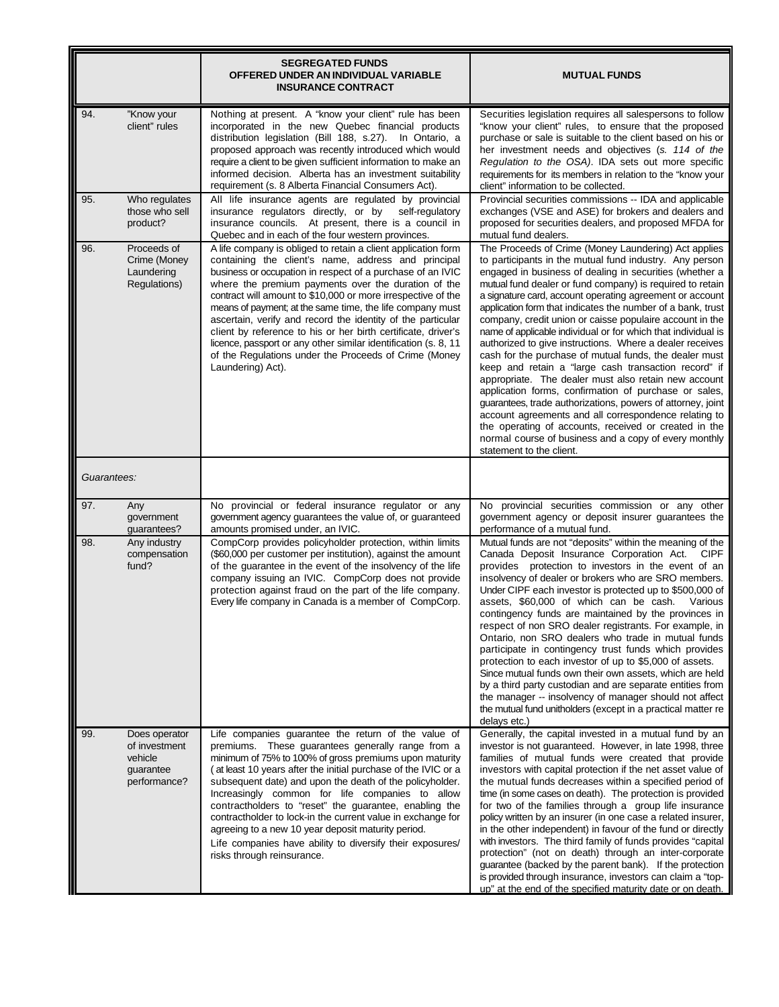|             |                                                                           | <b>SEGREGATED FUNDS</b><br>OFFERED UNDER AN INDIVIDUAL VARIABLE<br><b>INSURANCE CONTRACT</b>                                                                                                                                                                                                                                                                                                                                                                                                                                                                                                                                                            | <b>MUTUAL FUNDS</b>                                                                                                                                                                                                                                                                                                                                                                                                                                                                                                                                                                                                                                                                                                                                                                                                                                                                                                                                                                                                                                                  |
|-------------|---------------------------------------------------------------------------|---------------------------------------------------------------------------------------------------------------------------------------------------------------------------------------------------------------------------------------------------------------------------------------------------------------------------------------------------------------------------------------------------------------------------------------------------------------------------------------------------------------------------------------------------------------------------------------------------------------------------------------------------------|----------------------------------------------------------------------------------------------------------------------------------------------------------------------------------------------------------------------------------------------------------------------------------------------------------------------------------------------------------------------------------------------------------------------------------------------------------------------------------------------------------------------------------------------------------------------------------------------------------------------------------------------------------------------------------------------------------------------------------------------------------------------------------------------------------------------------------------------------------------------------------------------------------------------------------------------------------------------------------------------------------------------------------------------------------------------|
| 94.         | "Know your<br>client" rules                                               | Nothing at present. A "know your client" rule has been<br>incorporated in the new Quebec financial products<br>distribution legislation (Bill 188, s.27). In Ontario, a<br>proposed approach was recently introduced which would<br>require a client to be given sufficient information to make an<br>informed decision. Alberta has an investment suitability<br>requirement (s. 8 Alberta Financial Consumers Act).                                                                                                                                                                                                                                   | Securities legislation requires all salespersons to follow<br>"know your client" rules, to ensure that the proposed<br>purchase or sale is suitable to the client based on his or<br>her investment needs and objectives (s. 114 of the<br>Regulation to the OSA). IDA sets out more specific<br>requirements for its members in relation to the "know your<br>client" information to be collected.                                                                                                                                                                                                                                                                                                                                                                                                                                                                                                                                                                                                                                                                  |
| 95.         | Who regulates<br>those who sell<br>product?                               | All life insurance agents are regulated by provincial<br>insurance regulators directly, or by<br>self-regulatory<br>insurance councils. At present, there is a council in<br>Quebec and in each of the four western provinces.                                                                                                                                                                                                                                                                                                                                                                                                                          | Provincial securities commissions -- IDA and applicable<br>exchanges (VSE and ASE) for brokers and dealers and<br>proposed for securities dealers, and proposed MFDA for<br>mutual fund dealers.                                                                                                                                                                                                                                                                                                                                                                                                                                                                                                                                                                                                                                                                                                                                                                                                                                                                     |
| 96.         | Proceeds of<br>Crime (Money<br>Laundering<br>Regulations)                 | A life company is obliged to retain a client application form<br>containing the client's name, address and principal<br>business or occupation in respect of a purchase of an IVIC<br>where the premium payments over the duration of the<br>contract will amount to \$10,000 or more irrespective of the<br>means of payment; at the same time, the life company must<br>ascertain, verify and record the identity of the particular<br>client by reference to his or her birth certificate, driver's<br>licence, passport or any other similar identification (s. 8, 11<br>of the Regulations under the Proceeds of Crime (Money<br>Laundering) Act). | The Proceeds of Crime (Money Laundering) Act applies<br>to participants in the mutual fund industry. Any person<br>engaged in business of dealing in securities (whether a<br>mutual fund dealer or fund company) is required to retain<br>a signature card, account operating agreement or account<br>application form that indicates the number of a bank, trust<br>company, credit union or caisse populaire account in the<br>name of applicable individual or for which that individual is<br>authorized to give instructions. Where a dealer receives<br>cash for the purchase of mutual funds, the dealer must<br>keep and retain a "large cash transaction record" if<br>appropriate. The dealer must also retain new account<br>application forms, confirmation of purchase or sales,<br>guarantees, trade authorizations, powers of attorney, joint<br>account agreements and all correspondence relating to<br>the operating of accounts, received or created in the<br>normal course of business and a copy of every monthly<br>statement to the client. |
| Guarantees: |                                                                           |                                                                                                                                                                                                                                                                                                                                                                                                                                                                                                                                                                                                                                                         |                                                                                                                                                                                                                                                                                                                                                                                                                                                                                                                                                                                                                                                                                                                                                                                                                                                                                                                                                                                                                                                                      |
| 97.<br>98.  | Any<br>government<br>guarantees?<br>Any industry<br>compensation<br>fund? | No provincial or federal insurance regulator or any<br>government agency guarantees the value of, or guaranteed<br>amounts promised under, an IVIC.<br>CompCorp provides policyholder protection, within limits<br>(\$60,000 per customer per institution), against the amount<br>of the guarantee in the event of the insolvency of the life<br>company issuing an IVIC. CompCorp does not provide                                                                                                                                                                                                                                                     | No provincial securities commission or any other<br>government agency or deposit insurer guarantees the<br>performance of a mutual fund.<br>Mutual funds are not "deposits" within the meaning of the<br>Canada Deposit Insurance Corporation Act. CIPF<br>provides protection to investors in the event of an<br>insolvency of dealer or brokers who are SRO members.                                                                                                                                                                                                                                                                                                                                                                                                                                                                                                                                                                                                                                                                                               |
|             |                                                                           | protection against fraud on the part of the life company.<br>Every life company in Canada is a member of CompCorp.                                                                                                                                                                                                                                                                                                                                                                                                                                                                                                                                      | Under CIPF each investor is protected up to \$500,000 of<br>assets, \$60,000 of which can be cash. Various<br>contingency funds are maintained by the provinces in<br>respect of non SRO dealer registrants. For example, in<br>Ontario, non SRO dealers who trade in mutual funds<br>participate in contingency trust funds which provides<br>protection to each investor of up to \$5,000 of assets.<br>Since mutual funds own their own assets, which are held<br>by a third party custodian and are separate entities from<br>the manager -- insolvency of manager should not affect<br>the mutual fund unitholders (except in a practical matter re<br>delays etc.)                                                                                                                                                                                                                                                                                                                                                                                             |
| 99.         | Does operator<br>of investment<br>vehicle<br>guarantee<br>performance?    | Life companies guarantee the return of the value of<br>premiums. These guarantees generally range from a<br>minimum of 75% to 100% of gross premiums upon maturity<br>(at least 10 years after the initial purchase of the IVIC or a<br>subsequent date) and upon the death of the policyholder.<br>Increasingly common for life companies to allow<br>contractholders to "reset" the guarantee, enabling the<br>contractholder to lock-in the current value in exchange for<br>agreeing to a new 10 year deposit maturity period.<br>Life companies have ability to diversify their exposures/<br>risks through reinsurance.                           | Generally, the capital invested in a mutual fund by an<br>investor is not guaranteed. However, in late 1998, three<br>families of mutual funds were created that provide<br>investors with capital protection if the net asset value of<br>the mutual funds decreases within a specified period of<br>time (in some cases on death). The protection is provided<br>for two of the families through a group life insurance<br>policy written by an insurer (in one case a related insurer,<br>in the other independent) in favour of the fund or directly<br>with investors. The third family of funds provides "capital<br>protection" (not on death) through an inter-corporate<br>guarantee (backed by the parent bank). If the protection<br>is provided through insurance, investors can claim a "top-<br>up" at the end of the specified maturity date or on death.                                                                                                                                                                                             |